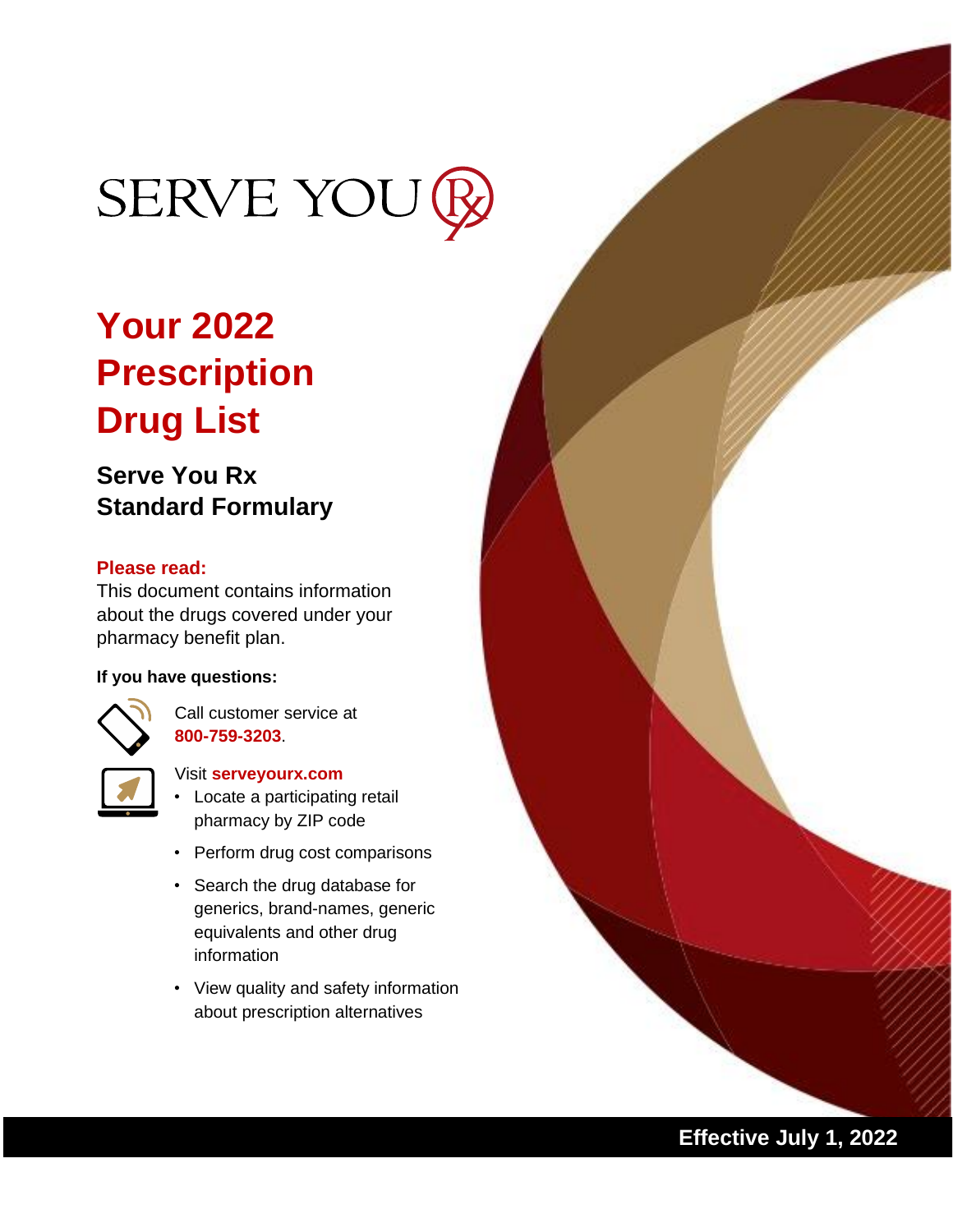# SERVE YOU

## **Your 2022 Prescription Drug List**

## **Serve You Rx Standard Formulary**

### **Please read:**

This document contains information about the drugs covered under your pharmacy benefit plan.

#### **If you have questions:**



Call customer service at **800-759-3203**.



#### Visit **serveyourx.com**

- Locate a participating retail pharmacy by ZIP code
- Perform drug cost comparisons
- Search the drug database for generics, brand-names, generic equivalents and other drug information
- View quality and safety information about prescription alternatives

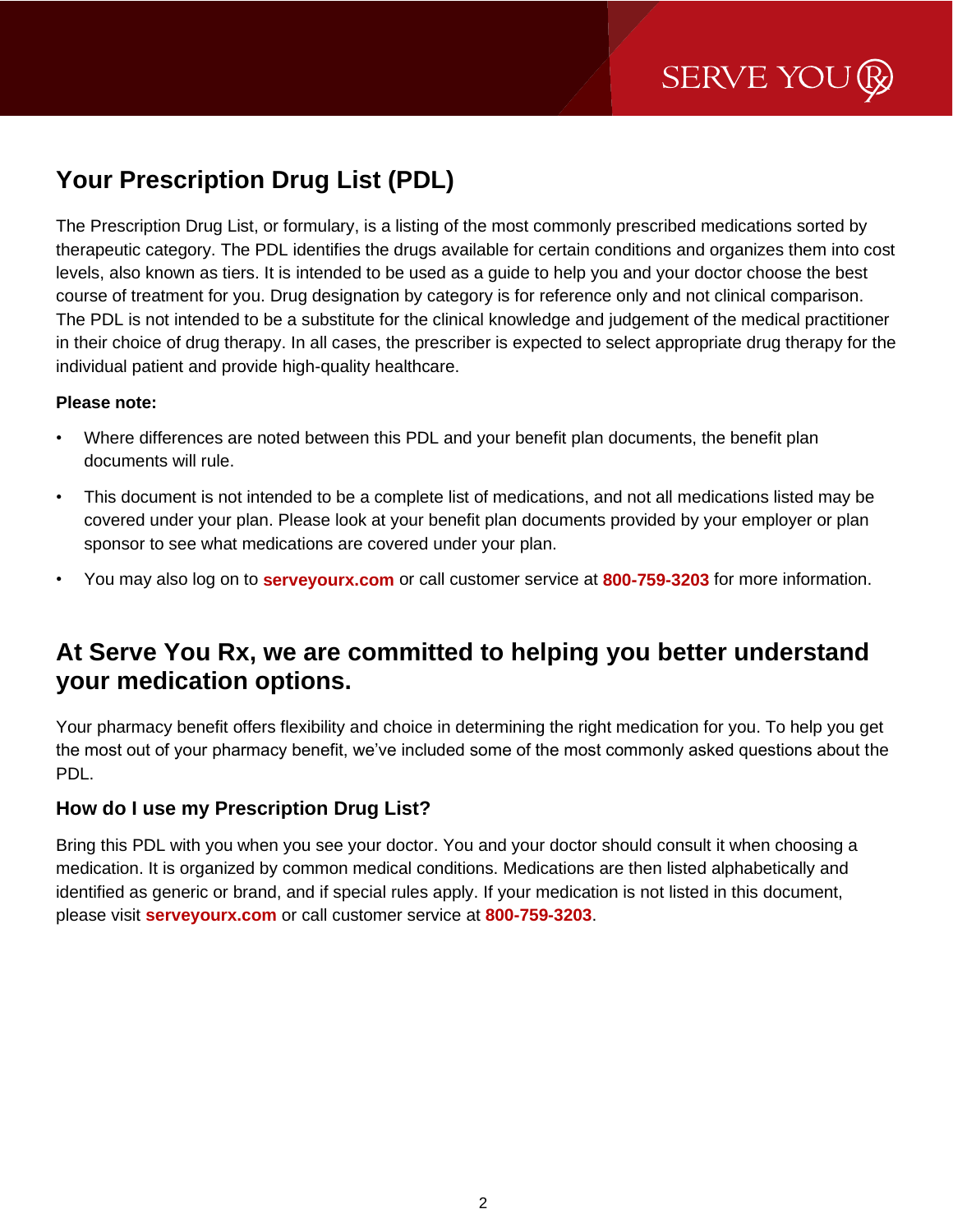## **Your Prescription Drug List (PDL)**

The Prescription Drug List, or formulary, is a listing of the most commonly prescribed medications sorted by therapeutic category. The PDL identifies the drugs available for certain conditions and organizes them into cost levels, also known as tiers. It is intended to be used as a guide to help you and your doctor choose the best course of treatment for you. Drug designation by category is for reference only and not clinical comparison. The PDL is not intended to be a substitute for the clinical knowledge and judgement of the medical practitioner in their choice of drug therapy. In all cases, the prescriber is expected to select appropriate drug therapy for the individual patient and provide high-quality healthcare.

#### **Please note:**

- Where differences are noted between this PDL and your benefit plan documents, the benefit plan documents will rule.
- This document is not intended to be a complete list of medications, and not all medications listed may be covered under your plan. Please look at your benefit plan documents provided by your employer or plan sponsor to see what medications are covered under your plan.
- You may also log on to **serveyourx.com** or call customer service at **800-759-3203** for more information.

### **At Serve You Rx, we are committed to helping you better understand your medication options.**

Your pharmacy benefit offers flexibility and choice in determining the right medication for you. To help you get the most out of your pharmacy benefit, we've included some of the most commonly asked questions about the PDL.

### **How do I use my Prescription Drug List?**

Bring this PDL with you when you see your doctor. You and your doctor should consult it when choosing a medication. It is organized by common medical conditions. Medications are then listed alphabetically and identified as generic or brand, and if special rules apply. If your medication is not listed in this document, please visit **serveyourx.com** or call customer service at **800-759-3203**.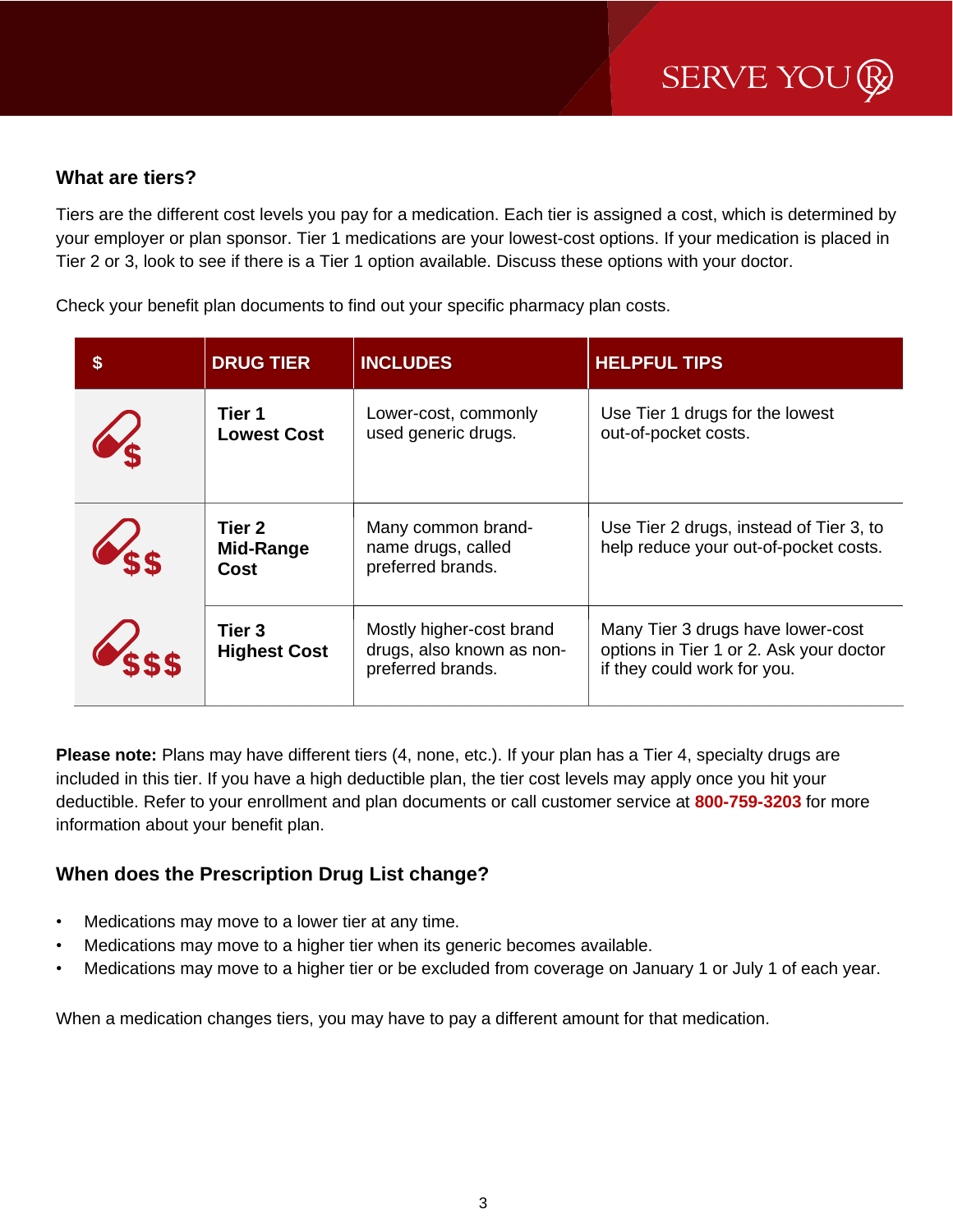### **What are tiers?**

Tiers are the different cost levels you pay for a medication. Each tier is assigned a cost, which is determined by your employer or plan sponsor. Tier 1 medications are your lowest-cost options. If your medication is placed in Tier 2 or 3, look to see if there is a Tier 1 option available. Discuss these options with your doctor.

Check your benefit plan documents to find out your specific pharmacy plan costs.

| $\boldsymbol{\mathsf{s}}$ | <b>DRUG TIER</b>              | <b>INCLUDES</b>                                                            | <b>HELPFUL TIPS</b>                                                                                         |
|---------------------------|-------------------------------|----------------------------------------------------------------------------|-------------------------------------------------------------------------------------------------------------|
|                           | Tier 1<br><b>Lowest Cost</b>  | Lower-cost, commonly<br>used generic drugs.                                | Use Tier 1 drugs for the lowest<br>out-of-pocket costs.                                                     |
| VEE                       | Tier 2<br>Mid-Range<br>Cost   | Many common brand-<br>name drugs, called<br>preferred brands.              | Use Tier 2 drugs, instead of Tier 3, to<br>help reduce your out-of-pocket costs.                            |
|                           | Tier 3<br><b>Highest Cost</b> | Mostly higher-cost brand<br>drugs, also known as non-<br>preferred brands. | Many Tier 3 drugs have lower-cost<br>options in Tier 1 or 2. Ask your doctor<br>if they could work for you. |

**Please note:** Plans may have different tiers (4, none, etc.). If your plan has a Tier 4, specialty drugs are included in this tier. If you have a high deductible plan, the tier cost levels may apply once you hit your deductible. Refer to your enrollment and plan documents or call customer service at **800-759-3203** for more information about your benefit plan.

### **When does the Prescription Drug List change?**

- Medications may move to a lower tier at any time.
- Medications may move to a higher tier when its generic becomes available.
- Medications may move to a higher tier or be excluded from coverage on January 1 or July 1 of each year.

When a medication changes tiers, you may have to pay a different amount for that medication.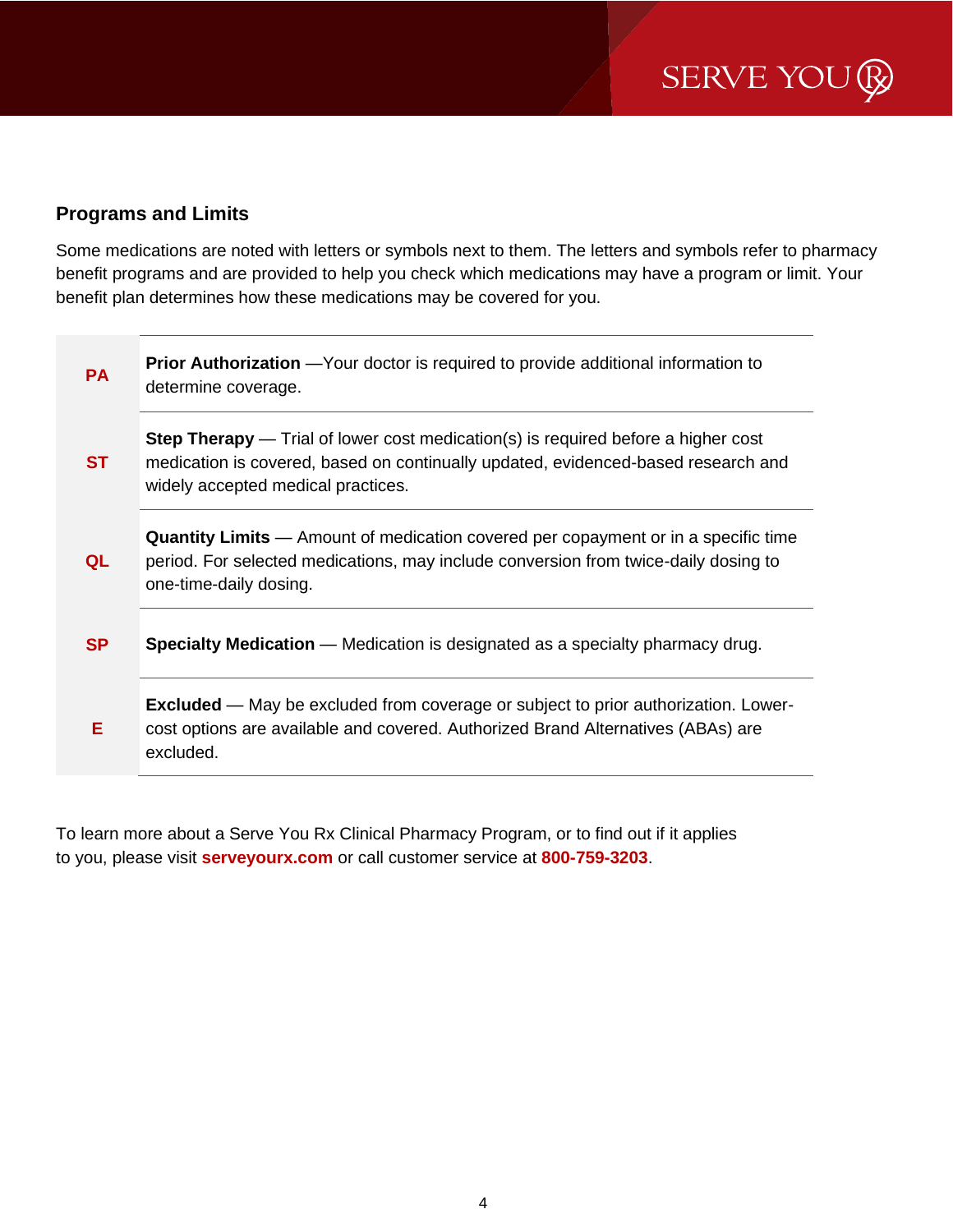### **Programs and Limits**

Some medications are noted with letters or symbols next to them. The letters and symbols refer to pharmacy benefit programs and are provided to help you check which medications may have a program or limit. Your benefit plan determines how these medications may be covered for you.

| <b>PA</b> | <b>Prior Authorization</b> - Your doctor is required to provide additional information to<br>determine coverage.                                                                                                    |
|-----------|---------------------------------------------------------------------------------------------------------------------------------------------------------------------------------------------------------------------|
| <b>ST</b> | <b>Step Therapy</b> — Trial of lower cost medication(s) is required before a higher cost<br>medication is covered, based on continually updated, evidenced-based research and<br>widely accepted medical practices. |
| QL        | <b>Quantity Limits</b> — Amount of medication covered per copayment or in a specific time<br>period. For selected medications, may include conversion from twice-daily dosing to<br>one-time-daily dosing.          |
| <b>SP</b> | <b>Specialty Medication</b> — Medication is designated as a specialty pharmacy drug.                                                                                                                                |
| Е         | <b>Excluded</b> — May be excluded from coverage or subject to prior authorization. Lower-<br>cost options are available and covered. Authorized Brand Alternatives (ABAs) are<br>excluded.                          |

To learn more about a Serve You Rx Clinical Pharmacy Program, or to find out if it applies to you, please visit **serveyourx.com** or call customer service at **800-759-3203**.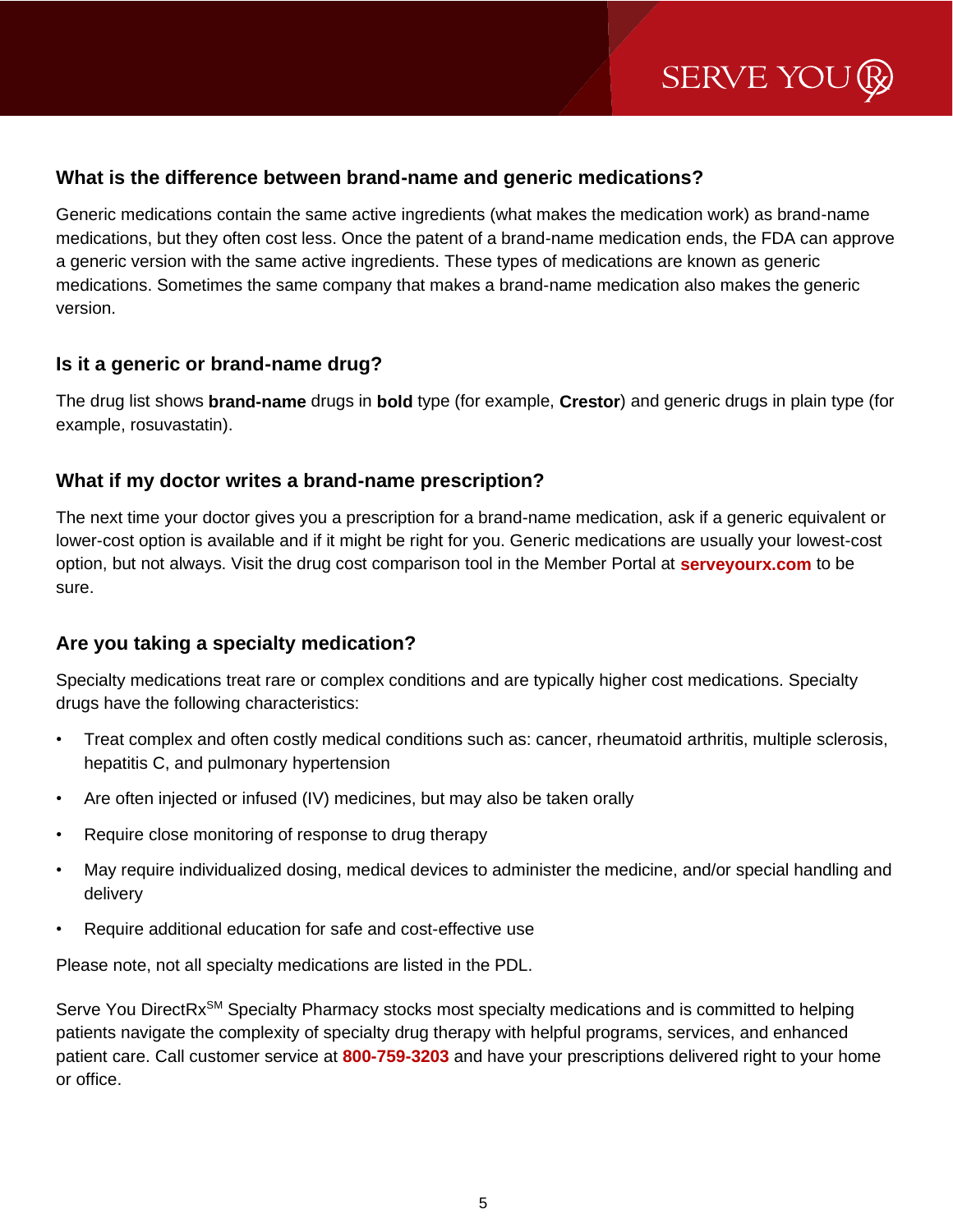### **What is the difference between brand-name and generic medications?**

Generic medications contain the same active ingredients (what makes the medication work) as brand-name medications, but they often cost less. Once the patent of a brand-name medication ends, the FDA can approve a generic version with the same active ingredients. These types of medications are known as generic medications. Sometimes the same company that makes a brand-name medication also makes the generic version.

### **Is it a generic or brand-name drug?**

The drug list shows **brand-name** drugs in **bold** type (for example, **Crestor**) and generic drugs in plain type (for example, rosuvastatin).

### **What if my doctor writes a brand-name prescription?**

The next time your doctor gives you a prescription for a brand-name medication, ask if a generic equivalent or lower-cost option is available and if it might be right for you. Generic medications are usually your lowest-cost option, but not always. Visit the drug cost comparison tool in the Member Portal at **serveyourx.com** to be sure.

### **Are you taking a specialty medication?**

Specialty medications treat rare or complex conditions and are typically higher cost medications. Specialty drugs have the following characteristics:

- Treat complex and often costly medical conditions such as: cancer, rheumatoid arthritis, multiple sclerosis, hepatitis C, and pulmonary hypertension
- Are often injected or infused (IV) medicines, but may also be taken orally
- Require close monitoring of response to drug therapy
- May require individualized dosing, medical devices to administer the medicine, and/or special handling and delivery
- Require additional education for safe and cost-effective use

Please note, not all specialty medications are listed in the PDL.

Serve You DirectRx<sup>SM</sup> Specialty Pharmacy stocks most specialty medications and is committed to helping patients navigate the complexity of specialty drug therapy with helpful programs, services, and enhanced patient care. Call customer service at **800-759-3203** and have your prescriptions delivered right to your home or office.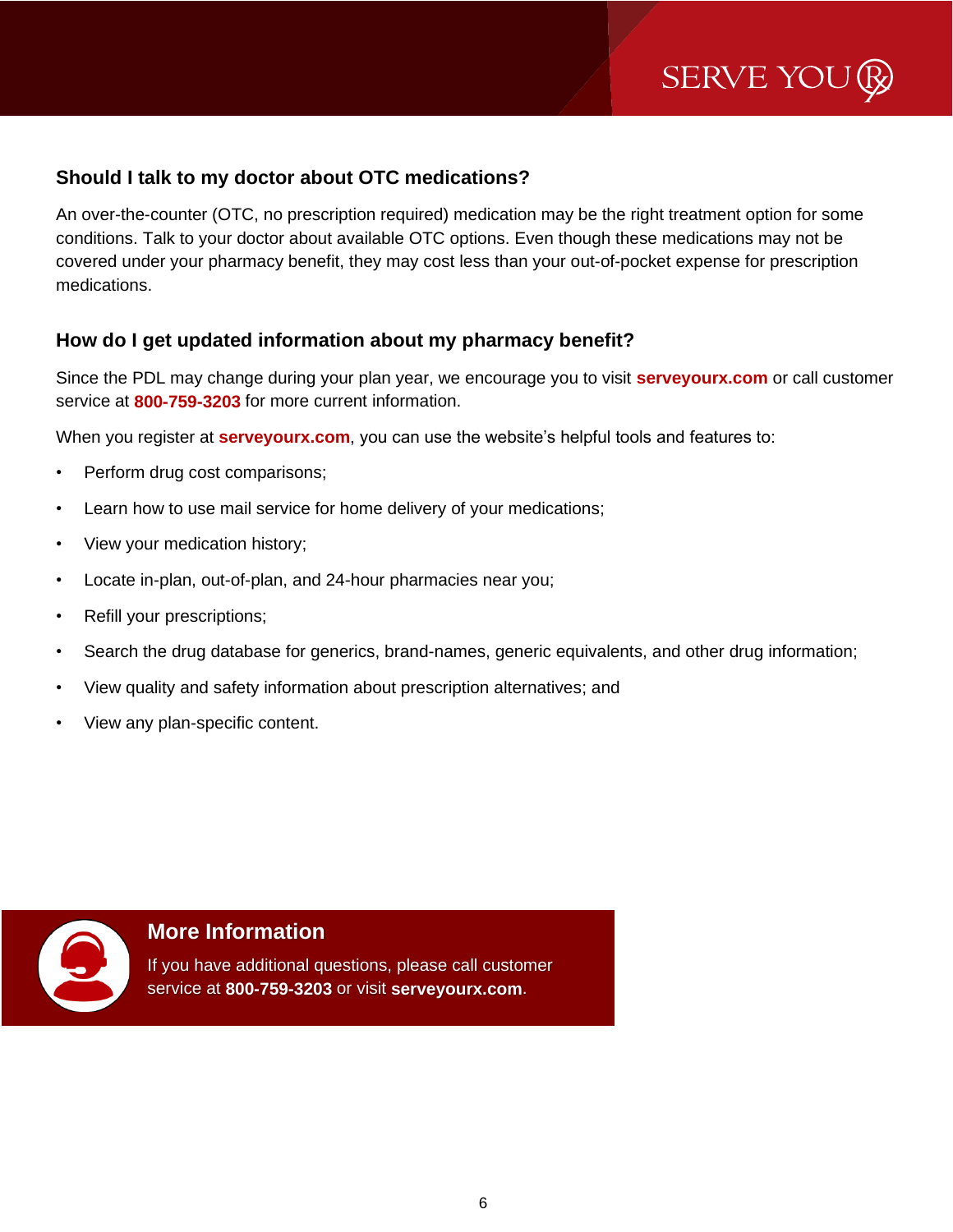SERVE YOU

### **Should I talk to my doctor about OTC medications?**

An over-the-counter (OTC, no prescription required) medication may be the right treatment option for some conditions. Talk to your doctor about available OTC options. Even though these medications may not be covered under your pharmacy benefit, they may cost less than your out-of-pocket expense for prescription medications.

### **How do I get updated information about my pharmacy benefit?**

Since the PDL may change during your plan year, we encourage you to visit **serveyourx.com** or call customer service at **800-759-3203** for more current information.

When you register at **serveyourx.com**, you can use the website's helpful tools and features to:

- Perform drug cost comparisons;
- Learn how to use mail service for home delivery of your medications;
- View your medication history;
- Locate in-plan, out-of-plan, and 24-hour pharmacies near you;
- Refill your prescriptions;
- Search the drug database for generics, brand-names, generic equivalents, and other drug information;
- View quality and safety information about prescription alternatives; and
- View any plan-specific content.



### **More Information**

If you have additional questions, please call customer service at **800-759-3203** or visit **serveyourx.com**.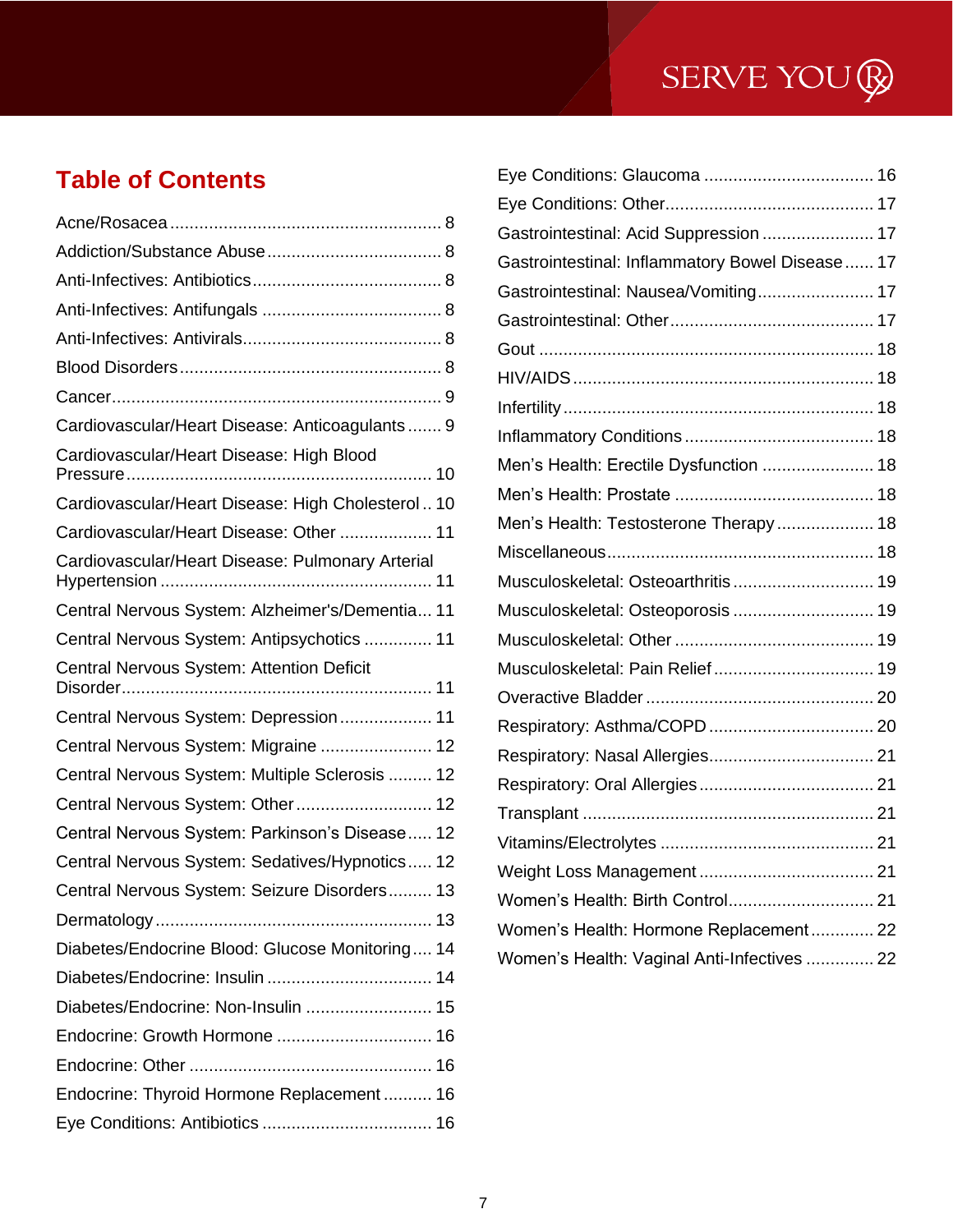## **Table of Contents**

| Cardiovascular/Heart Disease: Anticoagulants 9    |
|---------------------------------------------------|
| Cardiovascular/Heart Disease: High Blood          |
| Cardiovascular/Heart Disease: High Cholesterol 10 |
| Cardiovascular/Heart Disease: Other  11           |
| Cardiovascular/Heart Disease: Pulmonary Arterial  |
| Central Nervous System: Alzheimer's/Dementia 11   |
| Central Nervous System: Antipsychotics  11        |
| Central Nervous System: Attention Deficit         |
| Central Nervous System: Depression 11             |
| Central Nervous System: Migraine  12              |
| Central Nervous System: Multiple Sclerosis  12    |
| Central Nervous System: Other 12                  |
| Central Nervous System: Parkinson's Disease 12    |
| Central Nervous System: Sedatives/Hypnotics 12    |
| Central Nervous System: Seizure Disorders 13      |
|                                                   |
| Diabetes/Endocrine Blood: Glucose Monitoring 14   |
|                                                   |
| Diabetes/Endocrine: Non-Insulin  15               |
| Endocrine: Growth Hormone  16                     |
|                                                   |
| Endocrine: Thyroid Hormone Replacement 16         |
|                                                   |

| Gastrointestinal: Acid Suppression  17          |  |
|-------------------------------------------------|--|
| Gastrointestinal: Inflammatory Bowel Disease 17 |  |
| Gastrointestinal: Nausea/Vomiting 17            |  |
|                                                 |  |
|                                                 |  |
|                                                 |  |
|                                                 |  |
|                                                 |  |
| Men's Health: Erectile Dysfunction  18          |  |
|                                                 |  |
| Men's Health: Testosterone Therapy 18           |  |
|                                                 |  |
| Musculoskeletal: Osteoarthritis 19              |  |
| Musculoskeletal: Osteoporosis  19               |  |
|                                                 |  |
| Musculoskeletal: Pain Relief 19                 |  |
|                                                 |  |
|                                                 |  |
|                                                 |  |
|                                                 |  |
|                                                 |  |
|                                                 |  |
|                                                 |  |
| Women's Health: Birth Control 21                |  |
| Women's Health: Hormone Replacement 22          |  |
| Women's Health: Vaginal Anti-Infectives  22     |  |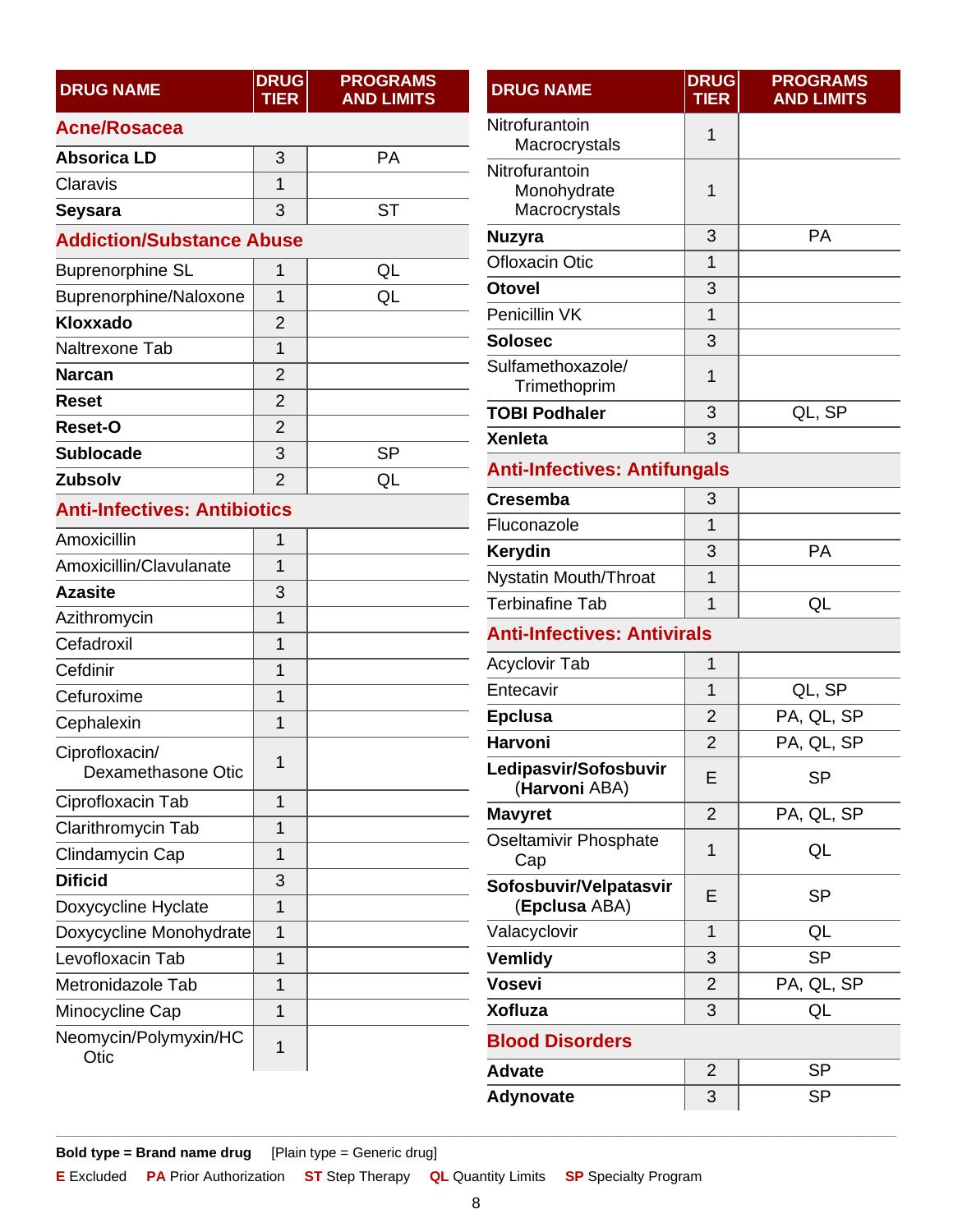<span id="page-7-2"></span><span id="page-7-1"></span><span id="page-7-0"></span>

| <b>DRUG NAME</b>                     | <b>DRUG</b><br><b>TIER</b> | <b>PROGRAMS</b><br><b>AND LIMITS</b> | <b>DRUG NAME</b>               |
|--------------------------------------|----------------------------|--------------------------------------|--------------------------------|
| <b>Acne/Rosacea</b>                  |                            |                                      | Nitrofurantoir                 |
| <b>Absorica LD</b>                   | 3                          | <b>PA</b>                            | Macrocry                       |
| Claravis                             | 1                          |                                      | Nitrofurantoir<br>Monohyd      |
| <b>Seysara</b>                       | 3                          | <b>ST</b>                            | Macrocry                       |
| <b>Addiction/Substance Abuse</b>     |                            |                                      | <b>Nuzyra</b>                  |
| <b>Buprenorphine SL</b>              | 1                          | QL                                   | Ofloxacin Oti                  |
| Buprenorphine/Naloxone               | 1                          | QL                                   | <b>Otovel</b>                  |
| Kloxxado                             | $\overline{2}$             |                                      | Penicillin VK                  |
| Naltrexone Tab                       | $\overline{1}$             |                                      | <b>Solosec</b>                 |
| <b>Narcan</b>                        | $\overline{2}$             |                                      | Sulfamethoxa                   |
| <b>Reset</b>                         | $\overline{2}$             |                                      | Trimethop<br><b>TOBI Podha</b> |
| <b>Reset-O</b>                       | $\overline{2}$             |                                      | <b>Xenleta</b>                 |
| <b>Sublocade</b>                     | 3                          | <b>SP</b>                            |                                |
| <b>Zubsolv</b>                       | $\overline{2}$             | QL                                   | <b>Anti-Infecti</b>            |
| <b>Anti-Infectives: Antibiotics</b>  |                            |                                      | <b>Cresemba</b>                |
| Amoxicillin                          | 1                          |                                      | Fluconazole                    |
| Amoxicillin/Clavulanate              | 1                          |                                      | Kerydin                        |
| <b>Azasite</b>                       | 3                          |                                      | <b>Nystatin Mou</b>            |
| Azithromycin                         | $\overline{1}$             |                                      | <b>Terbinafine T</b>           |
| Cefadroxil                           | 1                          |                                      | <b>Anti-Infecti</b>            |
| Cefdinir                             | $\overline{1}$             |                                      | <b>Acyclovir Tab</b>           |
| Cefuroxime                           | $\overline{1}$             |                                      | Entecavir                      |
| Cephalexin                           | $\overline{1}$             |                                      | <b>Epclusa</b>                 |
| Ciprofloxacin/<br>Dexamethasone Otic | 1                          |                                      | Harvoni<br>Ledipasvir/S        |
| Ciprofloxacin Tab                    | $\overline{1}$             |                                      | (Harvoni                       |
| Clarithromycin Tab                   | $\mathbf 1$                |                                      | <b>Mavyret</b>                 |
| Clindamycin Cap                      | 1                          |                                      | Oseltamivir P<br>Cap           |
| <b>Dificid</b>                       | 3                          |                                      | Sofosbuvir/\                   |
| Doxycycline Hyclate                  | $\overline{1}$             |                                      | (Epclusa                       |
| Doxycycline Monohydrate              | $\overline{1}$             |                                      | Valacyclovir                   |
| Levofloxacin Tab                     | $\mathbf 1$                |                                      | Vemlidy                        |
| Metronidazole Tab                    | 1                          |                                      | <b>Vosevi</b>                  |
| Minocycline Cap                      | $\overline{1}$             |                                      | <b>Xofluza</b>                 |
| Neomycin/Polymyxin/HC                | 1                          |                                      | <b>Blood Diso</b>              |
| Otic                                 |                            |                                      | <b>Advate</b>                  |

<span id="page-7-5"></span><span id="page-7-4"></span><span id="page-7-3"></span>

| <b>DRUG NAME</b>                               | <b>DRUG</b><br><b>TIER</b> | <b>PROGRAMS</b><br><b>AND LIMITS</b> |  |  |  |
|------------------------------------------------|----------------------------|--------------------------------------|--|--|--|
| Nitrofurantoin<br>Macrocrystals                | 1                          |                                      |  |  |  |
| Nitrofurantoin<br>Monohydrate<br>Macrocrystals | 1                          |                                      |  |  |  |
| <b>Nuzyra</b>                                  | 3                          | PA                                   |  |  |  |
| <b>Ofloxacin Otic</b>                          | 1                          |                                      |  |  |  |
| <b>Otovel</b>                                  | 3                          |                                      |  |  |  |
| Penicillin VK                                  | 1                          |                                      |  |  |  |
| <b>Solosec</b>                                 | 3                          |                                      |  |  |  |
| Sulfamethoxazole/<br>Trimethoprim              | 1                          |                                      |  |  |  |
| <b>TOBI Podhaler</b>                           | 3                          | QL, SP                               |  |  |  |
| <b>Xenleta</b>                                 | 3                          |                                      |  |  |  |
| <b>Anti-Infectives: Antifungals</b>            |                            |                                      |  |  |  |
| <b>Cresemba</b>                                | 3                          |                                      |  |  |  |
| Fluconazole                                    | 1                          |                                      |  |  |  |
| Kerydin                                        | 3                          | PA                                   |  |  |  |
| Nystatin Mouth/Throat                          | 1                          |                                      |  |  |  |
| <b>Terbinafine Tab</b>                         | 1                          | QL                                   |  |  |  |
| <b>Anti-Infectives: Antivirals</b>             |                            |                                      |  |  |  |
| <b>Acyclovir Tab</b>                           | 1                          |                                      |  |  |  |
| Entecavir                                      | 1                          | QL, SP                               |  |  |  |
| <b>Epclusa</b>                                 | 2                          | PA, QL, SP                           |  |  |  |
| <b>Harvoni</b>                                 | $\overline{2}$             | PA, QL, SP                           |  |  |  |
| Ledipasvir/Sofosbuvir<br>(Harvoni ABA)         | E                          | <b>SP</b>                            |  |  |  |
| <b>Mavyret</b>                                 | 2                          | PA, QL, SP                           |  |  |  |
| Oseltamivir Phosphate<br>Cap                   | 1                          | QL                                   |  |  |  |
| Sofosbuvir/Velpatasvir<br>(Epclusa ABA)        | Ε                          | <b>SP</b>                            |  |  |  |
| Valacyclovir                                   | 1                          | QL                                   |  |  |  |
| <b>Vemlidy</b>                                 | 3                          | <b>SP</b>                            |  |  |  |
| <b>Vosevi</b>                                  | 2                          | PA, QL, SP                           |  |  |  |
| <b>Xofluza</b>                                 | 3                          | QL                                   |  |  |  |
| <b>Blood Disorders</b>                         |                            |                                      |  |  |  |
| <b>Advate</b>                                  | 2                          | SP                                   |  |  |  |
| <b>Adynovate</b>                               | 3                          | <b>SP</b>                            |  |  |  |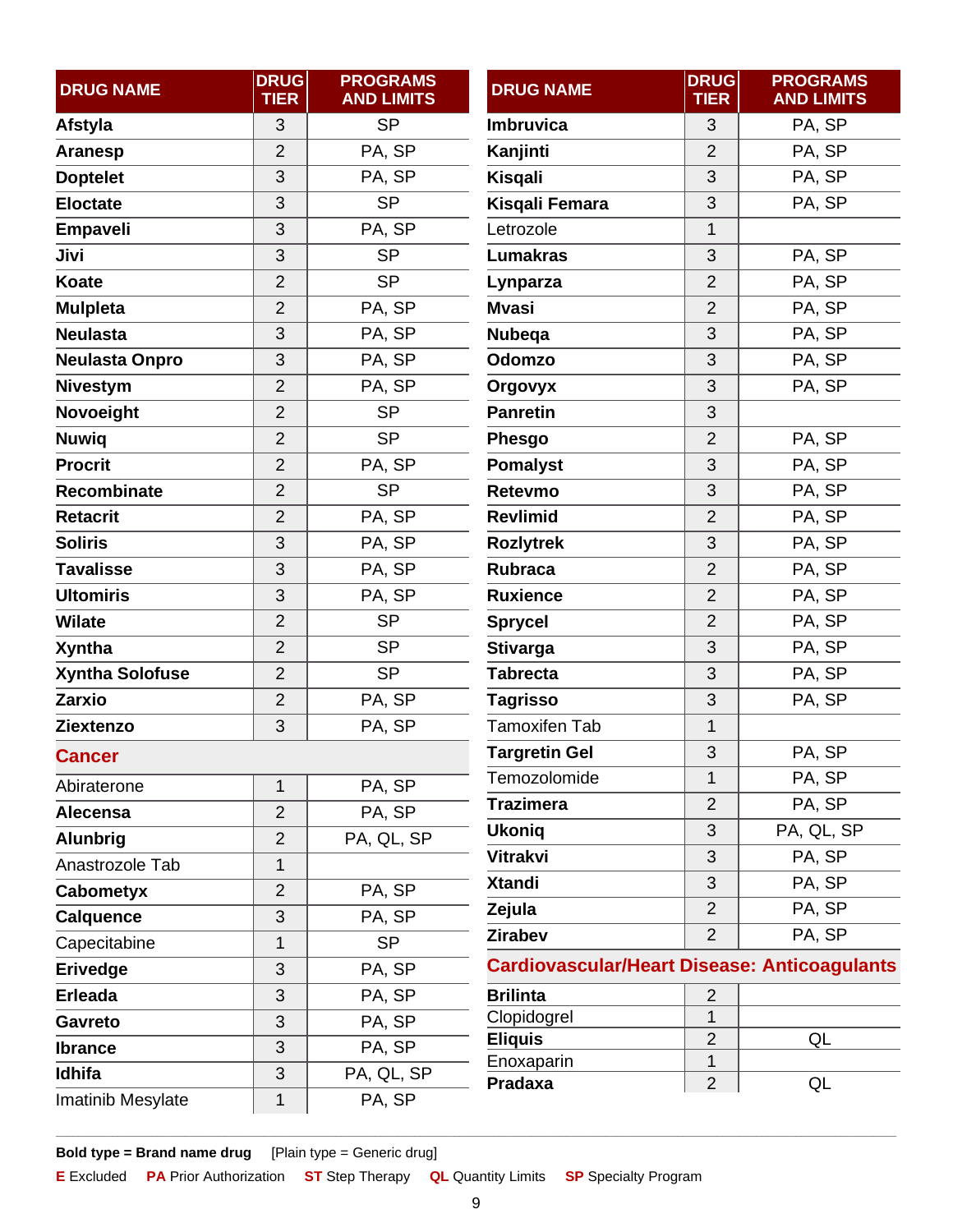<span id="page-8-1"></span><span id="page-8-0"></span>

| <b>DRUG NAME</b>       | <b>DRUG</b><br><b>TIER</b> | <b>PROGRAMS</b><br><b>AND LIMITS</b> | <b>DRUG NAME</b>                                    | <b>DRUG</b><br><b>TIER</b> | <b>PROGRAMS</b><br><b>AND LIMITS</b> |
|------------------------|----------------------------|--------------------------------------|-----------------------------------------------------|----------------------------|--------------------------------------|
| Afstyla                | 3                          | <b>SP</b>                            | <b>Imbruvica</b>                                    | 3                          | PA, SP                               |
| <b>Aranesp</b>         | $\overline{2}$             | PA, SP                               | Kanjinti                                            | $\overline{2}$             | PA, SP                               |
| <b>Doptelet</b>        | 3                          | PA, SP                               | <b>Kisgali</b>                                      | 3                          | PA, SP                               |
| <b>Eloctate</b>        | 3                          | <b>SP</b>                            | Kisqali Femara                                      | 3                          | PA, SP                               |
| Empaveli               | 3                          | PA, SP                               | Letrozole                                           | 1                          |                                      |
| Jivi                   | 3                          | <b>SP</b>                            | <b>Lumakras</b>                                     | 3                          | PA, SP                               |
| <b>Koate</b>           | $\overline{2}$             | <b>SP</b>                            | Lynparza                                            | $\overline{2}$             | PA, SP                               |
| <b>Mulpleta</b>        | $\overline{2}$             | PA, SP                               | <b>Mvasi</b>                                        | $\overline{2}$             | PA, SP                               |
| <b>Neulasta</b>        | 3                          | PA, SP                               | <b>Nubega</b>                                       | 3                          | PA, SP                               |
| <b>Neulasta Onpro</b>  | 3                          | PA, SP                               | Odomzo                                              | 3                          | PA, SP                               |
| <b>Nivestym</b>        | $\overline{2}$             | PA, SP                               | Orgovyx                                             | 3                          | PA, SP                               |
| Novoeight              | $\overline{2}$             | <b>SP</b>                            | <b>Panretin</b>                                     | 3                          |                                      |
| <b>Nuwiq</b>           | $\overline{2}$             | <b>SP</b>                            | Phesgo                                              | $\overline{2}$             | PA, SP                               |
| <b>Procrit</b>         | $\overline{2}$             | PA, SP                               | <b>Pomalyst</b>                                     | 3                          | PA, SP                               |
| <b>Recombinate</b>     | $\overline{2}$             | <b>SP</b>                            | Retevmo                                             | 3                          | PA, SP                               |
| <b>Retacrit</b>        | $\overline{2}$             | PA, SP                               | <b>Revlimid</b>                                     | $\overline{2}$             | PA, SP                               |
| <b>Soliris</b>         | 3                          | PA, SP                               | <b>Rozlytrek</b>                                    | 3                          | PA, SP                               |
| <b>Tavalisse</b>       | 3                          | PA, SP                               | <b>Rubraca</b>                                      | $\overline{2}$             | PA, SP                               |
| <b>Ultomiris</b>       | 3                          | PA, SP                               | <b>Ruxience</b>                                     | $\overline{2}$             | PA, SP                               |
| <b>Wilate</b>          | $\overline{2}$             | <b>SP</b>                            | <b>Sprycel</b>                                      | $\overline{2}$             | PA, SP                               |
| <b>Xyntha</b>          | $\overline{2}$             | <b>SP</b>                            | <b>Stivarga</b>                                     | 3                          | PA, SP                               |
| <b>Xyntha Solofuse</b> | $\overline{2}$             | <b>SP</b>                            | <b>Tabrecta</b>                                     | 3                          | PA, SP                               |
| <b>Zarxio</b>          | $\overline{2}$             | PA, SP                               | <b>Tagrisso</b>                                     | 3                          | PA, SP                               |
| Ziextenzo              | 3                          | PA, SP                               | <b>Tamoxifen Tab</b>                                | 1                          |                                      |
| <b>Cancer</b>          |                            |                                      | <b>Targretin Gel</b>                                | 3                          | PA, SP                               |
| Abiraterone            | 1                          | PA, SP                               | Temozolomide                                        | 1                          | PA, SP                               |
| Alecensa               | $\overline{2}$             | PA, SP                               | <b>Trazimera</b>                                    | $\overline{2}$             | PA, SP                               |
| <b>Alunbrig</b>        | $\overline{2}$             | PA, QL, SP                           | <b>Ukoniq</b>                                       | 3                          | PA, QL, SP                           |
| Anastrozole Tab        | 1                          |                                      | <b>Vitrakvi</b>                                     | 3                          | PA, SP                               |
| <b>Cabometyx</b>       | $\overline{2}$             | PA, SP                               | <b>Xtandi</b>                                       | 3                          | PA, SP                               |
| <b>Calquence</b>       | 3                          | PA, SP                               | Zejula                                              | $\overline{2}$             | PA, SP                               |
| Capecitabine           | 1                          | <b>SP</b>                            | <b>Zirabev</b>                                      | $\overline{2}$             | PA, SP                               |
| Erivedge               | 3                          | PA, SP                               | <b>Cardiovascular/Heart Disease: Anticoagulants</b> |                            |                                      |
| <b>Erleada</b>         | 3                          | PA, SP                               | <b>Brilinta</b>                                     | $\overline{2}$             |                                      |
| <b>Gavreto</b>         | 3                          | PA, SP                               | Clopidogrel                                         | 1                          |                                      |
| <b>Ibrance</b>         | 3                          | PA, SP                               | <b>Eliquis</b>                                      | $\overline{2}$             | QL                                   |
| Idhifa                 | 3                          | PA, QL, SP                           | Enoxaparin                                          | 1                          |                                      |
| Imatinib Mesylate      | $\mathbf{1}$               | PA, SP                               | Pradaxa                                             | $\overline{2}$             | QL                                   |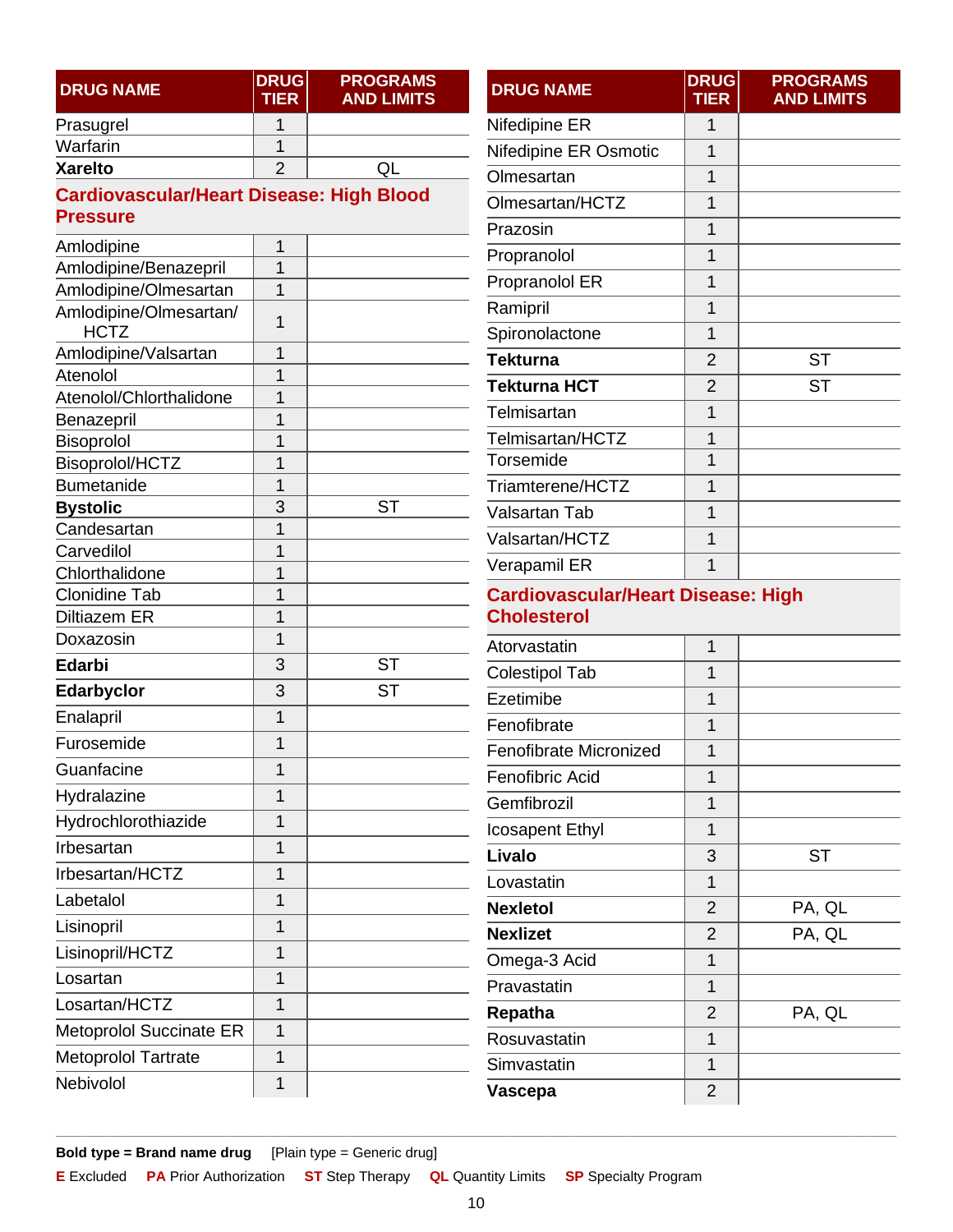<span id="page-9-1"></span><span id="page-9-0"></span>

| <b>DRUG NAME</b>                                | <b>DRUG</b><br><b>TIER</b> | <b>PROGRAMS</b><br><b>AND LIMITS</b> | <b>DRUG NAME</b>              | <b>DRUG</b><br><b>TIER</b>                                      | <b>PROGRAMS</b><br><b>AND LIMITS</b> |  |
|-------------------------------------------------|----------------------------|--------------------------------------|-------------------------------|-----------------------------------------------------------------|--------------------------------------|--|
| Prasugrel                                       | 1                          |                                      | Nifedipine ER                 | $\mathbf{1}$                                                    |                                      |  |
| Warfarin                                        | 1                          |                                      | Nifedipine ER Osmotic         | 1                                                               |                                      |  |
| <b>Xarelto</b>                                  | $\overline{2}$             | QL                                   | Olmesartan                    | 1                                                               |                                      |  |
| <b>Cardiovascular/Heart Disease: High Blood</b> |                            |                                      | Olmesartan/HCTZ               | $\mathbf{1}$                                                    |                                      |  |
| <b>Pressure</b>                                 |                            |                                      | Prazosin                      | $\overline{1}$                                                  |                                      |  |
| Amlodipine                                      | $\mathbf 1$                |                                      | Propranolol                   | $\mathbf{1}$                                                    |                                      |  |
| Amlodipine/Benazepril                           | $\overline{1}$             |                                      | Propranolol ER                | 1                                                               |                                      |  |
| Amlodipine/Olmesartan                           | $\mathbf 1$                |                                      | Ramipril                      | 1                                                               |                                      |  |
| Amlodipine/Olmesartan/<br><b>HCTZ</b>           | $\mathbf{1}$               |                                      | Spironolactone                | $\mathbf{1}$                                                    |                                      |  |
| Amlodipine/Valsartan                            | $\mathbf 1$                |                                      | <b>Tekturna</b>               | $\overline{2}$                                                  | <b>ST</b>                            |  |
| Atenolol                                        | $\mathbf{1}$               |                                      | <b>Tekturna HCT</b>           | $\overline{2}$                                                  | <b>ST</b>                            |  |
| Atenolol/Chlorthalidone                         | $\mathbf{1}$               |                                      | Telmisartan                   | 1                                                               |                                      |  |
| Benazepril<br>Bisoprolol                        | $\mathbf{1}$<br>1          |                                      | Telmisartan/HCTZ              | 1                                                               |                                      |  |
| Bisoprolol/HCTZ                                 | $\mathbf{1}$               |                                      | Torsemide                     | $\mathbf{1}$                                                    |                                      |  |
| <b>Bumetanide</b>                               | $\overline{1}$             |                                      | Triamterene/HCTZ              | $\mathbf{1}$                                                    |                                      |  |
| <b>Bystolic</b>                                 | 3                          | <b>ST</b>                            | <b>Valsartan Tab</b>          | $\mathbf{1}$                                                    |                                      |  |
| Candesartan                                     | 1                          |                                      | Valsartan/HCTZ                | $\mathbf{1}$                                                    |                                      |  |
| Carvedilol                                      | $\mathbf{1}$               |                                      | Verapamil ER                  | $\overline{1}$                                                  |                                      |  |
| Chlorthalidone                                  | $\mathbf 1$                |                                      |                               |                                                                 |                                      |  |
| <b>Clonidine Tab</b><br><b>Diltiazem ER</b>     | 1<br>$\mathbf{1}$          |                                      |                               | <b>Cardiovascular/Heart Disease: High</b><br><b>Cholesterol</b> |                                      |  |
| Doxazosin                                       | $\mathbf{1}$               |                                      |                               |                                                                 |                                      |  |
| <b>Edarbi</b>                                   | 3                          | <b>ST</b>                            | Atorvastatin                  | $\mathbf{1}$                                                    |                                      |  |
| Edarbyclor                                      | 3                          | <b>ST</b>                            | <b>Colestipol Tab</b>         | 1                                                               |                                      |  |
|                                                 | 1                          |                                      | Ezetimibe                     | $\mathbf{1}$                                                    |                                      |  |
| Enalapril<br>Furosemide                         | $\mathbf 1$                |                                      | Fenofibrate                   | $\mathbf{1}$                                                    |                                      |  |
|                                                 |                            |                                      | <b>Fenofibrate Micronized</b> | $\mathbf{1}$                                                    |                                      |  |
| Guanfacine                                      | $\mathbf 1$                |                                      | Fenofibric Acid               | 1                                                               |                                      |  |
| Hydralazine                                     | $\mathbf 1$                |                                      | Gemfibrozil                   | 1                                                               |                                      |  |
| Hydrochlorothiazide                             | $\mathbf 1$                |                                      | <b>Icosapent Ethyl</b>        | $\mathbf 1$                                                     |                                      |  |
| Irbesartan                                      | $\mathbf 1$                |                                      | Livalo                        | 3                                                               | <b>ST</b>                            |  |
| Irbesartan/HCTZ                                 | $\overline{1}$             |                                      | Lovastatin                    | $\mathbf{1}$                                                    |                                      |  |
| Labetalol                                       | $\mathbf{1}$               |                                      | <b>Nexletol</b>               | $\overline{2}$                                                  | PA, QL                               |  |
| Lisinopril                                      | $\mathbf 1$                |                                      | <b>Nexlizet</b>               | $\overline{2}$                                                  | PA, QL                               |  |
| Lisinopril/HCTZ                                 | $\mathbf 1$                |                                      | Omega-3 Acid                  | $\mathbf 1$                                                     |                                      |  |
| Losartan                                        | $\mathbf 1$                |                                      | Pravastatin                   | $\mathbf{1}$                                                    |                                      |  |
| Losartan/HCTZ                                   | $\overline{1}$             |                                      | Repatha                       | $\overline{2}$                                                  | PA, QL                               |  |
| <b>Metoprolol Succinate ER</b>                  | $\mathbf{1}$               |                                      | Rosuvastatin                  | $\mathbf{1}$                                                    |                                      |  |
| Metoprolol Tartrate                             | $\mathbf{1}$               |                                      | Simvastatin                   | $\mathbf 1$                                                     |                                      |  |
| Nebivolol                                       | 1                          |                                      | Vascepa                       | $\overline{2}$                                                  |                                      |  |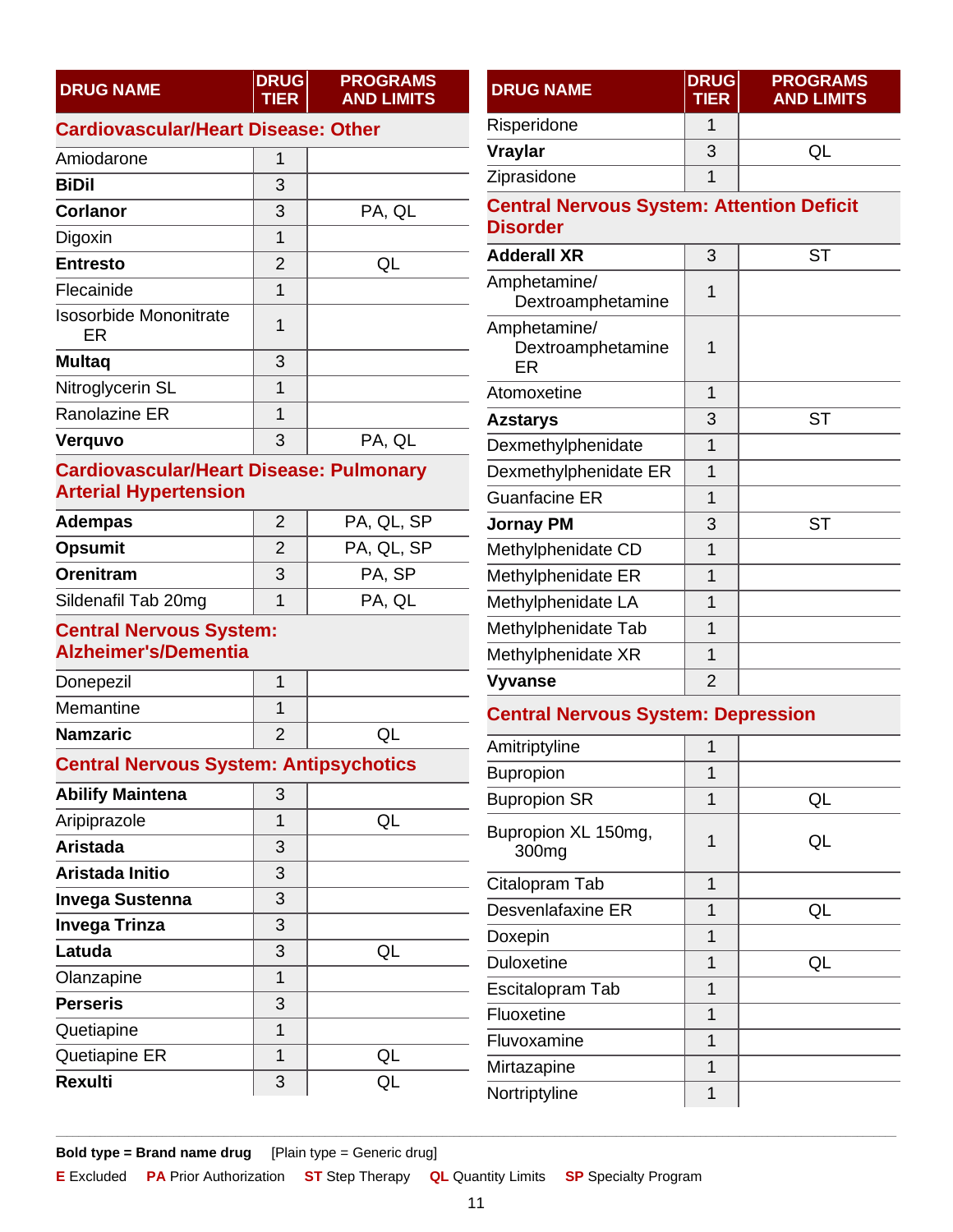| <b>DRUG NAME</b> | <b>DRUG</b><br><b>TIER</b> | <b>PROGRAMS</b><br><b>AND LIMITS</b> |
|------------------|----------------------------|--------------------------------------|
|------------------|----------------------------|--------------------------------------|

### <span id="page-10-0"></span>**Cardiovascular/Heart Disease: Other**

| Amiodarone                          | 1              |        |
|-------------------------------------|----------------|--------|
| <b>BiDil</b>                        | 3              |        |
| <b>Corlanor</b>                     | 3              | PA, QL |
| Digoxin                             | 1              |        |
| <b>Entresto</b>                     | $\overline{2}$ | OL     |
| Flecainide                          | 1              |        |
| <b>Isosorbide Mononitrate</b><br>ER | 1              |        |
| <b>Multaq</b>                       | 3              |        |
| Nitroglycerin SL                    | 1              |        |
| <b>Ranolazine ER</b>                | 1              |        |
| Verquvo                             | 3              | PA, QL |

### <span id="page-10-1"></span>**Cardiovascular/Heart Disease: Pulmonary Arterial Hypertension**

| <b>Adempas</b>      | 2 | PA, QL, SP |
|---------------------|---|------------|
| <b>Opsumit</b>      | 2 | PA, QL, SP |
| Orenitram           | 3 | PA, SP     |
| Sildenafil Tab 20mg |   | PA. QL     |

#### <span id="page-10-2"></span>**Central Nervous System: Alzheimer's/Dementia**

| Donepezil       |  |
|-----------------|--|
| Memantine       |  |
| <b>Namzaric</b> |  |

### <span id="page-10-3"></span>**Central Nervous System: Antipsychotics**

|                         |   |    | <b>DUPIONI</b>     |
|-------------------------|---|----|--------------------|
| <b>Abilify Maintena</b> | 3 |    | <b>Bupropion</b>   |
| Aripiprazole            | 1 | QL | <b>Bupropion</b>   |
| <b>Aristada</b>         | 3 |    | 300 <sub>mg</sub>  |
| Aristada Initio         | 3 |    |                    |
| <b>Invega Sustenna</b>  | 3 |    | Citalopram         |
|                         |   |    | Desvenlafa         |
| <b>Invega Trinza</b>    | 3 |    | Doxepin            |
| Latuda                  | 3 | QL |                    |
|                         |   |    | <b>Duloxetine</b>  |
| Olanzapine              | 1 |    | Escitalopra        |
| <b>Perseris</b>         | 3 |    |                    |
|                         |   |    | Fluoxetine         |
| Quetiapine              | 1 |    | Fluvoxamir         |
| Quetiapine ER           | 1 | QL |                    |
|                         |   |    | <b>Mirtazapine</b> |
| <b>Rexulti</b>          | 3 | QL | Nortriptylin       |

<span id="page-10-4"></span>

| <b>DRUG NAME</b>                                                    | <b>DRUG</b><br><b>TIER</b> | <b>PROGRAMS</b><br><b>AND LIMITS</b> |
|---------------------------------------------------------------------|----------------------------|--------------------------------------|
| Risperidone                                                         | 1                          |                                      |
| <b>Vraylar</b>                                                      | 3                          | QL                                   |
| Ziprasidone                                                         | 1                          |                                      |
| <b>Central Nervous System: Attention Deficit</b><br><b>Disorder</b> |                            |                                      |
| <b>Adderall XR</b>                                                  | 3                          | <b>ST</b>                            |
| Amphetamine/<br>Dextroamphetamine                                   | 1                          |                                      |
| Amphetamine/<br>Dextroamphetamine<br>ER                             | 1                          |                                      |
| Atomoxetine                                                         | 1                          |                                      |
| <b>Azstarys</b>                                                     | 3                          | <b>ST</b>                            |
| Dexmethylphenidate                                                  | $\overline{1}$             |                                      |
| Dexmethylphenidate ER                                               | 1                          |                                      |
| <b>Guanfacine ER</b>                                                | 1                          |                                      |
| <b>Jornay PM</b>                                                    | 3                          | <b>ST</b>                            |
| Methylphenidate CD                                                  | $\overline{1}$             |                                      |
| Methylphenidate ER                                                  | 1                          |                                      |
| Methylphenidate LA                                                  | 1                          |                                      |
| Methylphenidate Tab                                                 | 1                          |                                      |
| Methylphenidate XR                                                  | 1                          |                                      |
| <b>Vyvanse</b>                                                      | 2                          |                                      |
| <b>Central Nervous System: Depression</b>                           |                            |                                      |
| Amitriptyline                                                       | 1                          |                                      |
| Bupropion                                                           | 1                          |                                      |
| <b>Bupropion SR</b>                                                 | $\overline{1}$             | QL                                   |
| Bupropion XL 150mg,<br>300mg                                        | 1                          | QL                                   |
| Citalopram Tab                                                      | $\overline{1}$             |                                      |
| Desvenlafaxine ER                                                   | 1                          | QL                                   |
| Doxepin                                                             | 1                          |                                      |

 $QL$ 

 $\mathbf{1}$ 

 $\mathbf{1}$ 

 $\mathbf{1}$ 

 $\overline{1}$ 

 $\mathbf{1}$ 

 $\mathbf{1}$ 

Bold type = Brand name drug [Plain type = Generic drug]

**E** Excluded **PA** Prior Authorization **ST** Step Therapy **QL** Quantity Limits **SP** Specialty Program

Fluvoxamine

Mirtazapine

Nortriptyline

<span id="page-10-5"></span>Escitalopram Tab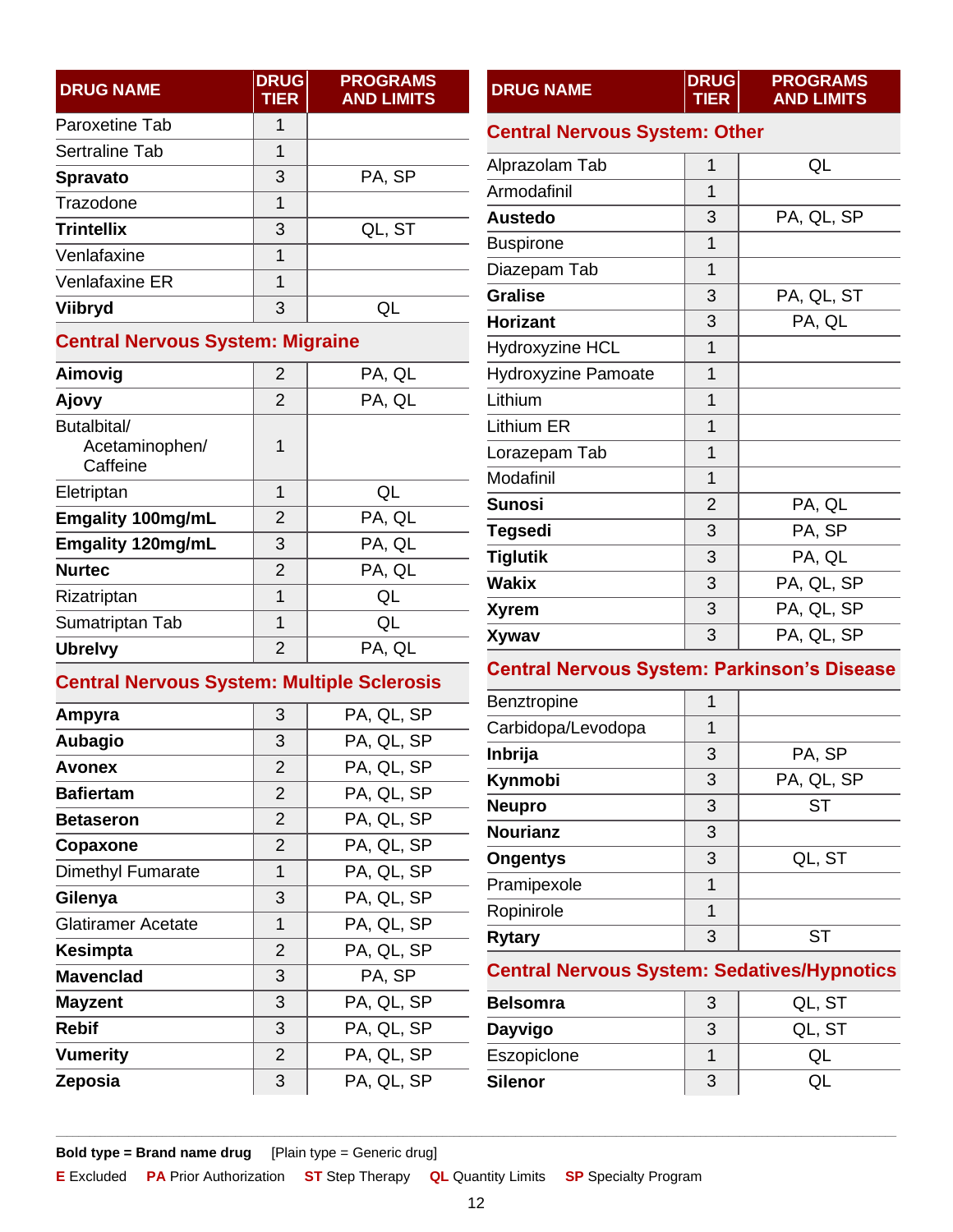| <b>DRUG NAME</b>  | <b>DRUG</b><br><b>TIER</b> | <b>PROGRAMS</b><br><b>AND LIMITS</b> |
|-------------------|----------------------------|--------------------------------------|
| Paroxetine Tab    | 1                          |                                      |
| Sertraline Tab    | 1                          |                                      |
| <b>Spravato</b>   | 3                          | PA, SP                               |
| Trazodone         | 1                          |                                      |
| <b>Trintellix</b> | 3                          | QL, ST                               |
| Venlafaxine       | 1                          |                                      |
| Venlafaxine ER    | 1                          |                                      |
| Viibryd           | 3                          |                                      |

### <span id="page-11-0"></span>**Central Nervous System: Migraine**

| Aimovig                                   | $\overline{2}$ | PA, QL |
|-------------------------------------------|----------------|--------|
| Ajovy                                     | $\overline{2}$ | PA, QL |
| Butalbital/<br>Acetaminophen/<br>Caffeine | 1              |        |
| Eletriptan                                | 1              | QL     |
| <b>Emgality 100mg/mL</b>                  | 2              | PA, QL |
| <b>Emgality 120mg/mL</b>                  | 3              | PA, QL |
| <b>Nurtec</b>                             | $\overline{2}$ | PA, QL |
| Rizatriptan                               | 1              | QL     |
| Sumatriptan Tab                           | 1              | QL     |
| <b>Ubrelvy</b>                            | 2              | PA, QL |

### <span id="page-11-1"></span>**Central Nervous System: Multiple Sclerosis**

| Ampyra             | 3              | PA, QL, SP |
|--------------------|----------------|------------|
| Aubagio            | 3              | PA, QL, SP |
| Avonex             | $\overline{2}$ | PA, QL, SP |
| <b>Bafiertam</b>   | $\overline{2}$ | PA, QL, SP |
| <b>Betaseron</b>   | $\overline{2}$ | PA, QL, SP |
| Copaxone           | $\overline{2}$ | PA, QL, SP |
| Dimethyl Fumarate  | 1              | PA, QL, SP |
| Gilenya            | 3              | PA, QL, SP |
| Glatiramer Acetate | 1              | PA, QL, SP |
| Kesimpta           | $\overline{2}$ | PA, QL, SP |
| <b>Mavenclad</b>   | 3              | PA, SP     |
| <b>Mayzent</b>     | 3              | PA, QL, SP |
| Rebif              | 3              | PA, QL, SP |
| <b>Vumerity</b>    | $\overline{2}$ | PA, QL, SP |
| Zeposia            | 3              | PA, QL, SP |
|                    |                |            |

<span id="page-11-2"></span>

| <b>DRUG NAME</b>                     | <b>DRUG</b><br><b>TIER</b> | <b>PROGRAMS</b><br><b>AND LIMITS</b> |
|--------------------------------------|----------------------------|--------------------------------------|
| <b>Central Nervous System: Other</b> |                            |                                      |
| Alprazolam Tab                       | 1                          | QL                                   |
| Armodafinil                          | 1                          |                                      |
| <b>Austedo</b>                       | 3                          | PA, QL, SP                           |
| <b>Buspirone</b>                     | 1                          |                                      |
| Diazepam Tab                         | 1                          |                                      |
| <b>Gralise</b>                       | 3                          | PA, QL, ST                           |
| <b>Horizant</b>                      | 3                          | PA, QL                               |
| <b>Hydroxyzine HCL</b>               | 1                          |                                      |
| <b>Hydroxyzine Pamoate</b>           | $\overline{1}$             |                                      |
| Lithium                              | $\overline{1}$             |                                      |
| Lithium ER                           | 1                          |                                      |
| Lorazepam Tab                        | 1                          |                                      |
| Modafinil                            | 1                          |                                      |
| <b>Sunosi</b>                        | $\overline{2}$             | PA, QL                               |
| <b>Tegsedi</b>                       | 3                          | PA, SP                               |
| <b>Tiglutik</b>                      | 3                          | PA, QL                               |
| Wakix                                | 3                          | PA, QL, SP                           |
| Xyrem                                | 3                          | PA, QL, SP                           |
| Xywav                                | 3                          | PA, QL, SP                           |

### <span id="page-11-3"></span>**Central Nervous System: Parkinson's Disease**

| <b>Benztropine</b> | 1 |            |
|--------------------|---|------------|
| Carbidopa/Levodopa | 1 |            |
| Inbrija            | 3 | PA, SP     |
| Kynmobi            | 3 | PA, QL, SP |
| <b>Neupro</b>      | 3 | <b>ST</b>  |
| <b>Nourianz</b>    | 3 |            |
| <b>Ongentys</b>    | 3 | QL, ST     |
| Pramipexole        | 1 |            |
| Ropinirole         | 1 |            |
| <b>Rytary</b>      | 3 |            |

### <span id="page-11-4"></span>**Central Nervous System: Sedatives/Hypnotics**

| Belsomra    |   | QL, ST |
|-------------|---|--------|
| Dayvigo     | 3 | QL, ST |
| Eszopiclone |   |        |
| Silenor     | 3 |        |

**Bold type = Brand name drug** [Plain type = Generic drug]

**E** Excluded **PA** Prior Authorization **ST** Step Therapy **QL** Quantity Limits **SP** Specialty Program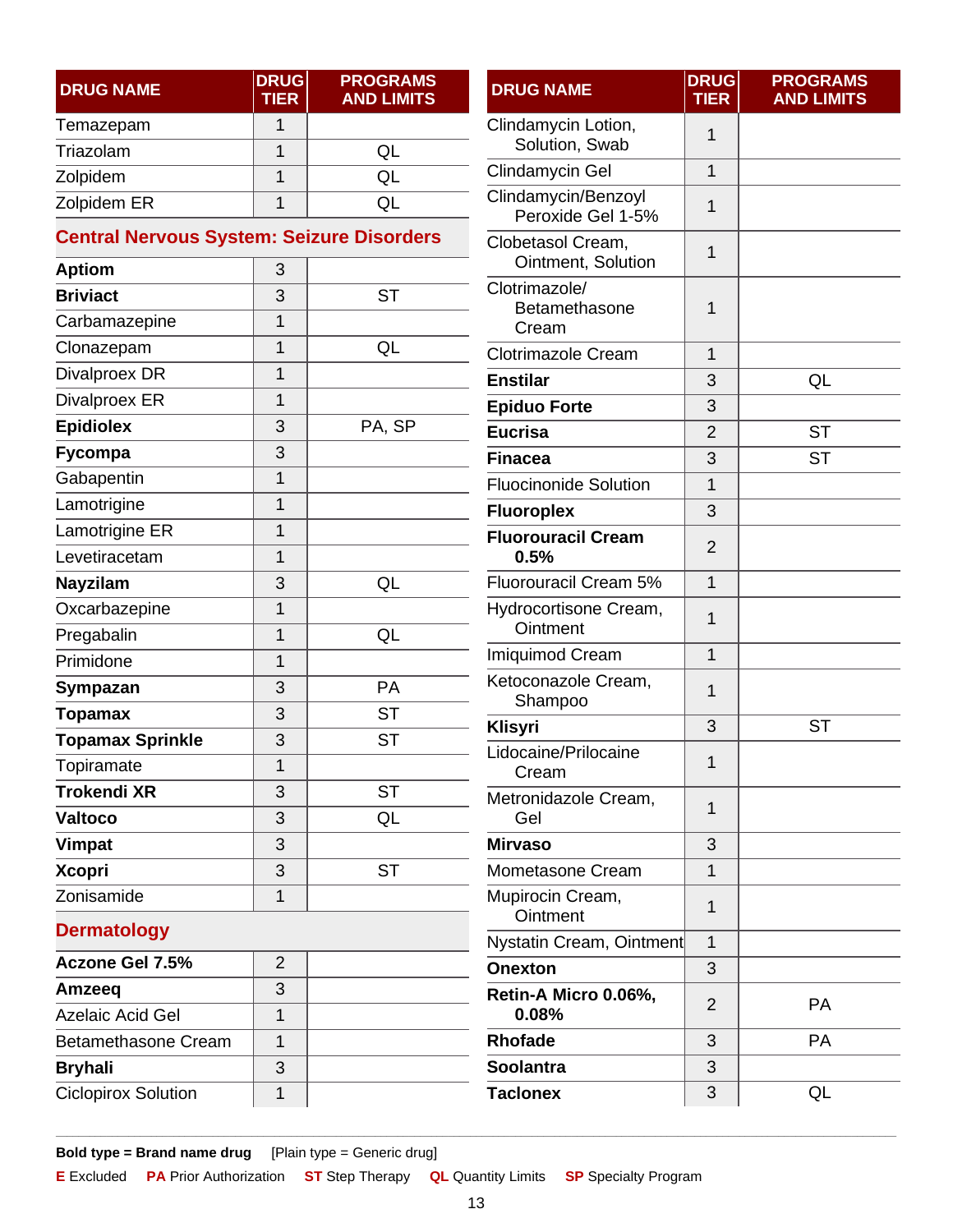| <b>DRUG NAME</b> | <b>DRUG</b><br><b>TIER</b> | <b>PROGRAMS</b><br><b>AND LIMITS</b> |
|------------------|----------------------------|--------------------------------------|
| Temazepam        |                            |                                      |
| Triazolam        |                            | QL                                   |
| Zolpidem         |                            | UC)                                  |
| Zolpidem ER      |                            |                                      |

### <span id="page-12-0"></span>**Central Nervous System: Seizure Disorders**

| <b>Aptiom</b>           | 3              |           |
|-------------------------|----------------|-----------|
| <b>Briviact</b>         | 3              | <b>ST</b> |
| Carbamazepine           | 1              |           |
| Clonazepam              | 1              | QL        |
| Divalproex DR           | 1              |           |
| Divalproex ER           | $\overline{1}$ |           |
| <b>Epidiolex</b>        | 3              | PA, SP    |
| Fycompa                 | 3              |           |
| Gabapentin              | $\overline{1}$ |           |
| Lamotrigine             | 1              |           |
| Lamotrigine ER          | 1              |           |
| Levetiracetam           | 1              |           |
| <b>Nayzilam</b>         | 3              | QL        |
| Oxcarbazepine           | $\overline{1}$ |           |
| Pregabalin              | $\overline{1}$ | QL        |
| Primidone               | 1              |           |
| Sympazan                | 3              | PA        |
| Topamax                 | 3              | <b>ST</b> |
| <b>Topamax Sprinkle</b> | 3              | <b>ST</b> |
| Topiramate              | 1              |           |
| <b>Trokendi XR</b>      | 3              | <b>ST</b> |
| <b>Valtoco</b>          | 3              | QL        |
| Vimpat                  | 3              |           |
| <b>Xcopri</b>           | 3              | <b>ST</b> |
| Zonisamide              | 1              |           |
|                         |                |           |

| Clindamycin Lotion,<br>Solution, Swab    | 1              |           |
|------------------------------------------|----------------|-----------|
| Clindamycin Gel                          | 1              |           |
| Clindamycin/Benzoyl<br>Peroxide Gel 1-5% | 1              |           |
| Clobetasol Cream,<br>Ointment, Solution  | 1              |           |
| Clotrimazole/<br>Betamethasone<br>Cream  | 1              |           |
| <b>Clotrimazole Cream</b>                | 1              |           |
| <b>Enstilar</b>                          | 3              | QL        |
| <b>Epiduo Forte</b>                      | 3              |           |
| <b>Eucrisa</b>                           | $\overline{2}$ | <b>ST</b> |
| <b>Finacea</b>                           | 3              | <b>ST</b> |
| <b>Fluocinonide Solution</b>             | 1              |           |
| <b>Fluoroplex</b>                        | 3              |           |
| <b>Fluorouracil Cream</b><br>0.5%        | $\overline{2}$ |           |
| Fluorouracil Cream 5%                    | $\overline{1}$ |           |
| Hydrocortisone Cream,<br>Ointment        | 1              |           |
| <b>Imiquimod Cream</b>                   | 1              |           |
| Ketoconazole Cream,<br>Shampoo           | 1              |           |
| Klisyri                                  | 3              | <b>ST</b> |
| Lidocaine/Prilocaine<br>Cream            | $\overline{1}$ |           |
| Metronidazole Cream,<br>Gel              | 1              |           |
| <b>Mirvaso</b>                           | 3              |           |
| Mometasone Cream                         | 1              |           |
| Mupirocin Cream,<br>Ointment             | 1              |           |
| Nystatin Cream, Ointment                 | 1              |           |
| Onexton                                  | 3              |           |
| Retin-A Micro 0.06%,<br>0.08%            | $\overline{2}$ | <b>PA</b> |
| <b>Rhofade</b>                           | 3              | PA        |
| <b>Soolantra</b>                         | 3              |           |
| <b>Taclonex</b>                          | 3              | QL        |

**DRUG NAME DRUG**

**TIER**

**PROGRAMS AND LIMITS**

### <span id="page-12-1"></span>**Dermatology**

| <b>Aczone Gel 7.5%</b>     | 2 |  |
|----------------------------|---|--|
| Amzeeq                     | 3 |  |
| <b>Azelaic Acid Gel</b>    |   |  |
| <b>Betamethasone Cream</b> |   |  |
| <b>Bryhali</b>             | 3 |  |
| <b>Ciclopirox Solution</b> |   |  |

**Bold type = Brand name drug** [Plain type = Generic drug]

**E** Excluded **PA** Prior Authorization **ST** Step Therapy **QL** Quantity Limits **SP** Specialty Program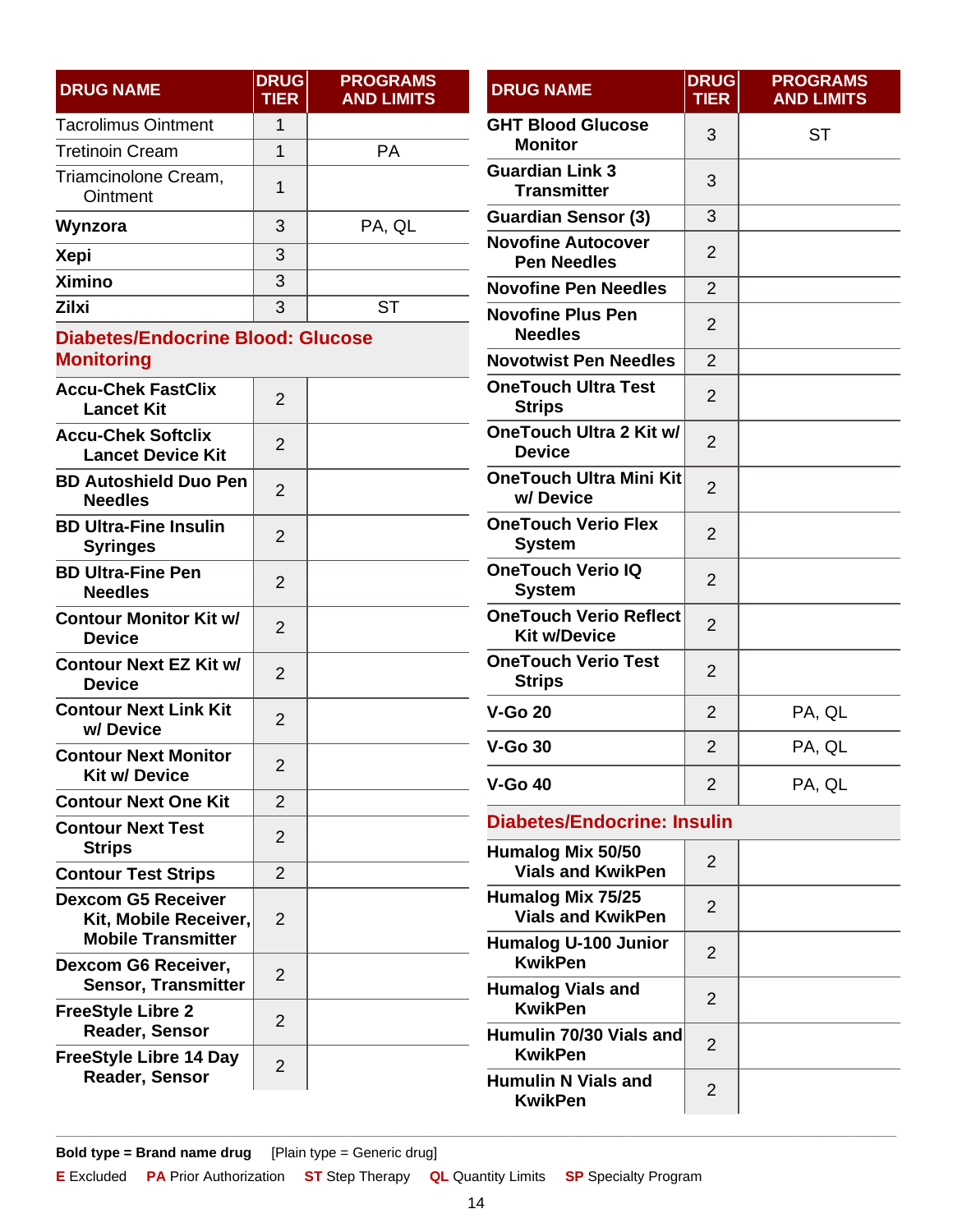| <b>DRUG NAME</b>                 | <b>DRUG</b><br><b>TIER</b> | <b>PROGRAMS</b><br><b>AND LIMITS</b> |
|----------------------------------|----------------------------|--------------------------------------|
| <b>Tacrolimus Ointment</b>       | 1                          |                                      |
| <b>Tretinoin Cream</b>           | 1                          | РA                                   |
| Triamcinolone Cream,<br>Ointment | 1                          |                                      |
| Wynzora                          | 3                          | PA, QL                               |
| <b>Xepi</b>                      | 3                          |                                      |
| <b>Ximino</b>                    | 3                          |                                      |
| <b>Zilxi</b>                     | 3                          |                                      |

### <span id="page-13-0"></span>**Diabetes/Endocrine Blood: Glucose Monitoring**

| <b>Accu-Chek FastClix</b><br><b>Lancet Kit</b>                                  | $\overline{2}$ |  |
|---------------------------------------------------------------------------------|----------------|--|
| <b>Accu-Chek Softclix</b><br><b>Lancet Device Kit</b>                           | 2              |  |
| <b>BD Autoshield Duo Pen</b><br><b>Needles</b>                                  | $\overline{2}$ |  |
| <b>BD Ultra-Fine Insulin</b><br><b>Syringes</b>                                 | $\overline{2}$ |  |
| <b>BD Ultra-Fine Pen</b><br><b>Needles</b>                                      | 2              |  |
| <b>Contour Monitor Kit w/</b><br><b>Device</b>                                  | $\overline{2}$ |  |
| <b>Contour Next EZ Kit w/</b><br><b>Device</b>                                  | 2              |  |
| <b>Contour Next Link Kit</b><br>w/Device                                        | 2              |  |
| <b>Contour Next Monitor</b><br><b>Kit w/ Device</b>                             | $\overline{2}$ |  |
| <b>Contour Next One Kit</b>                                                     | $\overline{2}$ |  |
| <b>Contour Next Test</b><br><b>Strips</b>                                       | $\overline{2}$ |  |
| <b>Contour Test Strips</b>                                                      | $\mathfrak{p}$ |  |
| <b>Dexcom G5 Receiver</b><br>Kit, Mobile Receiver,<br><b>Mobile Transmitter</b> | $\overline{2}$ |  |
| <b>Dexcom G6 Receiver,</b><br><b>Sensor, Transmitter</b>                        | $\overline{2}$ |  |
| <b>FreeStyle Libre 2</b><br>Reader, Sensor                                      | 2              |  |
| <b>FreeStyle Libre 14 Day</b><br><b>Reader, Sensor</b>                          | 2              |  |

| <b>DRUG NAME</b>                                     | <b>DRUG</b><br><b>TIER</b> | <b>PROGRAMS</b><br><b>AND LIMITS</b> |
|------------------------------------------------------|----------------------------|--------------------------------------|
| <b>GHT Blood Glucose</b><br><b>Monitor</b>           | 3                          | ST                                   |
| <b>Guardian Link 3</b><br><b>Transmitter</b>         | 3                          |                                      |
| <b>Guardian Sensor (3)</b>                           | 3                          |                                      |
| <b>Novofine Autocover</b><br><b>Pen Needles</b>      | $\overline{2}$             |                                      |
| <b>Novofine Pen Needles</b>                          | 2                          |                                      |
| <b>Novofine Plus Pen</b><br><b>Needles</b>           | 2                          |                                      |
| <b>Novotwist Pen Needles</b>                         | $\overline{2}$             |                                      |
| <b>OneTouch Ultra Test</b><br><b>Strips</b>          | $\overline{2}$             |                                      |
| <b>OneTouch Ultra 2 Kit w/</b><br><b>Device</b>      | $\overline{2}$             |                                      |
| <b>OneTouch Ultra Mini Kit</b><br>w/Device           | $\overline{2}$             |                                      |
| <b>OneTouch Verio Flex</b><br><b>System</b>          | 2                          |                                      |
| <b>OneTouch Verio IQ</b><br><b>System</b>            | $\overline{2}$             |                                      |
| <b>OneTouch Verio Reflect</b><br><b>Kit w/Device</b> | $\overline{2}$             |                                      |
| <b>OneTouch Verio Test</b><br><b>Strips</b>          | 2                          |                                      |
| <b>V-Go 20</b>                                       | $\overline{2}$             | PA, QL                               |
| $V-Go30$                                             | $\overline{2}$             | PA, QL                               |
| <b>V-Go 40</b>                                       | $\overline{2}$             | PA, QL                               |
|                                                      |                            |                                      |

#### <span id="page-13-1"></span>**Diabetes/Endocrine: Insulin**

| Humalog Mix 50/50<br><b>Vials and KwikPen</b> | 2             |  |
|-----------------------------------------------|---------------|--|
| Humalog Mix 75/25<br><b>Vials and KwikPen</b> | 2             |  |
| <b>Humalog U-100 Junior</b><br><b>KwikPen</b> | 2             |  |
| <b>Humalog Vials and</b><br><b>KwikPen</b>    | 2             |  |
| Humulin 70/30 Vials and<br><b>KwikPen</b>     | $\mathcal{P}$ |  |
| <b>Humulin N Vials and</b><br><b>KwikPen</b>  | $\mathcal{P}$ |  |

**Bold type = Brand name drug** [Plain type = Generic drug]

**E** Excluded **PA** Prior Authorization **ST** Step Therapy **QL** Quantity Limits **SP** Specialty Program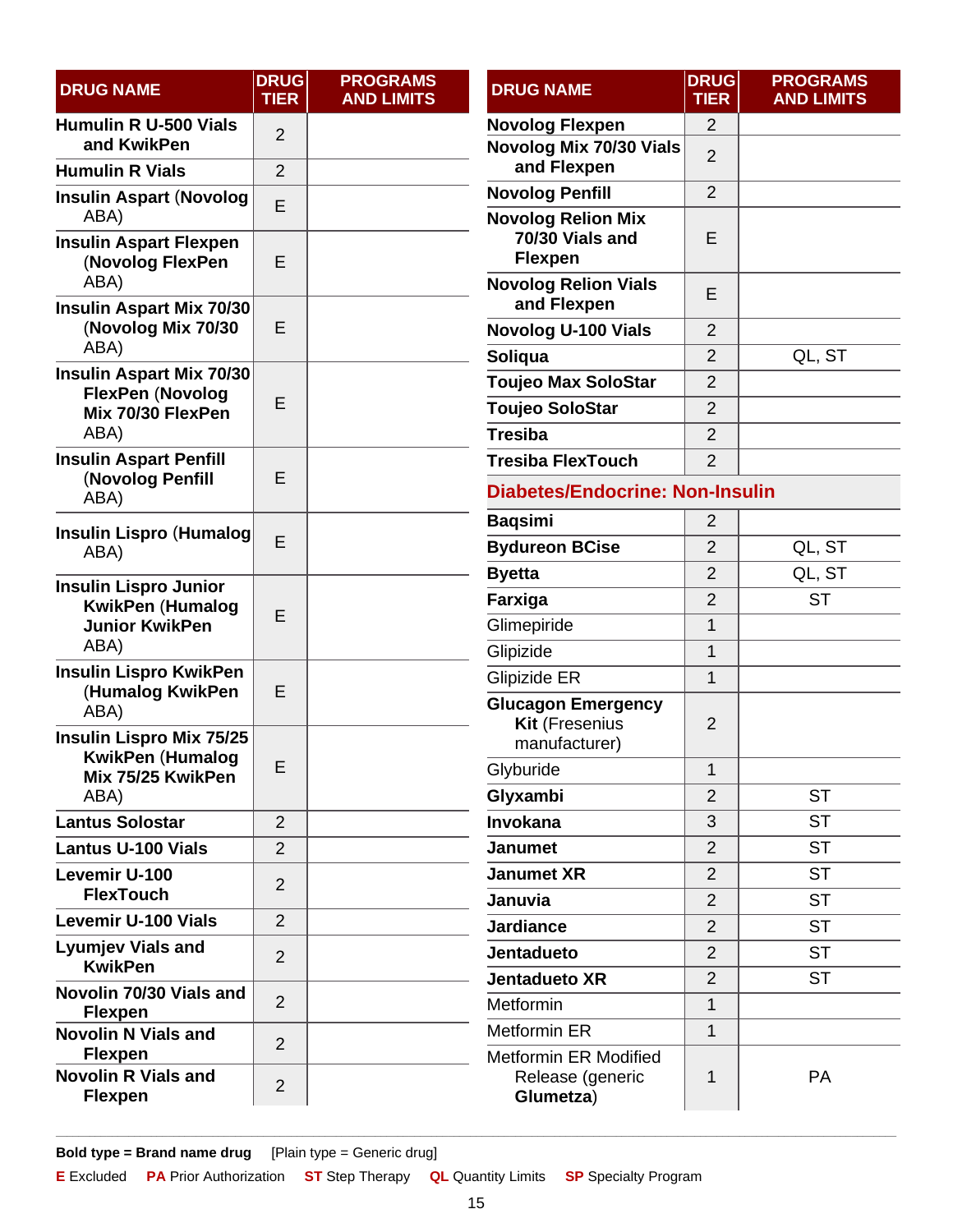<span id="page-14-0"></span>

| <b>DRUG NAME</b>                                          | <b>DRUG</b><br><b>TIER</b> | <b>PROGRAMS</b><br><b>AND LIMITS</b> | <b>DRUG NAME</b>                                                    | <b>DRUG</b><br><b>TIER</b> | <b>PROGRAMS</b><br><b>AND LIMITS</b> |
|-----------------------------------------------------------|----------------------------|--------------------------------------|---------------------------------------------------------------------|----------------------------|--------------------------------------|
| <b>Humulin R U-500 Vials</b>                              | $\overline{2}$             |                                      | <b>Novolog Flexpen</b>                                              | $\overline{2}$             |                                      |
| and KwikPen<br><b>Humulin R Vials</b>                     | $\overline{2}$             |                                      | Novolog Mix 70/30 Vials<br>and Flexpen                              | $\overline{2}$             |                                      |
| <b>Insulin Aspart (Novolog</b>                            |                            |                                      | <b>Novolog Penfill</b>                                              | $\overline{2}$             |                                      |
| ABA)<br><b>Insulin Aspart Flexpen</b><br>(Novolog FlexPen | E<br>E                     |                                      | <b>Novolog Relion Mix</b><br>70/30 Vials and<br><b>Flexpen</b>      | E                          |                                      |
| ABA)<br>Insulin Aspart Mix 70/30                          |                            |                                      | <b>Novolog Relion Vials</b><br>and Flexpen                          | E                          |                                      |
| (Novolog Mix 70/30                                        | E                          |                                      | <b>Novolog U-100 Vials</b>                                          | $\overline{2}$             |                                      |
| ABA)                                                      |                            |                                      | Soliqua                                                             | $\overline{2}$             | QL, ST                               |
| Insulin Aspart Mix 70/30<br><b>FlexPen (Novolog</b>       |                            |                                      | <b>Toujeo Max SoloStar</b>                                          | $\overline{2}$             |                                      |
| Mix 70/30 FlexPen                                         | E                          |                                      | <b>Toujeo SoloStar</b>                                              | 2                          |                                      |
| ABA)                                                      |                            |                                      | <b>Tresiba</b>                                                      | $\overline{2}$             |                                      |
| <b>Insulin Aspart Penfill</b>                             |                            |                                      | <b>Tresiba FlexTouch</b>                                            | $\overline{2}$             |                                      |
| (Novolog Penfill<br>ABA)                                  | E                          |                                      | <b>Diabetes/Endocrine: Non-Insulin</b>                              |                            |                                      |
| <b>Insulin Lispro (Humalog)</b>                           |                            |                                      | <b>Baqsimi</b>                                                      | 2                          |                                      |
| ABA)                                                      | E                          |                                      | <b>Bydureon BCise</b>                                               | $\overline{2}$             | QL, ST                               |
| <b>Insulin Lispro Junior</b>                              |                            |                                      | <b>Byetta</b>                                                       | $\overline{2}$             | QL, ST                               |
| <b>KwikPen (Humalog</b>                                   |                            | Farxiga                              |                                                                     | $\overline{2}$             | <b>ST</b>                            |
| <b>Junior KwikPen</b>                                     | E                          |                                      | Glimepiride                                                         | 1                          |                                      |
| ABA)                                                      |                            |                                      | Glipizide                                                           | 1                          |                                      |
| <b>Insulin Lispro KwikPen</b><br>(Humalog KwikPen         | E                          |                                      | Glipizide ER                                                        | $\mathbf 1$                |                                      |
| ABA)<br><b>Insulin Lispro Mix 75/25</b>                   |                            |                                      | <b>Glucagon Emergency</b><br><b>Kit (Fresenius</b><br>manufacturer) | $\overline{2}$             |                                      |
| <b>KwikPen (Humalog</b><br>Mix 75/25 KwikPen              | E                          |                                      | Glyburide                                                           | $\ddot{\textbf{1}}$        |                                      |
| ABA)                                                      |                            |                                      | Glyxambi                                                            | $\overline{2}$             | <b>ST</b>                            |
| <b>Lantus Solostar</b>                                    | $\overline{2}$             |                                      | Invokana                                                            | 3                          | <b>ST</b>                            |
| <b>Lantus U-100 Vials</b>                                 | $\overline{2}$             |                                      | <b>Janumet</b>                                                      | $\overline{2}$             | <b>ST</b>                            |
| Levemir U-100                                             | $\overline{2}$             |                                      | <b>Janumet XR</b>                                                   | $\overline{2}$             | <b>ST</b>                            |
| <b>FlexTouch</b>                                          |                            |                                      | Januvia                                                             | $\overline{2}$             | <b>ST</b>                            |
| <b>Levemir U-100 Vials</b>                                | $\overline{2}$             |                                      | <b>Jardiance</b>                                                    | $\overline{2}$             | <b>ST</b>                            |
| <b>Lyumjev Vials and</b><br><b>KwikPen</b>                | $\overline{2}$             |                                      | <b>Jentadueto</b>                                                   | $\overline{2}$             | <b>ST</b>                            |
| Novolin 70/30 Vials and                                   |                            |                                      | <b>Jentadueto XR</b>                                                | $\overline{2}$             | <b>ST</b>                            |
| <b>Flexpen</b>                                            | $\overline{2}$             |                                      | Metformin                                                           | $\mathbf{1}$               |                                      |
| <b>Novolin N Vials and</b><br><b>Flexpen</b>              | $\overline{2}$             |                                      | <b>Metformin ER</b><br><b>Metformin ER Modified</b>                 | 1                          |                                      |
| <b>Novolin R Vials and</b><br><b>Flexpen</b>              | $\overline{2}$             |                                      | Release (generic<br>Glumetza)                                       | 1                          | PA                                   |

**E** Excluded **PA** Prior Authorization **ST** Step Therapy **QL** Quantity Limits **SP** Specialty Program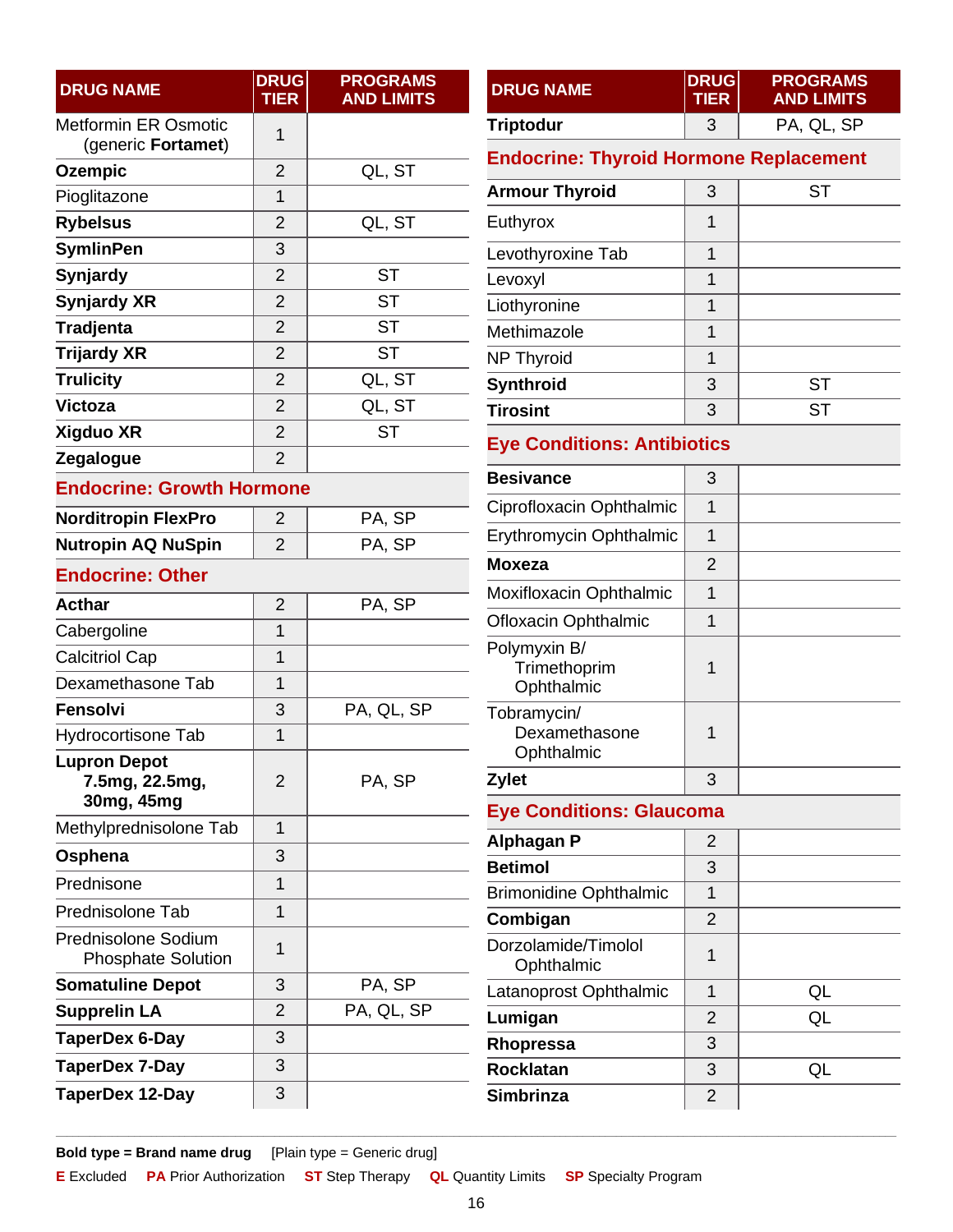<span id="page-15-3"></span><span id="page-15-2"></span><span id="page-15-1"></span><span id="page-15-0"></span>

| <b>DRUG NAME</b>                     | <b>DRUG</b><br><b>TIER</b> | <b>PROGRAMS</b><br><b>AND LIMITS</b> | <b>DRUG NAME</b>                              | <b>DRUG</b><br><b>TIER</b> | <b>PROGRAMS</b><br><b>AND LIMITS</b> |  |
|--------------------------------------|----------------------------|--------------------------------------|-----------------------------------------------|----------------------------|--------------------------------------|--|
| <b>Metformin ER Osmotic</b>          | 1                          |                                      | <b>Triptodur</b>                              | 3                          | PA, QL, SP                           |  |
| (generic Fortamet)<br><b>Ozempic</b> | $\overline{2}$             | QL, ST                               | <b>Endocrine: Thyroid Hormone Replacement</b> |                            |                                      |  |
| Pioglitazone                         | $\mathbf{1}$               |                                      | <b>Armour Thyroid</b>                         | 3                          | <b>ST</b>                            |  |
| <b>Rybelsus</b>                      | 2                          | QL, ST                               | Euthyrox                                      | 1                          |                                      |  |
| <b>SymlinPen</b>                     | 3                          |                                      | Levothyroxine Tab                             | $\mathbf{1}$               |                                      |  |
| Synjardy                             | $\overline{2}$             | <b>ST</b>                            | Levoxyl                                       | 1                          |                                      |  |
| <b>Synjardy XR</b>                   | 2                          | <b>ST</b>                            | Liothyronine                                  | 1                          |                                      |  |
| <b>Tradjenta</b>                     | $\overline{2}$             | <b>ST</b>                            | Methimazole                                   | 1                          |                                      |  |
| <b>Trijardy XR</b>                   | 2                          | <b>ST</b>                            | <b>NP Thyroid</b>                             | 1                          |                                      |  |
| <b>Trulicity</b>                     | $\overline{2}$             | QL, ST                               | Synthroid                                     | 3                          | <b>ST</b>                            |  |
| Victoza                              | $\overline{2}$             | QL, ST                               | <b>Tirosint</b>                               | 3                          | <b>ST</b>                            |  |
| Xigduo XR                            | 2                          | <b>ST</b>                            | <b>Eye Conditions: Antibiotics</b>            |                            |                                      |  |
| Zegalogue                            | $\overline{2}$             |                                      |                                               |                            |                                      |  |
| <b>Endocrine: Growth Hormone</b>     |                            |                                      | <b>Besivance</b>                              | 3                          |                                      |  |
| <b>Norditropin FlexPro</b>           | $\overline{2}$             | PA, SP                               | Ciprofloxacin Ophthalmic                      | 1                          |                                      |  |
| <b>Nutropin AQ NuSpin</b>            | $\overline{2}$             | PA, SP                               | Erythromycin Ophthalmic                       | 1                          |                                      |  |
| <b>Endocrine: Other</b>              |                            |                                      | <b>Moxeza</b>                                 | $\overline{2}$             |                                      |  |
| <b>Acthar</b>                        | $\overline{2}$             | PA, SP                               | Moxifloxacin Ophthalmic                       | 1                          |                                      |  |
| Cabergoline                          | 1                          |                                      | <b>Ofloxacin Ophthalmic</b>                   | $\mathbf{1}$               |                                      |  |
| <b>Calcitriol Cap</b>                | 1                          |                                      | Polymyxin B/                                  |                            |                                      |  |
| Dexamethasone Tab                    | $\mathbf{1}$               |                                      | Trimethoprim<br>Ophthalmic                    | 1                          |                                      |  |
| Fensolvi                             | 3                          | PA, QL, SP                           | Tobramycin/                                   |                            |                                      |  |
| Hydrocortisone Tab                   | 1                          |                                      | Dexamethasone                                 | 1                          |                                      |  |
| <b>Lupron Depot</b>                  |                            |                                      | Ophthalmic                                    |                            |                                      |  |
| 7.5mg, 22.5mg,<br>30mg, 45mg         | $\overline{2}$             | PA, SP                               | <b>Zylet</b>                                  | 3                          |                                      |  |
| Methylprednisolone Tab               | 1                          |                                      | <b>Eye Conditions: Glaucoma</b>               |                            |                                      |  |
| Osphena                              | 3                          |                                      | <b>Alphagan P</b>                             | $\overline{2}$             |                                      |  |
| Prednisone                           | 1                          |                                      | <b>Betimol</b>                                | 3                          |                                      |  |
| Prednisolone Tab                     | 1                          |                                      | <b>Brimonidine Ophthalmic</b>                 | 1                          |                                      |  |
| Prednisolone Sodium                  |                            |                                      | Combigan                                      | $\overline{2}$             |                                      |  |
| <b>Phosphate Solution</b>            | 1                          |                                      | Dorzolamide/Timolol<br>Ophthalmic             | 1                          |                                      |  |
| <b>Somatuline Depot</b>              | 3                          | PA, SP                               | Latanoprost Ophthalmic                        | 1                          | QL                                   |  |
| <b>Supprelin LA</b>                  | $\overline{2}$             | PA, QL, SP                           | Lumigan                                       | $\overline{2}$             | QL                                   |  |
| TaperDex 6-Day                       | 3                          |                                      | Rhopressa                                     | 3                          |                                      |  |
| TaperDex 7-Day                       | 3                          |                                      | <b>Rocklatan</b>                              | 3                          | QL                                   |  |
| <b>TaperDex 12-Day</b>               | 3                          |                                      | <b>Simbrinza</b>                              | $\overline{2}$             |                                      |  |

<span id="page-15-4"></span>**E** Excluded **PA** Prior Authorization **ST** Step Therapy **QL** Quantity Limits **SP** Specialty Program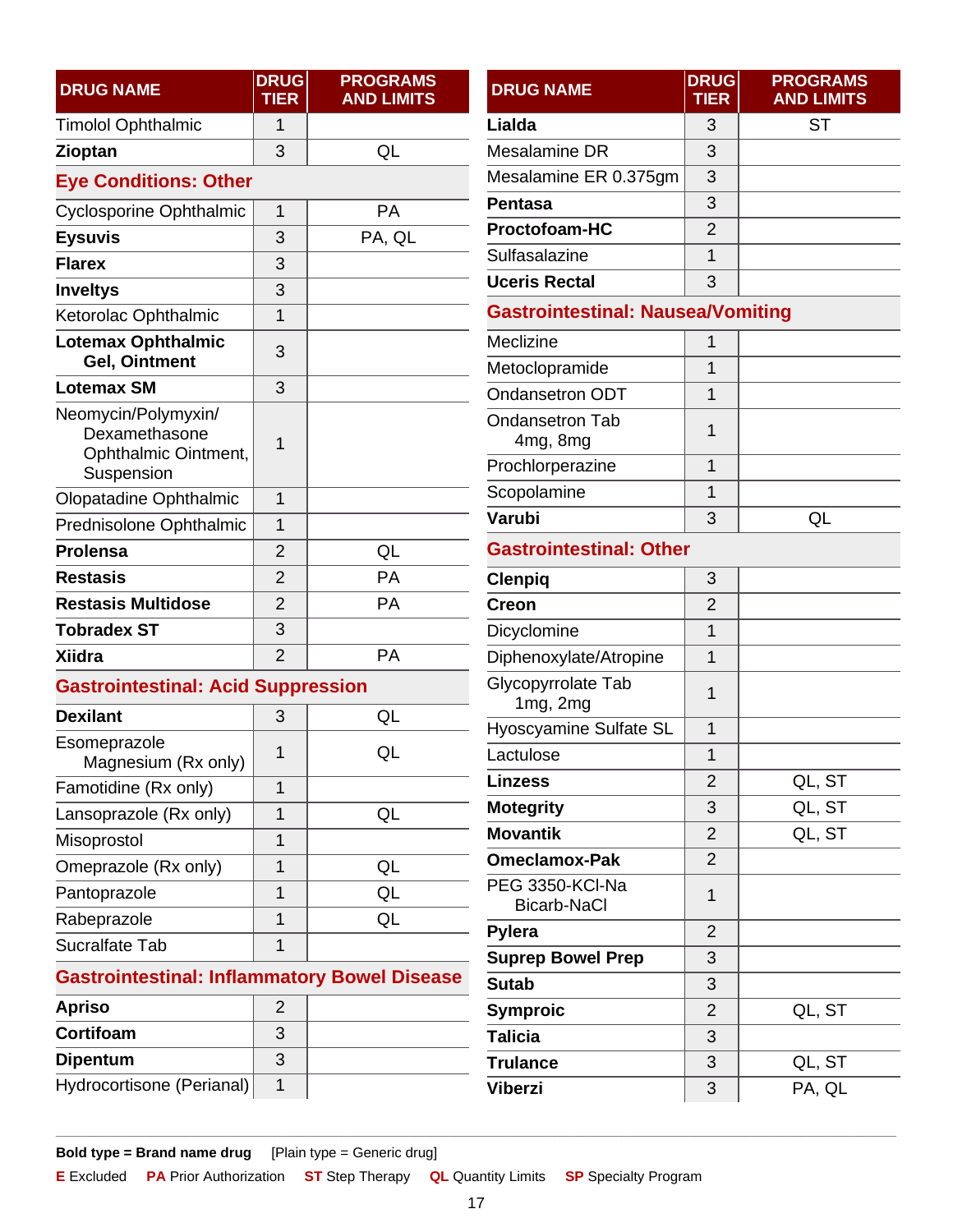<span id="page-16-4"></span><span id="page-16-3"></span><span id="page-16-2"></span><span id="page-16-1"></span><span id="page-16-0"></span>

| <b>DRUG NAME</b>                                    | <b>DRUG</b><br><b>TIER</b> | <b>PROGRAMS</b><br><b>AND LIMITS</b> | <b>DRUG NAME</b>                         | <b>DRUG</b><br><b>TIER</b> | <b>PROGRAMS</b><br><b>AND LIMITS</b> |
|-----------------------------------------------------|----------------------------|--------------------------------------|------------------------------------------|----------------------------|--------------------------------------|
| <b>Timolol Ophthalmic</b>                           | 1                          |                                      | Lialda                                   | 3                          | <b>ST</b>                            |
| Zioptan                                             | 3                          | QL                                   | Mesalamine DR                            | 3                          |                                      |
| <b>Eye Conditions: Other</b>                        |                            |                                      | Mesalamine ER 0.375gm                    | 3                          |                                      |
| <b>Cyclosporine Ophthalmic</b>                      | $\mathbf{1}$               | PA                                   | <b>Pentasa</b>                           | 3                          |                                      |
| <b>Eysuvis</b>                                      | 3                          | PA, QL                               | Proctofoam-HC                            | $\overline{2}$             |                                      |
| <b>Flarex</b>                                       | 3                          |                                      | Sulfasalazine                            | 1                          |                                      |
| <b>Inveltys</b>                                     | 3                          |                                      | <b>Uceris Rectal</b>                     | 3                          |                                      |
| Ketorolac Ophthalmic                                | 1                          |                                      | <b>Gastrointestinal: Nausea/Vomiting</b> |                            |                                      |
| <b>Lotemax Ophthalmic</b><br><b>Gel, Ointment</b>   | 3                          |                                      | Meclizine                                | 1                          |                                      |
| <b>Lotemax SM</b>                                   | 3                          |                                      | Metoclopramide                           | 1                          |                                      |
| Neomycin/Polymyxin/                                 |                            |                                      | Ondansetron ODT                          | $\mathbf 1$                |                                      |
| Dexamethasone<br>Ophthalmic Ointment,               | 1                          |                                      | <b>Ondansetron Tab</b><br>4mg, 8mg       | 1                          |                                      |
| Suspension                                          |                            |                                      | Prochlorperazine                         | 1                          |                                      |
| Olopatadine Ophthalmic                              | $\mathbf{1}$               |                                      | Scopolamine                              | $\overline{1}$             |                                      |
| Prednisolone Ophthalmic                             | $\mathbf{1}$               |                                      | Varubi                                   | 3                          | QL                                   |
| <b>Prolensa</b>                                     | $\overline{2}$             | QL                                   | <b>Gastrointestinal: Other</b>           |                            |                                      |
| <b>Restasis</b>                                     | $\overline{2}$             | PA                                   | <b>Clenpiq</b>                           | 3                          |                                      |
| <b>Restasis Multidose</b>                           | $\overline{2}$             | PA                                   | <b>Creon</b>                             | $\overline{2}$             |                                      |
| <b>Tobradex ST</b>                                  | 3                          |                                      | Dicyclomine                              | $\mathbf 1$                |                                      |
| <b>Xiidra</b>                                       | $\overline{2}$             | PA                                   | Diphenoxylate/Atropine                   | $\mathbf{1}$               |                                      |
| <b>Gastrointestinal: Acid Suppression</b>           |                            |                                      | Glycopyrrolate Tab<br>1mg, 2mg           | 1                          |                                      |
| <b>Dexilant</b>                                     | 3                          | QL                                   | Hyoscyamine Sulfate SL                   | 1                          |                                      |
| Esomeprazole<br>Magnesium (Rx only)                 | 1                          | QL                                   | Lactulose                                | $\mathbf 1$                |                                      |
| Famotidine (Rx only)                                | $\mathbf{1}$               |                                      | <b>Linzess</b>                           | $\overline{2}$             | QL, ST                               |
| Lansoprazole (Rx only)                              | 1                          | QL                                   | <b>Motegrity</b>                         | 3                          | QL, ST                               |
| Misoprostol                                         | 1                          |                                      | <b>Movantik</b>                          | $\overline{2}$             | QL, ST                               |
| Omeprazole (Rx only)                                | 1                          | QL                                   | <b>Omeclamox-Pak</b>                     | $\overline{2}$             |                                      |
| Pantoprazole                                        | $\overline{1}$             | QL                                   | PEG 3350-KCI-Na                          | 1                          |                                      |
| Rabeprazole                                         | 1                          | QL                                   | <b>Bicarb-NaCl</b><br>Pylera             | $\overline{2}$             |                                      |
| Sucralfate Tab                                      | 1                          |                                      | <b>Suprep Bowel Prep</b>                 | 3                          |                                      |
| <b>Gastrointestinal: Inflammatory Bowel Disease</b> |                            |                                      | <b>Sutab</b>                             | 3                          |                                      |
| <b>Apriso</b>                                       | $\overline{2}$             |                                      | <b>Symproic</b>                          | $\overline{2}$             | QL, ST                               |
| Cortifoam                                           | 3                          |                                      | <b>Talicia</b>                           | 3                          |                                      |
| <b>Dipentum</b>                                     | 3                          |                                      | <b>Trulance</b>                          | 3                          | QL, ST                               |
| Hydrocortisone (Perianal)                           | $\mathbf{1}$               |                                      | <b>Viberzi</b>                           | 3                          | PA, QL                               |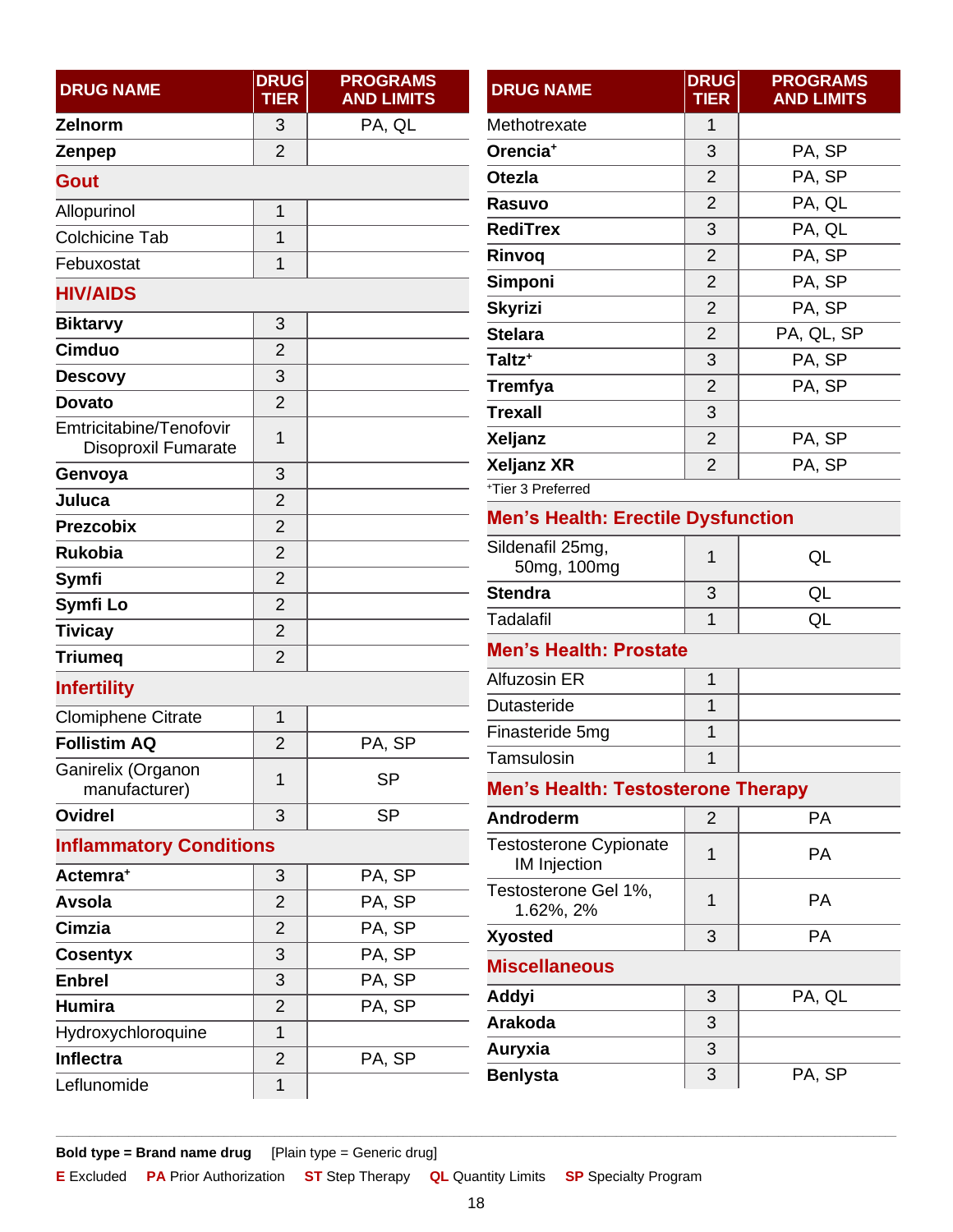<span id="page-17-7"></span><span id="page-17-6"></span><span id="page-17-5"></span><span id="page-17-4"></span><span id="page-17-3"></span><span id="page-17-2"></span><span id="page-17-1"></span><span id="page-17-0"></span>

| <b>DRUG NAME</b>                    | <b>DRUG</b><br><b>TIER</b> | <b>PROGRAMS</b><br><b>AND LIMITS</b> | <b>DRUG NAME</b>                                        | <b>DRUG</b><br><b>TIER</b> | <b>PROGRAMS</b><br><b>AND LIMITS</b> |  |  |
|-------------------------------------|----------------------------|--------------------------------------|---------------------------------------------------------|----------------------------|--------------------------------------|--|--|
| Zelnorm                             | 3                          | PA, QL                               | Methotrexate                                            | $\mathbf 1$                |                                      |  |  |
| Zenpep                              | $\overline{2}$             |                                      | Orencia <sup>+</sup>                                    | 3                          | PA, SP                               |  |  |
| <b>Gout</b>                         |                            |                                      | <b>Otezla</b>                                           | $\overline{2}$             | PA, SP                               |  |  |
| Allopurinol                         | 1                          |                                      | Rasuvo                                                  | $\overline{2}$             | PA, QL                               |  |  |
| <b>Colchicine Tab</b>               | $\overline{1}$             |                                      | <b>RediTrex</b>                                         | 3                          | PA, QL                               |  |  |
| Febuxostat                          | 1                          |                                      | Rinvoq                                                  | $\overline{2}$             | PA, SP                               |  |  |
| <b>HIV/AIDS</b>                     |                            |                                      | Simponi                                                 | $\overline{2}$             | PA, SP                               |  |  |
| <b>Biktarvy</b>                     | 3                          |                                      | <b>Skyrizi</b>                                          | $\overline{2}$             | PA, SP                               |  |  |
| <b>Cimduo</b>                       | $\overline{2}$             |                                      | <b>Stelara</b>                                          | $\overline{2}$             | PA, QL, SP                           |  |  |
| <b>Descovy</b>                      | 3                          |                                      | Taltz <sup>+</sup>                                      | 3                          | PA, SP                               |  |  |
| <b>Dovato</b>                       | $\overline{2}$             |                                      | <b>Tremfya</b>                                          | $\overline{2}$             | PA, SP                               |  |  |
| Emtricitabine/Tenofovir             |                            |                                      | <b>Trexall</b>                                          | 3                          |                                      |  |  |
| <b>Disoproxil Fumarate</b>          | 1                          |                                      | <b>Xeljanz</b>                                          | $\overline{2}$             | PA, SP                               |  |  |
| Genvoya                             | 3                          |                                      | <b>Xeljanz XR</b>                                       | $\overline{2}$             | PA, SP                               |  |  |
| Juluca                              | $\overline{2}$             |                                      | +Tier 3 Preferred                                       |                            |                                      |  |  |
| <b>Prezcobix</b>                    | $\overline{2}$             |                                      | <b>Men's Health: Erectile Dysfunction</b>               |                            |                                      |  |  |
| <b>Rukobia</b>                      | $\overline{2}$             |                                      | Sildenafil 25mg,<br>50mg, 100mg                         | 1                          | QL                                   |  |  |
| Symfi                               | $\overline{2}$             |                                      | <b>Stendra</b>                                          | 3                          | QL                                   |  |  |
| Symfi Lo                            | $\overline{2}$             |                                      | Tadalafil                                               | $\mathbf{1}$               | QL                                   |  |  |
| <b>Tivicay</b>                      | $\overline{2}$             |                                      |                                                         |                            |                                      |  |  |
| <b>Triumeq</b>                      | $\overline{2}$             |                                      | <b>Men's Health: Prostate</b>                           |                            |                                      |  |  |
| <b>Infertility</b>                  |                            |                                      | Alfuzosin ER                                            | $\mathbf{1}$               |                                      |  |  |
| <b>Clomiphene Citrate</b>           | 1                          |                                      | Dutasteride                                             | $\mathbf{1}$               |                                      |  |  |
| <b>Follistim AQ</b>                 | $\overline{2}$             | PA, SP                               | Finasteride 5mg                                         | $\mathbf 1$                |                                      |  |  |
| Ganirelix (Organon<br>manufacturer) | 1                          | <b>SP</b>                            | Tamsulosin<br><b>Men's Health: Testosterone Therapy</b> | 1                          |                                      |  |  |
| <b>Ovidrel</b>                      | 3                          | <b>SP</b>                            | Androderm                                               | $\overline{2}$             | <b>PA</b>                            |  |  |
| <b>Inflammatory Conditions</b>      |                            |                                      | <b>Testosterone Cypionate</b><br><b>IM Injection</b>    | 1                          | PA                                   |  |  |
| Actemra <sup>+</sup>                | 3                          | PA, SP                               | Testosterone Gel 1%,                                    |                            |                                      |  |  |
| Avsola                              | $\overline{2}$             | PA, SP                               | 1.62%, 2%                                               | 1                          | PA                                   |  |  |
| Cimzia                              | $\overline{2}$             | PA, SP                               | <b>Xyosted</b>                                          | 3                          | PA                                   |  |  |
| <b>Cosentyx</b>                     | 3                          | PA, SP                               | <b>Miscellaneous</b>                                    |                            |                                      |  |  |
| <b>Enbrel</b>                       | 3                          | PA, SP                               | Addyi                                                   | 3                          | PA, QL                               |  |  |
| <b>Humira</b>                       | $\overline{2}$             | PA, SP                               | Arakoda                                                 | 3                          |                                      |  |  |
| Hydroxychloroquine                  | 1                          |                                      | Auryxia                                                 | 3                          |                                      |  |  |
| <b>Inflectra</b>                    | $\overline{2}$             | PA, SP                               |                                                         |                            |                                      |  |  |
| Leflunomide                         | 1                          |                                      | <b>Benlysta</b>                                         | 3                          | PA, SP                               |  |  |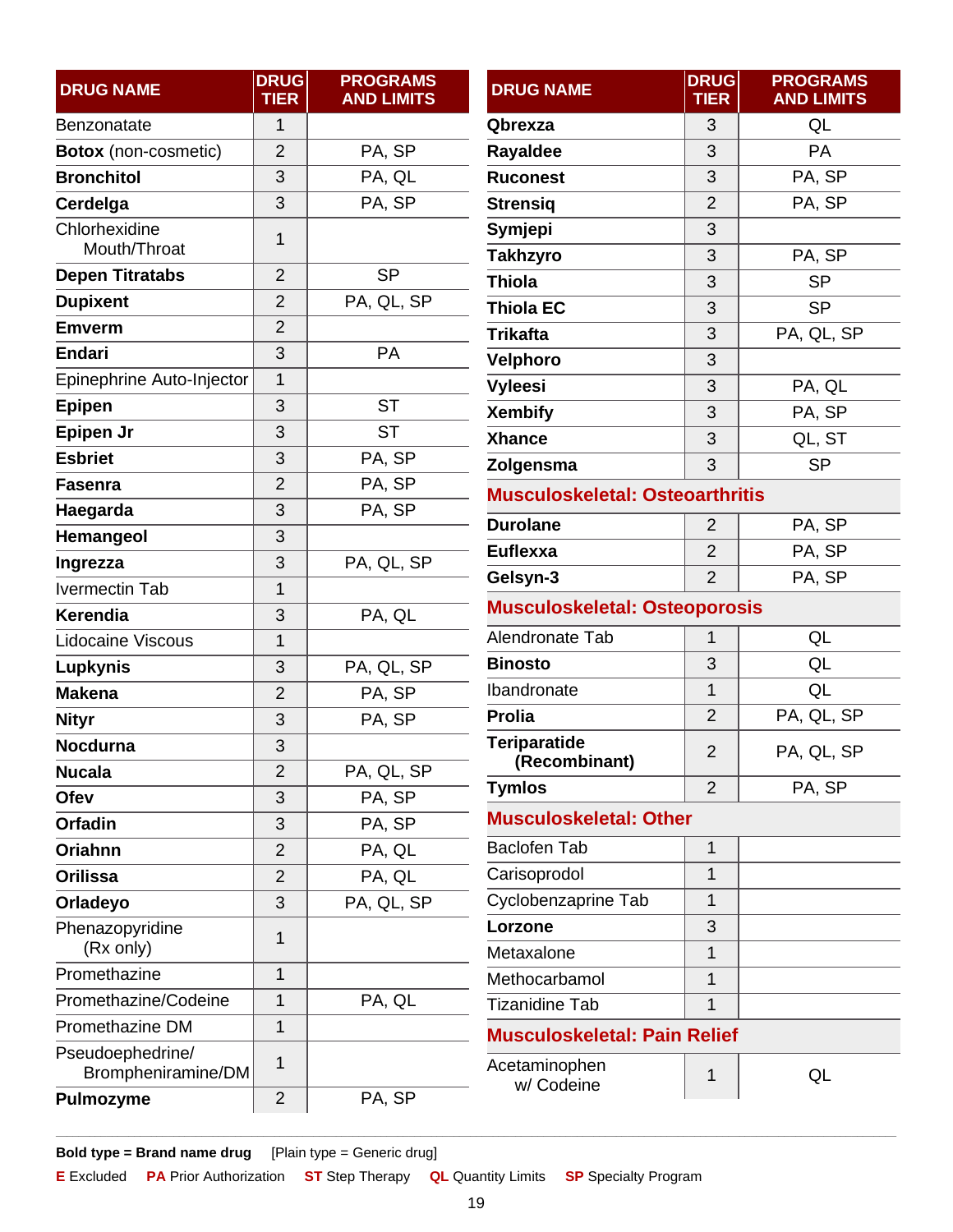<span id="page-18-3"></span><span id="page-18-2"></span><span id="page-18-1"></span><span id="page-18-0"></span>

| <b>DRUG NAME</b>                       | <b>DRUG</b><br><b>TIER</b> | <b>PROGRAMS</b><br><b>AND LIMITS</b> | <b>DRUG NAME</b>                       | <b>DRUG</b><br><b>TIER</b> | <b>PROGRAMS</b><br><b>AND LIMITS</b> |  |
|----------------------------------------|----------------------------|--------------------------------------|----------------------------------------|----------------------------|--------------------------------------|--|
| Benzonatate                            | 1                          |                                      | Qbrexza                                | 3                          | QL                                   |  |
| <b>Botox</b> (non-cosmetic)            | $\overline{2}$             | PA, SP                               | Rayaldee                               | 3                          | PA                                   |  |
| <b>Bronchitol</b>                      | 3                          | PA, QL                               | <b>Ruconest</b>                        | 3                          | PA, SP                               |  |
| Cerdelga                               | 3                          | PA, SP                               | <b>Strensig</b>                        | $\overline{2}$             | PA, SP                               |  |
| Chlorhexidine                          | 1                          |                                      | Symjepi                                | 3                          |                                      |  |
| Mouth/Throat                           |                            |                                      | <b>Takhzyro</b>                        | 3                          | PA, SP                               |  |
| <b>Depen Titratabs</b>                 | $\overline{2}$             | <b>SP</b>                            | <b>Thiola</b>                          | 3                          | <b>SP</b>                            |  |
| <b>Dupixent</b>                        | $\overline{2}$             | PA, QL, SP                           | <b>Thiola EC</b>                       | 3                          | <b>SP</b>                            |  |
| <b>Emverm</b>                          | $\overline{2}$             |                                      | <b>Trikafta</b>                        | 3                          | PA, QL, SP                           |  |
| Endari                                 | 3                          | PA                                   | Velphoro                               | 3                          |                                      |  |
| Epinephrine Auto-Injector              | 1                          |                                      | <b>Vyleesi</b>                         | 3                          | PA, QL                               |  |
| Epipen                                 | 3                          | <b>ST</b>                            | <b>Xembify</b>                         | 3                          | PA, SP                               |  |
| Epipen Jr                              | 3                          | <b>ST</b>                            | <b>Xhance</b>                          | 3                          | QL, ST                               |  |
| <b>Esbriet</b>                         | 3                          | PA, SP                               | Zolgensma                              | 3                          | <b>SP</b>                            |  |
| <b>Fasenra</b>                         | $\overline{2}$             | PA, SP                               | <b>Musculoskeletal: Osteoarthritis</b> |                            |                                      |  |
| Haegarda                               | 3                          | PA, SP                               | <b>Durolane</b>                        | $\overline{2}$             | PA, SP                               |  |
| Hemangeol                              | 3                          |                                      | <b>Euflexxa</b>                        | $\overline{2}$             | PA, SP                               |  |
| Ingrezza                               | 3                          | PA, QL, SP                           | Gelsyn-3                               | $\overline{2}$             | PA, SP                               |  |
| <b>Ivermectin Tab</b>                  | $\mathbf 1$                |                                      | <b>Musculoskeletal: Osteoporosis</b>   |                            |                                      |  |
| Kerendia                               | 3                          | PA, QL                               |                                        |                            |                                      |  |
| Lidocaine Viscous                      | 1                          |                                      | Alendronate Tab                        | 1                          | QL                                   |  |
| <b>Lupkynis</b>                        | 3                          | PA, QL, SP                           | <b>Binosto</b>                         | 3                          | QL                                   |  |
| <b>Makena</b>                          | $\overline{2}$             | PA, SP                               | Ibandronate                            | 1                          | QL                                   |  |
| <b>Nityr</b>                           | 3                          | PA, SP                               | Prolia                                 | $\overline{2}$             | PA, QL, SP                           |  |
| Nocdurna                               | 3                          |                                      | <b>Teriparatide</b><br>(Recombinant)   | $\overline{2}$             | PA, QL, SP                           |  |
| <b>Nucala</b>                          | 2                          | PA, QL, SP                           | <b>Tymlos</b>                          | $\overline{2}$             | PA, SP                               |  |
| Ofev                                   | 3                          | PA, SP                               |                                        |                            |                                      |  |
| <b>Orfadin</b>                         | 3                          | PA, SP                               | <b>Musculoskeletal: Other</b>          |                            |                                      |  |
| <b>Oriahnn</b>                         | $\overline{2}$             | PA, QL                               | <b>Baclofen Tab</b>                    | 1                          |                                      |  |
| <b>Orilissa</b>                        | $\overline{2}$             | PA, QL                               | Carisoprodol                           | 1                          |                                      |  |
| Orladeyo                               | 3                          | PA, QL, SP                           | Cyclobenzaprine Tab                    | 1                          |                                      |  |
| Phenazopyridine                        | 1                          |                                      | Lorzone                                | 3                          |                                      |  |
| (Rx only)                              |                            |                                      | Metaxalone                             | $\mathbf{1}$               |                                      |  |
| Promethazine                           | 1                          |                                      | Methocarbamol                          | 1                          |                                      |  |
| Promethazine/Codeine                   | $\overline{1}$             | PA, QL                               | <b>Tizanidine Tab</b>                  | 1                          |                                      |  |
| Promethazine DM                        | 1                          |                                      | <b>Musculoskeletal: Pain Relief</b>    |                            |                                      |  |
| Pseudoephedrine/<br>Brompheniramine/DM | 1                          |                                      | Acetaminophen<br>w/ Codeine            | 1                          | QL                                   |  |
| <b>Pulmozyme</b>                       | $\overline{2}$             | PA, SP                               |                                        |                            |                                      |  |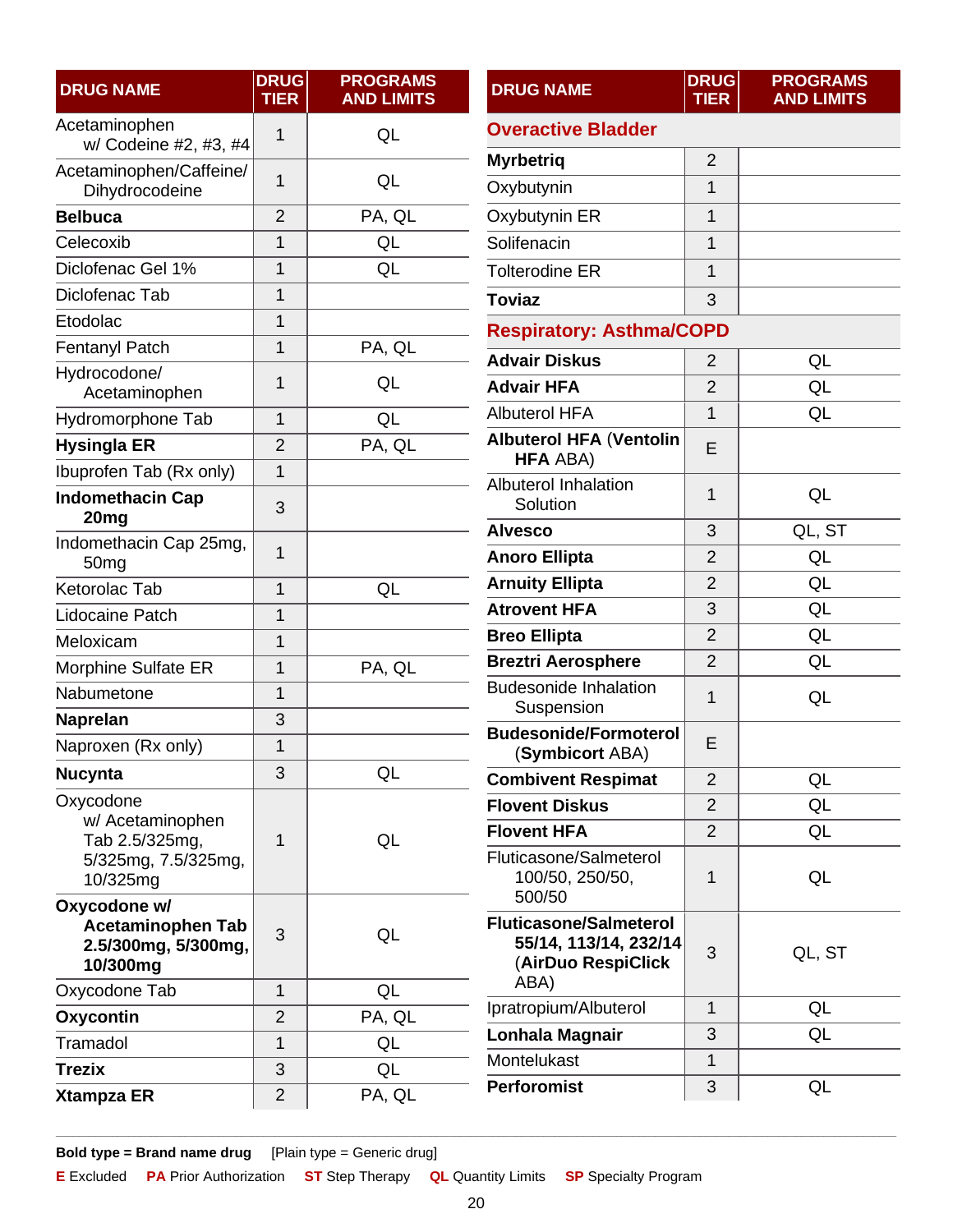| <b>DRUG NAME</b>                                                            | <b>DRUG</b><br><b>TIER</b> | <b>PROGRAMS</b><br><b>AND LIMITS</b> | <b>DRUG NAME</b>                                                             | <b>DRUG</b><br><b>TIER</b> | <b>PROGR</b><br><b>AND LII</b> |
|-----------------------------------------------------------------------------|----------------------------|--------------------------------------|------------------------------------------------------------------------------|----------------------------|--------------------------------|
| Acetaminophen                                                               | 1                          | QL                                   | <b>Overactive Bladder</b>                                                    |                            |                                |
| w/ Codeine #2, #3, #4                                                       |                            |                                      | <b>Myrbetriq</b>                                                             | $\overline{2}$             |                                |
| Acetaminophen/Caffeine/<br>Dihydrocodeine                                   | $\mathbf 1$                | QL                                   | Oxybutynin                                                                   | 1                          |                                |
| <b>Belbuca</b>                                                              | $\overline{2}$             | PA, QL                               | Oxybutynin ER                                                                | $\mathbf{1}$               |                                |
| Celecoxib                                                                   | $\mathbf 1$                | QL                                   | Solifenacin                                                                  | 1                          |                                |
| Diclofenac Gel 1%                                                           | 1                          | QL                                   | <b>Tolterodine ER</b>                                                        | $\mathbf{1}$               |                                |
| Diclofenac Tab                                                              | 1                          |                                      | <b>Toviaz</b>                                                                | 3                          |                                |
| Etodolac                                                                    | $\mathbf{1}$               |                                      | <b>Respiratory: Asthma/COPD</b>                                              |                            |                                |
| Fentanyl Patch                                                              | $\mathbf{1}$               | PA, QL                               | <b>Advair Diskus</b>                                                         | $\overline{2}$             | QL                             |
| Hydrocodone/                                                                | 1                          | QL                                   | <b>Advair HFA</b>                                                            | $\overline{2}$             | QL                             |
| Acetaminophen                                                               |                            |                                      | <b>Albuterol HFA</b>                                                         | 1                          | QL                             |
| Hydromorphone Tab                                                           | 1                          | QL                                   | <b>Albuterol HFA (Ventolin</b>                                               |                            |                                |
| <b>Hysingla ER</b>                                                          | $\overline{2}$             | PA, QL                               | <b>HFA ABA)</b>                                                              | E                          |                                |
| Ibuprofen Tab (Rx only)<br><b>Indomethacin Cap</b>                          | 1                          |                                      | <b>Albuterol Inhalation</b>                                                  | 1                          | QL                             |
| 20 <sub>mg</sub>                                                            | 3                          |                                      | Solution                                                                     |                            |                                |
| Indomethacin Cap 25mg,                                                      | $\mathbf{1}$               |                                      | <b>Alvesco</b>                                                               | 3<br>$\overline{2}$        | QL, S<br>QL                    |
| 50 <sub>mg</sub>                                                            |                            |                                      | <b>Anoro Ellipta</b><br><b>Arnuity Ellipta</b>                               | $\overline{2}$             | QL                             |
| Ketorolac Tab                                                               | $\overline{1}$             | QL                                   | <b>Atrovent HFA</b>                                                          | 3                          | QL                             |
| Lidocaine Patch                                                             | $\mathbf{1}$               |                                      | <b>Breo Ellipta</b>                                                          | $\overline{2}$             | QL                             |
| Meloxicam                                                                   | $\mathbf{1}$               |                                      | <b>Breztri Aerosphere</b>                                                    | $\overline{2}$             | QL                             |
| Morphine Sulfate ER                                                         | 1                          | PA, QL                               | <b>Budesonide Inhalation</b>                                                 |                            |                                |
| Nabumetone                                                                  | $\mathbf 1$                |                                      | Suspension                                                                   | 1                          | QL                             |
| <b>Naprelan</b>                                                             | 3                          |                                      | <b>Budesonide/Formoterol</b>                                                 |                            |                                |
| Naproxen (Rx only)                                                          | $\mathbf{1}$               |                                      | (Symbicort ABA)                                                              | E                          |                                |
| <b>Nucynta</b>                                                              | 3                          | QL                                   | <b>Combivent Respimat</b>                                                    | $\overline{2}$             | QL                             |
| Oxycodone<br>w/ Acetaminophen                                               |                            |                                      | <b>Flovent Diskus</b>                                                        | $\overline{2}$             | QL                             |
| Tab 2.5/325mg,                                                              | 1                          | QL                                   | <b>Flovent HFA</b>                                                           | $\overline{2}$             | QL                             |
| 5/325mg, 7.5/325mg,<br>10/325mg                                             |                            |                                      | Fluticasone/Salmeterol<br>100/50, 250/50,<br>500/50                          | 1                          | QL                             |
| Oxycodone w/<br><b>Acetaminophen Tab</b><br>2.5/300mg, 5/300mg,<br>10/300mg | 3                          | QL                                   | <b>Fluticasone/Salmeterol</b><br>55/14, 113/14, 232/14<br>(AirDuo RespiClick | 3                          | QL, S                          |
| Oxycodone Tab                                                               | $\mathbf{1}$               | QL                                   | ABA)                                                                         |                            |                                |
| Oxycontin                                                                   | $\overline{2}$             | PA, QL                               | Ipratropium/Albuterol                                                        | $\mathbf{1}$               | QL                             |
| Tramadol                                                                    | $\mathbf{1}$               | QL                                   | Lonhala Magnair                                                              | 3                          | QL                             |
| <b>Trezix</b>                                                               | 3                          | QL                                   | Montelukast                                                                  | 1                          |                                |
| <b>Xtampza ER</b>                                                           | $\overline{2}$             | PA, QL                               | <b>Perforomist</b>                                                           | 3                          | QL                             |

<span id="page-19-0"></span>**PROGRAMS AND LIMITS**

<span id="page-19-1"></span>**QL, ST** 

QL

QL, ST

**Bold type = Brand name drug** [Plain type = Generic drug]

**E** Excluded **PA** Prior Authorization **ST** Step Therapy **QL** Quantity Limits **SP** Specialty Program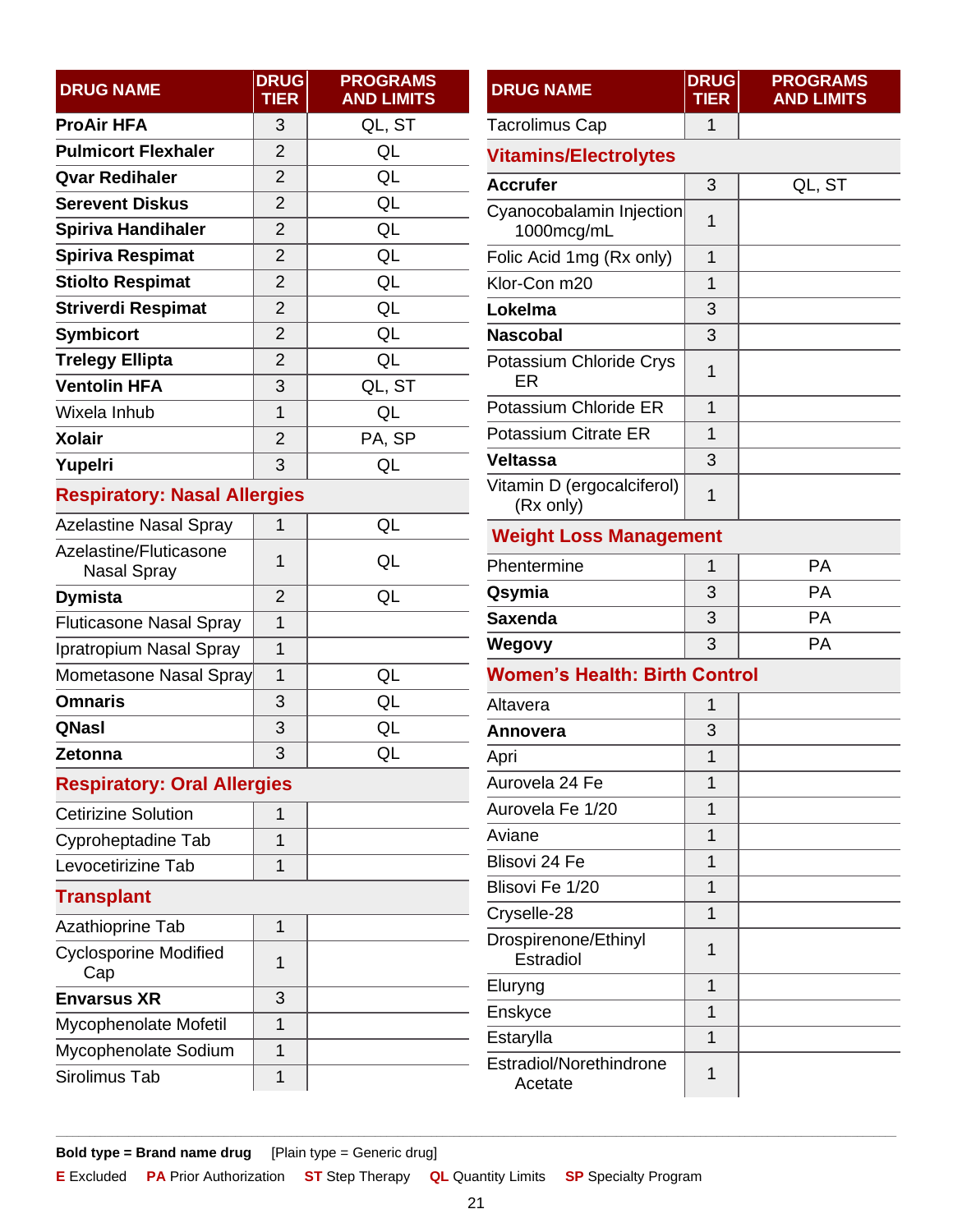<span id="page-20-4"></span><span id="page-20-3"></span><span id="page-20-0"></span>

| <b>DRUG NAME</b>                             | <b>DRUG</b><br><b>TIER</b> | <b>PROGRAMS</b><br><b>AND LIMITS</b> | <b>DRUG NAME</b>                        | <b>DRUG</b><br><b>TIER</b> | <b>PROGRAMS</b><br><b>AND LIMITS</b> |
|----------------------------------------------|----------------------------|--------------------------------------|-----------------------------------------|----------------------------|--------------------------------------|
| <b>ProAir HFA</b>                            | 3                          | QL, ST                               | <b>Tacrolimus Cap</b>                   | 1                          |                                      |
| <b>Pulmicort Flexhaler</b>                   | $\overline{2}$             | QL                                   | <b>Vitamins/Electrolytes</b>            |                            |                                      |
| <b>Qvar Redihaler</b>                        | $\overline{2}$             | QL                                   | <b>Accrufer</b>                         | 3                          | QL, ST                               |
| <b>Serevent Diskus</b>                       | $\overline{2}$             | QL                                   | Cyanocobalamin Injection                |                            |                                      |
| <b>Spiriva Handihaler</b>                    | $\overline{2}$             | QL                                   | 1000mcg/mL                              | 1                          |                                      |
| Spiriva Respimat                             | $\overline{2}$             | QL                                   | Folic Acid 1mg (Rx only)                | $\mathbf{1}$               |                                      |
| <b>Stiolto Respimat</b>                      | $\overline{2}$             | QL                                   | Klor-Con m20                            | 1                          |                                      |
| <b>Striverdi Respimat</b>                    | $\overline{2}$             | QL                                   | Lokelma                                 | 3                          |                                      |
| <b>Symbicort</b>                             | $\overline{2}$             | QL                                   | <b>Nascobal</b>                         | 3                          |                                      |
| <b>Trelegy Ellipta</b>                       | $\overline{2}$             | QL                                   | Potassium Chloride Crys                 | 1                          |                                      |
| <b>Ventolin HFA</b>                          | 3                          | QL, ST                               | ER                                      |                            |                                      |
| Wixela Inhub                                 | $\overline{1}$             | QL                                   | Potassium Chloride ER                   | 1                          |                                      |
| <b>Xolair</b>                                | $\overline{2}$             | PA, SP                               | <b>Potassium Citrate ER</b>             | $\mathbf{1}$               |                                      |
| Yupelri                                      | 3                          | QL                                   | <b>Veltassa</b>                         | 3                          |                                      |
| <b>Respiratory: Nasal Allergies</b>          |                            |                                      | Vitamin D (ergocalciferol)<br>(Rx only) | $\mathbf 1$                |                                      |
| <b>Azelastine Nasal Spray</b>                | 1                          | QL                                   | <b>Weight Loss Management</b>           |                            |                                      |
| Azelastine/Fluticasone<br><b>Nasal Spray</b> | 1                          | QL                                   | Phentermine                             | 1                          | <b>PA</b>                            |
| <b>Dymista</b>                               | $\overline{2}$             | QL                                   | Qsymia                                  | 3                          | <b>PA</b>                            |
| <b>Fluticasone Nasal Spray</b>               | $\mathbf{1}$               |                                      | <b>Saxenda</b>                          | 3                          | PA                                   |
| Ipratropium Nasal Spray                      | $\mathbf{1}$               |                                      | Wegovy                                  | 3                          | <b>PA</b>                            |
| Mometasone Nasal Spray                       | $\mathbf{1}$               | QL                                   | <b>Women's Health: Birth Control</b>    |                            |                                      |
| <b>Omnaris</b>                               | 3                          | QL                                   | Altavera                                | 1                          |                                      |
| QNasl                                        | 3                          | QL                                   | Annovera                                | 3                          |                                      |
| Zetonna                                      | 3                          | QL                                   | Apri                                    | $\overline{1}$             |                                      |
| <b>Respiratory: Oral Allergies</b>           |                            |                                      | Aurovela 24 Fe                          | 1                          |                                      |
| <b>Cetirizine Solution</b>                   | 1                          |                                      | Aurovela Fe 1/20                        | $\mathbf 1$                |                                      |
| Cyproheptadine Tab                           | $\mathbf{1}$               |                                      | Aviane                                  | 1                          |                                      |
| Levocetirizine Tab                           | 1                          |                                      | Blisovi 24 Fe                           | 1                          |                                      |
| <b>Transplant</b>                            |                            |                                      | Blisovi Fe 1/20                         | $\mathbf{1}$               |                                      |
| Azathioprine Tab                             | 1                          |                                      | Cryselle-28                             | $\mathbf 1$                |                                      |
| <b>Cyclosporine Modified</b><br>Cap          | $\mathbf{1}$               |                                      | Drospirenone/Ethinyl<br>Estradiol       | 1                          |                                      |
| <b>Envarsus XR</b>                           | 3                          |                                      | Eluryng                                 | 1                          |                                      |
| Mycophenolate Mofetil                        | 1                          |                                      | Enskyce                                 | $\mathbf 1$                |                                      |
| Mycophenolate Sodium                         | 1                          |                                      | Estarylla                               | $\mathbf{1}$               |                                      |
| Sirolimus Tab                                | 1                          |                                      | Estradiol/Norethindrone<br>Acetate      | $\mathbf{1}$               |                                      |

<span id="page-20-5"></span><span id="page-20-2"></span><span id="page-20-1"></span>**Bold type = Brand name drug** [Plain type = Generic drug]

**E** Excluded **PA** Prior Authorization **ST** Step Therapy **QL** Quantity Limits **SP** Specialty Program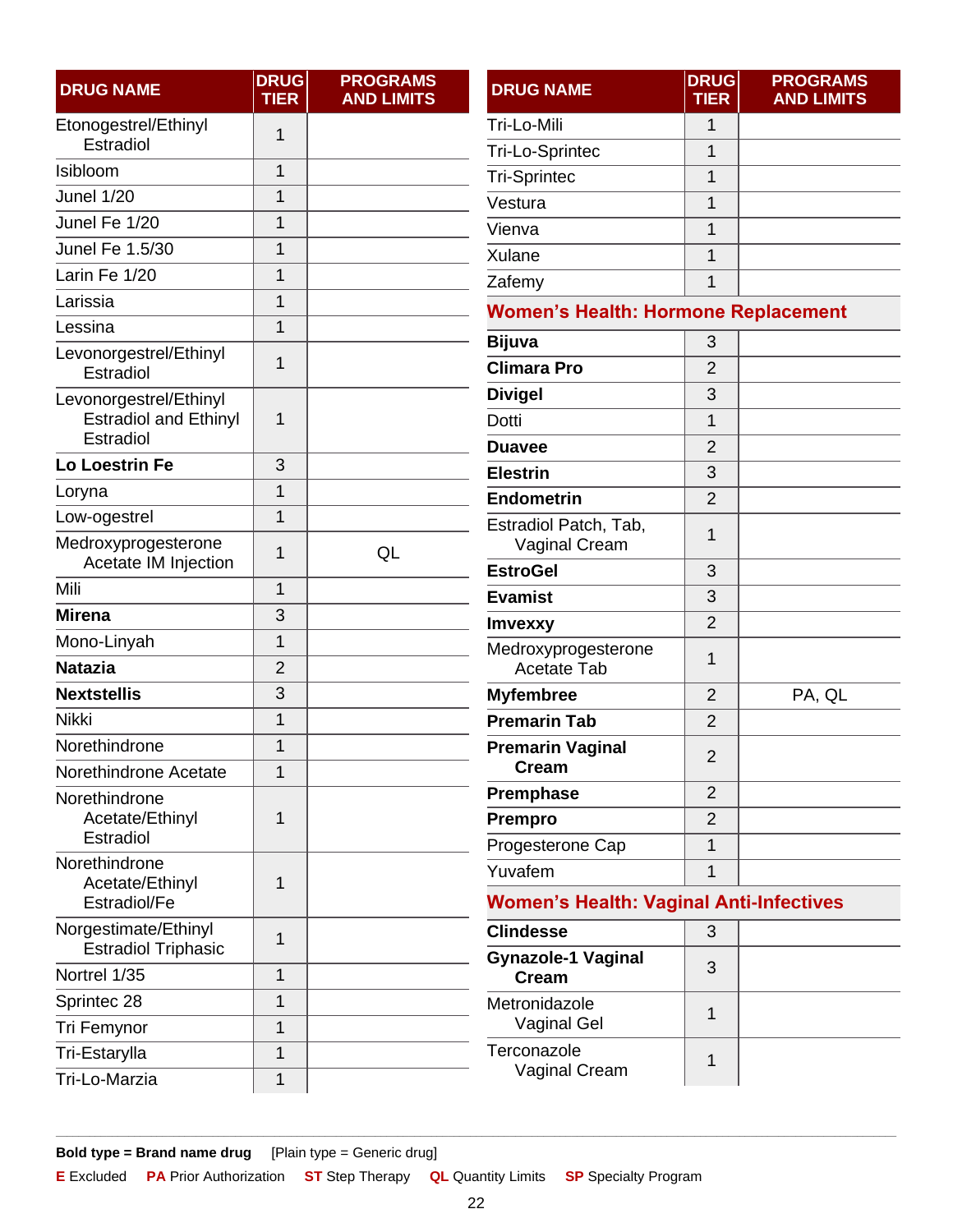| <b>DRUG NAME</b>                            | <b>DRUG</b><br><b>TIER</b> | <b>PROGRAMS</b><br><b>AND LIMITS</b> | <b>DRUG NAME</b>                               | <b>DRUG</b><br><b>TIER</b> | <b>PROGRAMS</b><br><b>AND LIMITS</b> |
|---------------------------------------------|----------------------------|--------------------------------------|------------------------------------------------|----------------------------|--------------------------------------|
| Etonogestrel/Ethinyl                        | 1                          |                                      | Tri-Lo-Mili                                    | 1                          |                                      |
| Estradiol                                   |                            |                                      | Tri-Lo-Sprintec                                | 1                          |                                      |
| Isibloom                                    | $\mathbf{1}$               |                                      | <b>Tri-Sprintec</b>                            | 1                          |                                      |
| Junel 1/20                                  | $\mathbf 1$                |                                      | Vestura                                        | 1                          |                                      |
| Junel Fe 1/20                               | 1                          |                                      | Vienva                                         | 1                          |                                      |
| Junel Fe 1.5/30                             | 1                          |                                      | Xulane                                         | 1                          |                                      |
| Larin Fe 1/20                               | 1                          |                                      | Zafemy                                         | 1                          |                                      |
| Larissia                                    | $\mathbf 1$                |                                      | <b>Women's Health: Hormone Replacement</b>     |                            |                                      |
| Lessina                                     | $\mathbf 1$                |                                      | <b>Bijuva</b>                                  | 3                          |                                      |
| Levonorgestrel/Ethinyl<br>Estradiol         | 1                          |                                      | <b>Climara Pro</b>                             | $\overline{2}$             |                                      |
| Levonorgestrel/Ethinyl                      |                            |                                      | <b>Divigel</b>                                 | 3                          |                                      |
| <b>Estradiol and Ethinyl</b>                | 1                          |                                      | Dotti                                          | 1                          |                                      |
| Estradiol                                   |                            |                                      | <b>Duavee</b>                                  | $\overline{2}$             |                                      |
| <b>Lo Loestrin Fe</b>                       | 3                          |                                      | <b>Elestrin</b>                                | 3                          |                                      |
| Loryna                                      | 1                          |                                      | <b>Endometrin</b>                              | $\overline{2}$             |                                      |
| Low-ogestrel                                | $\mathbf 1$                |                                      | Estradiol Patch, Tab,                          | 1                          |                                      |
| Medroxyprogesterone<br>Acetate IM Injection | 1                          | QL                                   | Vaginal Cream<br><b>EstroGel</b>               | 3                          |                                      |
| Mili                                        | 1                          |                                      | <b>Evamist</b>                                 | 3                          |                                      |
| <b>Mirena</b>                               | 3                          |                                      | Imvexxy                                        | $\overline{2}$             |                                      |
| Mono-Linyah                                 | $\mathbf 1$                |                                      | Medroxyprogesterone                            |                            |                                      |
| <b>Natazia</b>                              | $\overline{2}$             |                                      | <b>Acetate Tab</b>                             | 1                          |                                      |
| <b>Nextstellis</b>                          | 3                          |                                      | <b>Myfembree</b>                               | $\overline{2}$             | PA, QL                               |
| Nikki                                       | $\mathbf 1$                |                                      | <b>Premarin Tab</b>                            | $\overline{2}$             |                                      |
| Norethindrone                               | 1                          |                                      | <b>Premarin Vaginal</b><br><b>Cream</b>        | $\overline{2}$             |                                      |
| Norethindrone Acetate                       | 1                          |                                      | Premphase                                      | $\overline{2}$             |                                      |
| Norethindrone<br>Acetate/Ethinyl            | 1                          |                                      | <b>Prempro</b>                                 | $\overline{2}$             |                                      |
| Estradiol                                   |                            |                                      | Progesterone Cap                               | 1                          |                                      |
| Norethindrone                               |                            |                                      | Yuvafem                                        | 1                          |                                      |
| Acetate/Ethinyl<br>Estradiol/Fe             | 1                          |                                      | <b>Women's Health: Vaginal Anti-Infectives</b> |                            |                                      |
| Norgestimate/Ethinyl                        | 1                          |                                      | <b>Clindesse</b>                               | 3                          |                                      |
| <b>Estradiol Triphasic</b><br>Nortrel 1/35  | $\mathbf 1$                |                                      | <b>Gynazole-1 Vaginal</b>                      | 3                          |                                      |
| Sprintec 28                                 | 1                          |                                      | <b>Cream</b>                                   |                            |                                      |
|                                             | $\mathbf 1$                |                                      | Metronidazole<br>Vaginal Gel                   | 1                          |                                      |
| Tri Femynor                                 |                            |                                      | Terconazole                                    |                            |                                      |
| Tri-Estarylla                               | 1                          |                                      | Vaginal Cream                                  | 1                          |                                      |
| Tri-Lo-Marzia                               | $\mathbf 1$                |                                      |                                                |                            |                                      |

<span id="page-21-0"></span> $\equiv$  $\overline{\phantom{a}}$ 

<span id="page-21-1"></span>Bold type = Brand name drug [Plain type = Generic drug]

E Excluded PA Prior Authorization ST Step Therapy **QL** Quantity Limits **SP** Specialty Program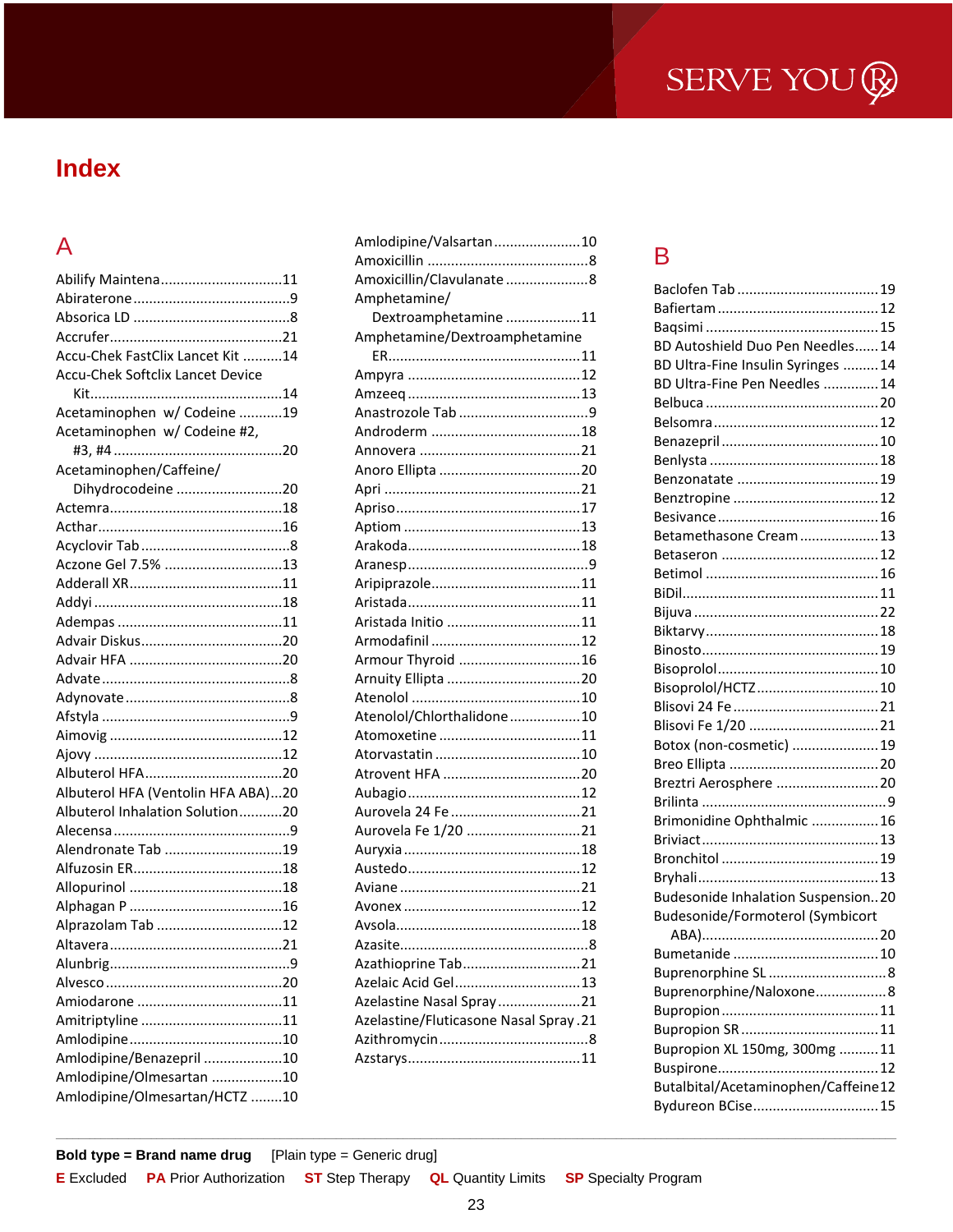## **Index**

### $\overline{A}$

| Abilify Maintena11                 |  |
|------------------------------------|--|
|                                    |  |
|                                    |  |
|                                    |  |
| Accu-Chek FastClix Lancet Kit 14   |  |
| Accu-Chek Softclix Lancet Device   |  |
|                                    |  |
| Acetaminophen w/ Codeine 19        |  |
| Acetaminophen w/ Codeine #2,       |  |
|                                    |  |
| Acetaminophen/Caffeine/            |  |
| Dihydrocodeine 20                  |  |
|                                    |  |
|                                    |  |
|                                    |  |
| Aczone Gel 7.5% 13                 |  |
|                                    |  |
|                                    |  |
|                                    |  |
|                                    |  |
|                                    |  |
|                                    |  |
|                                    |  |
|                                    |  |
|                                    |  |
|                                    |  |
|                                    |  |
| Albuterol HFA (Ventolin HFA ABA)20 |  |
| Albuterol Inhalation Solution20    |  |
|                                    |  |
| Alendronate Tab 19                 |  |
|                                    |  |
|                                    |  |
|                                    |  |
| Alprazolam Tab 12                  |  |
|                                    |  |
|                                    |  |
|                                    |  |
|                                    |  |
|                                    |  |
|                                    |  |
| Amlodipine/Benazepril 10           |  |
| Amlodipine/Olmesartan 10           |  |
| Amlodipine/Olmesartan/HCTZ 10      |  |

| Amlodipine/Valsartan10                |  |
|---------------------------------------|--|
|                                       |  |
| Amoxicillin/Clavulanate8              |  |
| Amphetamine/                          |  |
| Dextroamphetamine 11                  |  |
| Amphetamine/Dextroamphetamine         |  |
|                                       |  |
|                                       |  |
|                                       |  |
|                                       |  |
|                                       |  |
|                                       |  |
|                                       |  |
|                                       |  |
|                                       |  |
|                                       |  |
|                                       |  |
|                                       |  |
|                                       |  |
|                                       |  |
| Aristada Initio 11                    |  |
|                                       |  |
| Armour Thyroid 16                     |  |
|                                       |  |
|                                       |  |
| Atenolol/Chlorthalidone10             |  |
|                                       |  |
|                                       |  |
|                                       |  |
|                                       |  |
| Aurovela 24 Fe 21                     |  |
| Aurovela Fe 1/20 21                   |  |
|                                       |  |
|                                       |  |
|                                       |  |
|                                       |  |
|                                       |  |
|                                       |  |
| Azathioprine Tab21                    |  |
| Azelaic Acid Gel13                    |  |
| Azelastine Nasal Spray21              |  |
| Azelastine/Fluticasone Nasal Spray.21 |  |
|                                       |  |
|                                       |  |
|                                       |  |

### B

| BD Autoshield Duo Pen Needles 14          |  |
|-------------------------------------------|--|
| BD Ultra-Fine Insulin Syringes  14        |  |
| BD Ultra-Fine Pen Needles  14             |  |
|                                           |  |
|                                           |  |
|                                           |  |
|                                           |  |
|                                           |  |
|                                           |  |
|                                           |  |
| Betamethasone Cream  13                   |  |
|                                           |  |
|                                           |  |
|                                           |  |
|                                           |  |
|                                           |  |
|                                           |  |
|                                           |  |
| Bisoprolol/HCTZ 10                        |  |
|                                           |  |
| Blisovi Fe 1/20  21                       |  |
| Botox (non-cosmetic)  19                  |  |
|                                           |  |
| Breztri Aerosphere  20                    |  |
|                                           |  |
| Brimonidine Ophthalmic 16                 |  |
|                                           |  |
|                                           |  |
|                                           |  |
| <b>Budesonide Inhalation Suspension20</b> |  |
| Budesonide/Formoterol (Symbicort          |  |
|                                           |  |
|                                           |  |
| Buprenorphine SL8                         |  |
| Buprenorphine/Naloxone8                   |  |
|                                           |  |
|                                           |  |
| Bupropion XL 150mg, 300mg  11             |  |
|                                           |  |
| Butalbital/Acetaminophen/Caffeine12       |  |
| Bydureon BCise 15                         |  |
|                                           |  |

Bold type = Brand name drug [Plain type = Generic drug]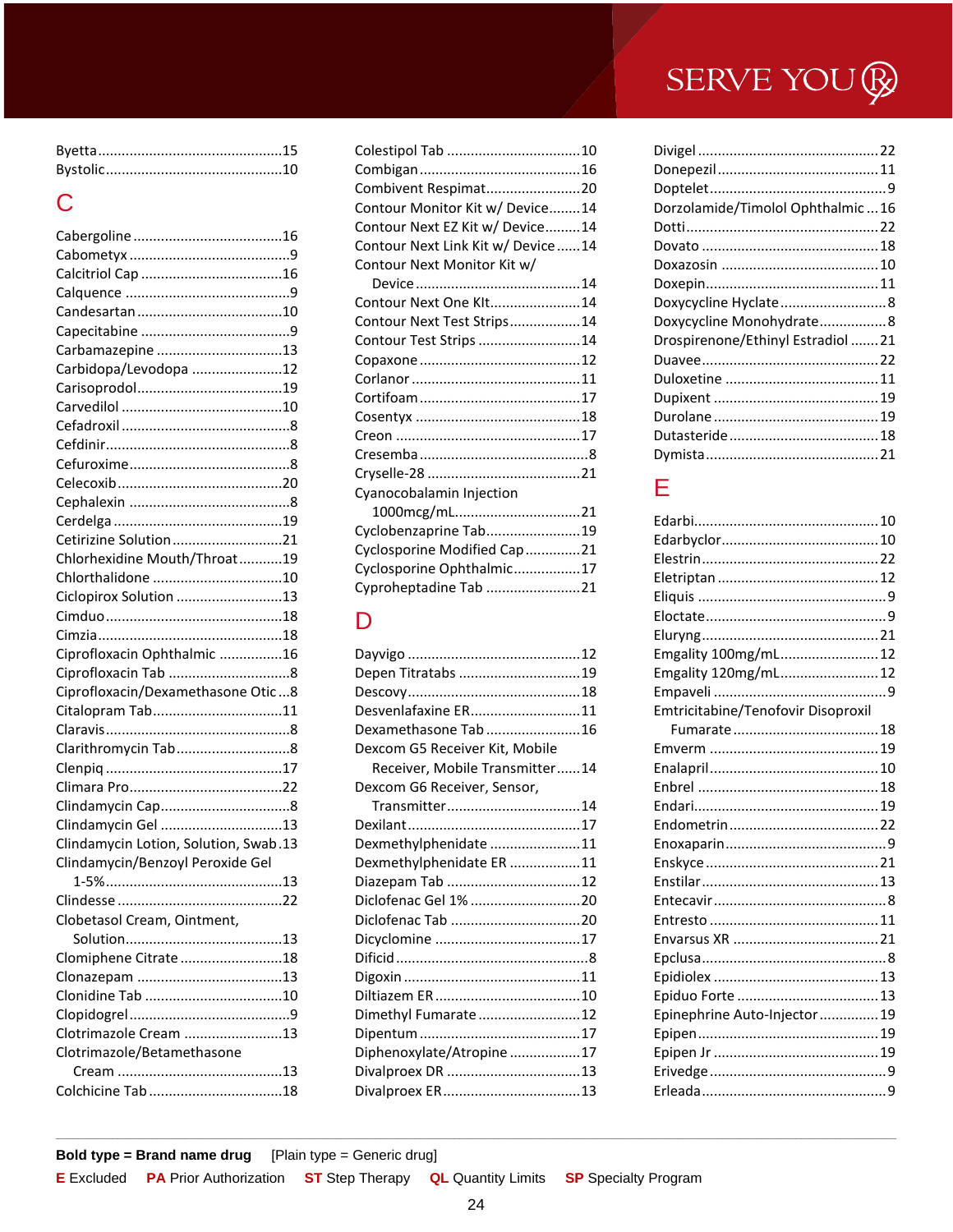## C

| Carbamazepine 13                      |   |
|---------------------------------------|---|
| Carbidopa/Levodopa 12                 |   |
|                                       |   |
|                                       |   |
|                                       |   |
|                                       |   |
|                                       |   |
|                                       |   |
|                                       |   |
|                                       |   |
| Cetirizine Solution21                 |   |
| Chlorhexidine Mouth/Throat19          |   |
| Chlorthalidone 10                     |   |
| Ciclopirox Solution 13                |   |
|                                       |   |
|                                       |   |
| Ciprofloxacin Ophthalmic 16           |   |
|                                       |   |
| Ciprofloxacin/Dexamethasone Otic8     |   |
| Citalopram Tab11                      |   |
|                                       |   |
| Clarithromycin Tab8                   |   |
|                                       |   |
|                                       |   |
|                                       |   |
| Clindamycin Gel 13                    |   |
| Clindamycin Lotion, Solution, Swab.13 |   |
| Clindamycin/Benzoyl Peroxide Gel      |   |
|                                       |   |
|                                       |   |
| Clobetasol Cream, Ointment,           |   |
|                                       |   |
| Clomiphene Citrate18                  |   |
|                                       |   |
|                                       |   |
|                                       | 9 |
| Clotrimazole Cream 13                 |   |
| Clotrimazole/Betamethasone            |   |
|                                       |   |
|                                       |   |
|                                       |   |

| Combivent Respimat20              |  |
|-----------------------------------|--|
| Contour Monitor Kit w/ Device14   |  |
| Contour Next EZ Kit w/ Device14   |  |
| Contour Next Link Kit w/ Device14 |  |
| Contour Next Monitor Kit w/       |  |
|                                   |  |
| Contour Next One KIt14            |  |
| Contour Next Test Strips14        |  |
| Contour Test Strips 14            |  |
|                                   |  |
|                                   |  |
|                                   |  |
|                                   |  |
|                                   |  |
|                                   |  |
|                                   |  |
| Cyanocobalamin Injection          |  |
| 1000mcg/mL21                      |  |
| Cyclobenzaprine Tab19             |  |
| Cyclosporine Modified Cap 21      |  |
| Cyclosporine Ophthalmic17         |  |
| Cyproheptadine Tab 21             |  |

## D

| Depen Titratabs 19             |  |
|--------------------------------|--|
|                                |  |
| Desvenlafaxine ER11            |  |
| Dexamethasone Tab 16           |  |
| Dexcom G5 Receiver Kit, Mobile |  |
| Receiver, Mobile Transmitter14 |  |
| Dexcom G6 Receiver, Sensor,    |  |
| Transmitter14                  |  |
|                                |  |
| Dexmethylphenidate 11          |  |
| Dexmethylphenidate ER 11       |  |
| Diazepam Tab 12                |  |
| Diclofenac Gel 1% 20           |  |
|                                |  |
|                                |  |
|                                |  |
|                                |  |
|                                |  |
| Dimethyl Fumarate 12           |  |
|                                |  |
| Diphenoxylate/Atropine17       |  |
|                                |  |
|                                |  |
|                                |  |

| Dorzolamide/Timolol Ophthalmic  16 |  |
|------------------------------------|--|
|                                    |  |
|                                    |  |
|                                    |  |
|                                    |  |
| Doxycycline Hyclate8               |  |
| Doxycycline Monohydrate8           |  |
| Drospirenone/Ethinyl Estradiol 21  |  |
|                                    |  |
|                                    |  |
|                                    |  |
|                                    |  |
|                                    |  |
|                                    |  |
|                                    |  |

## E

| Emgality 100mg/mL 12               |  |
|------------------------------------|--|
| Emgality 120mg/mL 12               |  |
|                                    |  |
| Emtricitabine/Tenofovir Disoproxil |  |
|                                    |  |
|                                    |  |
|                                    |  |
|                                    |  |
|                                    |  |
|                                    |  |
|                                    |  |
|                                    |  |
|                                    |  |
|                                    |  |
|                                    |  |
|                                    |  |
|                                    |  |
|                                    |  |
|                                    |  |
| Epinephrine Auto-Injector  19      |  |
|                                    |  |
|                                    |  |
|                                    |  |
|                                    |  |
|                                    |  |

**Bold type = Brand name drug** [Plain type = Generic drug]

| <b>E</b> Excluded PA Prior Authorization ST Step Therapy QL Quantity Limits SP Specialty Program |  |  |
|--------------------------------------------------------------------------------------------------|--|--|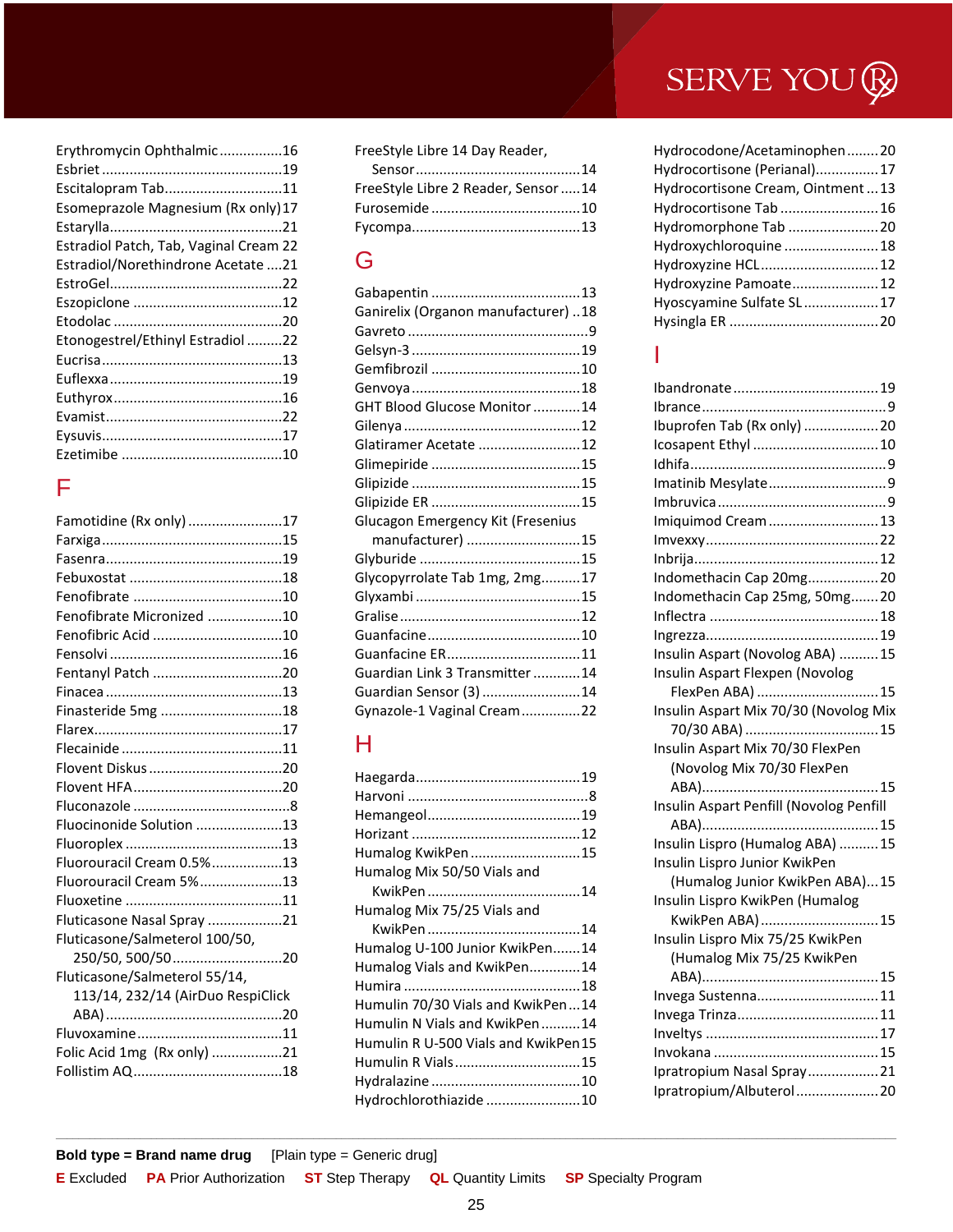| Erythromycin Ophthalmic16              |
|----------------------------------------|
|                                        |
| Escitalopram Tab11                     |
| Esomeprazole Magnesium (Rx only) 17    |
|                                        |
| Estradiol Patch, Tab, Vaginal Cream 22 |
| Estradiol/Norethindrone Acetate 21     |
|                                        |
|                                        |
|                                        |
| Etonogestrel/Ethinyl Estradiol 22      |
|                                        |
|                                        |
|                                        |
|                                        |
|                                        |
|                                        |
|                                        |

## F

| Famotidine (Rx only) 17           |  |
|-----------------------------------|--|
|                                   |  |
|                                   |  |
|                                   |  |
|                                   |  |
| Fenofibrate Micronized 10         |  |
| Fenofibric Acid 10                |  |
|                                   |  |
| Fentanyl Patch 20                 |  |
|                                   |  |
| Finasteride 5mg 18                |  |
|                                   |  |
|                                   |  |
|                                   |  |
|                                   |  |
|                                   |  |
| Fluocinonide Solution 13          |  |
|                                   |  |
| Fluorouracil Cream 0.5%13         |  |
| Fluorouracil Cream 5%13           |  |
|                                   |  |
| Fluticasone Nasal Spray 21        |  |
| Fluticasone/Salmeterol 100/50,    |  |
| 250/50, 500/5020                  |  |
| Fluticasone/Salmeterol 55/14,     |  |
| 113/14, 232/14 (AirDuo RespiClick |  |
|                                   |  |
|                                   |  |
| Folic Acid 1mg (Rx only) 21       |  |
|                                   |  |
|                                   |  |

FreeStyle Libre 14 Day Reader,

| FreeStyle Libre 2 Reader, Sensor 14 |  |
|-------------------------------------|--|
|                                     |  |
|                                     |  |
|                                     |  |

### G

| Ganirelix (Organon manufacturer) 18 |  |
|-------------------------------------|--|
|                                     |  |
|                                     |  |
|                                     |  |
|                                     |  |
| GHT Blood Glucose Monitor 14        |  |
|                                     |  |
| Glatiramer Acetate 12               |  |
|                                     |  |
|                                     |  |
|                                     |  |
| Glucagon Emergency Kit (Fresenius   |  |
| manufacturer) 15                    |  |
|                                     |  |
| Glycopyrrolate Tab 1mg, 2mg17       |  |
|                                     |  |
|                                     |  |
|                                     |  |
| Guanfacine ER11                     |  |
| Guardian Link 3 Transmitter 14      |  |
| Guardian Sensor (3) 14              |  |
| Gynazole-1 Vaginal Cream22          |  |

## H

| Humalog KwikPen15                   |
|-------------------------------------|
| Humalog Mix 50/50 Vials and         |
|                                     |
| Humalog Mix 75/25 Vials and         |
|                                     |
| Humalog U-100 Junior KwikPen14      |
| Humalog Vials and KwikPen14         |
|                                     |
| Humulin 70/30 Vials and KwikPen14   |
| Humulin N Vials and KwikPen14       |
| Humulin R U-500 Vials and KwikPen15 |
| Humulin R Vials15                   |
|                                     |
| Hydrochlorothiazide 10              |

| Hydrocodone/Acetaminophen20      |  |
|----------------------------------|--|
| Hydrocortisone (Perianal)17      |  |
| Hydrocortisone Cream, Ointment13 |  |
| Hydrocortisone Tab  16           |  |
| Hydromorphone Tab  20            |  |
| Hydroxychloroquine 18            |  |
| Hydroxyzine HCL 12               |  |
| Hydroxyzine Pamoate 12           |  |
| Hyoscyamine Sulfate SL17         |  |
|                                  |  |

### I

| Ibuprofen Tab (Rx only)  20             |  |
|-----------------------------------------|--|
| Icosapent Ethyl  10                     |  |
|                                         |  |
| Imatinib Mesylate9                      |  |
|                                         |  |
| Imiquimod Cream13                       |  |
|                                         |  |
|                                         |  |
| Indomethacin Cap 20mg 20                |  |
| Indomethacin Cap 25mg, 50mg 20          |  |
|                                         |  |
|                                         |  |
| Insulin Aspart (Novolog ABA) 15         |  |
| Insulin Aspart Flexpen (Novolog         |  |
| FlexPen ABA)  15                        |  |
| Insulin Aspart Mix 70/30 (Novolog Mix   |  |
|                                         |  |
| Insulin Aspart Mix 70/30 FlexPen        |  |
| (Novolog Mix 70/30 FlexPen              |  |
|                                         |  |
| Insulin Aspart Penfill (Novolog Penfill |  |
|                                         |  |
| Insulin Lispro (Humalog ABA) 15         |  |
| Insulin Lispro Junior KwikPen           |  |
| (Humalog Junior KwikPen ABA)15          |  |
| Insulin Lispro KwikPen (Humalog         |  |
| KwikPen ABA)  15                        |  |
| Insulin Lispro Mix 75/25 KwikPen        |  |
| (Humalog Mix 75/25 KwikPen              |  |
|                                         |  |
| Invega Sustenna11                       |  |
|                                         |  |
|                                         |  |
|                                         |  |
| Ipratropium Nasal Spray 21              |  |
| Ipratropium/Albuterol 20                |  |
|                                         |  |

**Bold type = Brand name drug** [Plain type = Generic drug]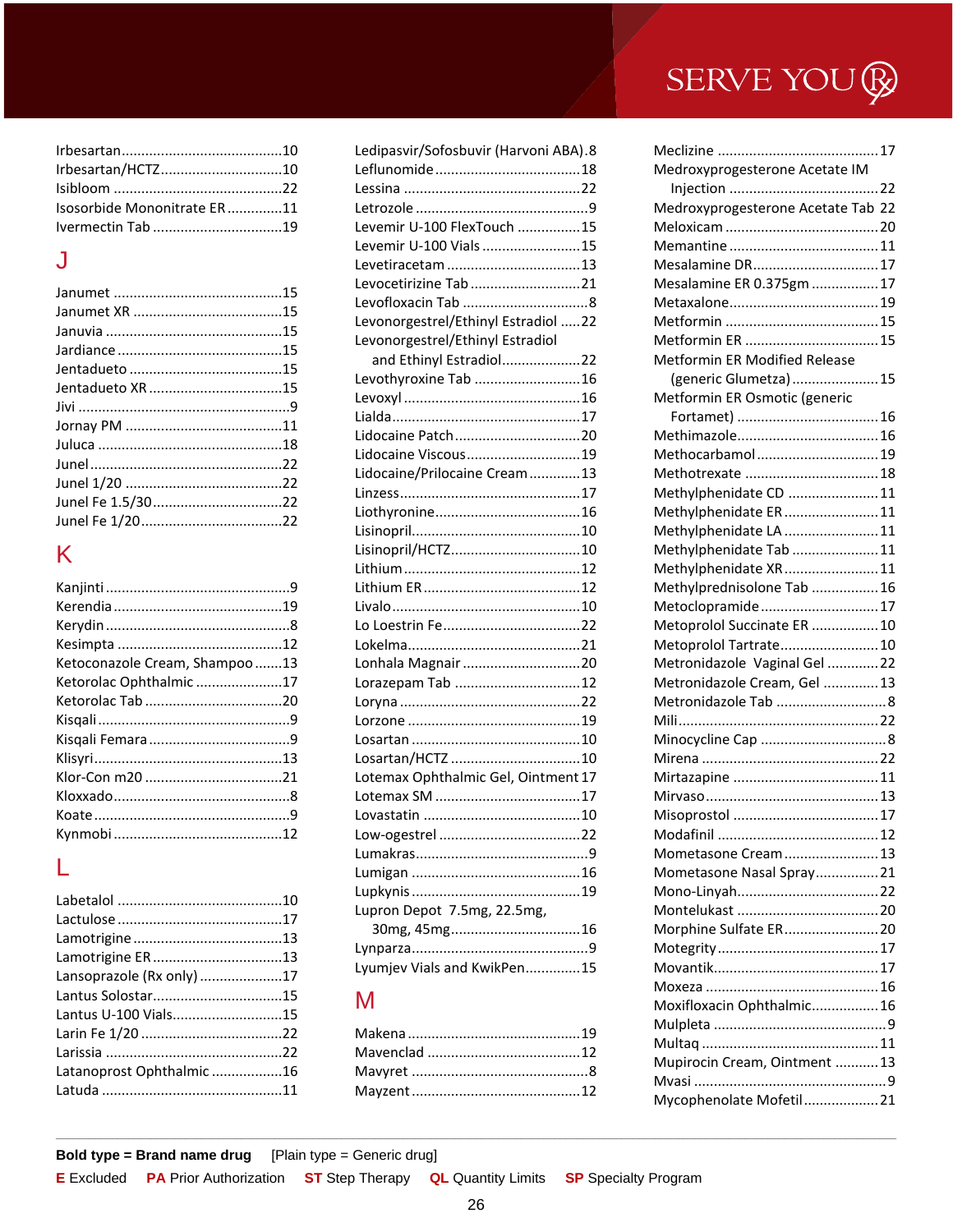| Irbesartan/HCTZ10           |  |
|-----------------------------|--|
|                             |  |
| Isosorbide Mononitrate ER11 |  |
|                             |  |

### J

## K

| Ketoconazole Cream, Shampoo 13 |  |
|--------------------------------|--|
| Ketorolac Ophthalmic17         |  |
|                                |  |
|                                |  |
|                                |  |
|                                |  |
|                                |  |
|                                |  |
|                                |  |
|                                |  |

## L

| Lamotrigine ER13          |  |
|---------------------------|--|
| Lansoprazole (Rx only) 17 |  |
|                           |  |
| Lantus U-100 Vials15      |  |
|                           |  |
|                           |  |
| Latanoprost Ophthalmic16  |  |
|                           |  |

| Ledipasvir/Sofosbuvir (Harvoni ABA).8 |  |
|---------------------------------------|--|
|                                       |  |
|                                       |  |
|                                       |  |
| Levemir U-100 FlexTouch 15            |  |
| Levemir U-100 Vials 15                |  |
| Levetiracetam 13                      |  |
| Levocetirizine Tab 21                 |  |
|                                       |  |
| Levonorgestrel/Ethinyl Estradiol 22   |  |
| Levonorgestrel/Ethinyl Estradiol      |  |
| and Ethinyl Estradiol22               |  |
| Levothyroxine Tab 16                  |  |
|                                       |  |
|                                       |  |
| Lidocaine Patch20                     |  |
| Lidocaine Viscous19                   |  |
| Lidocaine/Prilocaine Cream13          |  |
|                                       |  |
|                                       |  |
|                                       |  |
| Lisinopril/HCTZ10                     |  |
|                                       |  |
|                                       |  |
|                                       |  |
|                                       |  |
|                                       |  |
| Lonhala Magnair 20                    |  |
| Lorazepam Tab 12                      |  |
|                                       |  |
|                                       |  |
|                                       |  |
| Losartan/HCTZ 10                      |  |
| Lotemax Ophthalmic Gel, Ointment 17   |  |
|                                       |  |
|                                       |  |
|                                       |  |
|                                       |  |
|                                       |  |
|                                       |  |
| Lupron Depot 7.5mg, 22.5mg,           |  |
| 30mg, 45mg16                          |  |
|                                       |  |
| Lyumjev Vials and KwikPen15           |  |
|                                       |  |

## M

## SERVE YOU ®

| Medroxyprogesterone Acetate IM       |
|--------------------------------------|
|                                      |
| Medroxyprogesterone Acetate Tab 22   |
|                                      |
|                                      |
| Mesalamine DR17                      |
| Mesalamine ER 0.375gm 17             |
|                                      |
|                                      |
| Metformin ER  15                     |
| <b>Metformin ER Modified Release</b> |
| (generic Glumetza) 15                |
| Metformin ER Osmotic (generic        |
|                                      |
|                                      |
| Methocarbamol 19                     |
| Methotrexate  18                     |
| Methylphenidate CD 11                |
| Methylphenidate ER 11                |
| Methylphenidate LA  11               |
| Methylphenidate Tab 11               |
| Methylphenidate XR 11                |
| Methylprednisolone Tab  16           |
| Metoclopramide 17                    |
| Metoprolol Succinate ER  10          |
| Metoprolol Tartrate 10               |
| Metronidazole Vaginal Gel 22         |
| Metronidazole Cream, Gel  13         |
| Metronidazole Tab  8                 |
|                                      |
|                                      |
|                                      |
|                                      |
|                                      |
|                                      |
| Modafinil                            |
| Mometasone Cream 13                  |
| Mometasone Nasal Spray 21            |
|                                      |
|                                      |
| Morphine Sulfate ER 20               |
|                                      |
|                                      |
|                                      |
| Moxifloxacin Ophthalmic 16           |
|                                      |
|                                      |
| Mupirocin Cream, Ointment  13        |
|                                      |
| Mycophenolate Mofetil21              |

**Bold type = Brand name drug** [Plain type = Generic drug]

| <b>E</b> Excluded PA Prior Authorization ST Step Therapy QL Quantity Limits SP Specialty Program |  |  |
|--------------------------------------------------------------------------------------------------|--|--|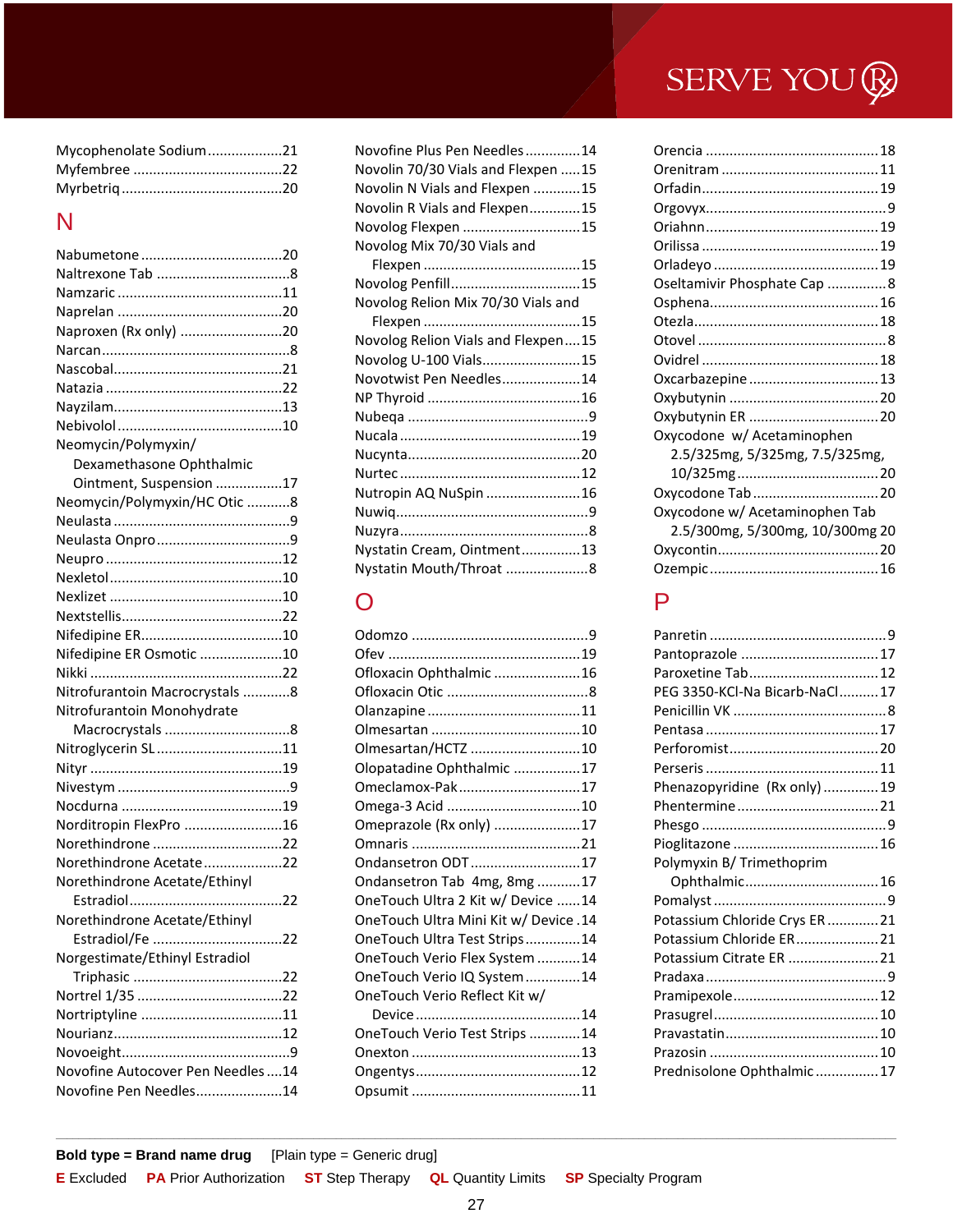| Mycophenolate Sodium21 |  |
|------------------------|--|
|                        |  |
|                        |  |

### N

| Naproxen (Rx only) 20             |  |
|-----------------------------------|--|
|                                   |  |
|                                   |  |
|                                   |  |
|                                   |  |
|                                   |  |
| Neomycin/Polymyxin/               |  |
| Dexamethasone Ophthalmic          |  |
| Ointment, Suspension 17           |  |
| Neomycin/Polymyxin/HC Otic 8      |  |
|                                   |  |
|                                   |  |
|                                   |  |
|                                   |  |
|                                   |  |
|                                   |  |
|                                   |  |
| Nifedipine ER Osmotic 10          |  |
|                                   |  |
| Nitrofurantoin Macrocrystals 8    |  |
| Nitrofurantoin Monohydrate        |  |
|                                   |  |
| Nitroglycerin SL11                |  |
|                                   |  |
|                                   |  |
|                                   |  |
| Norditropin FlexPro 16            |  |
| Norethindrone 22                  |  |
| Norethindrone Acetate22           |  |
| Norethindrone Acetate/Ethinyl     |  |
|                                   |  |
| Norethindrone Acetate/Ethinyl     |  |
| Estradiol/Fe 22                   |  |
| Norgestimate/Ethinyl Estradiol    |  |
|                                   |  |
|                                   |  |
|                                   |  |
|                                   |  |
|                                   |  |
| Novofine Autocover Pen Needles 14 |  |
| Novofine Pen Needles14            |  |

| Novofine Plus Pen Needles14        |
|------------------------------------|
| Novolin 70/30 Vials and Flexpen 15 |
| Novolin N Vials and Flexpen 15     |
| Novolin R Vials and Flexpen15      |
| Novolog Flexpen 15                 |
| Novolog Mix 70/30 Vials and        |
|                                    |
| Novolog Penfill15                  |
| Novolog Relion Mix 70/30 Vials and |
|                                    |
| Novolog Relion Vials and Flexpen15 |
| Novolog U-100 Vials15              |
| Novotwist Pen Needles14            |
|                                    |
|                                    |
|                                    |
|                                    |
|                                    |
| Nutropin AQ NuSpin 16              |
|                                    |
|                                    |
| Nystatin Cream, Ointment13         |
| Nystatin Mouth/Throat 8            |

## O

| Ofloxacin Ophthalmic 16               |  |
|---------------------------------------|--|
|                                       |  |
|                                       |  |
|                                       |  |
| Olmesartan/HCTZ 10                    |  |
| Olopatadine Ophthalmic 17             |  |
| Omeclamox-Pak17                       |  |
| Omega-3 Acid 10                       |  |
| Omeprazole (Rx only) 17               |  |
|                                       |  |
| Ondansetron ODT17                     |  |
| Ondansetron Tab 4mg, 8mg 17           |  |
| OneTouch Ultra 2 Kit w/ Device 14     |  |
| OneTouch Ultra Mini Kit w/ Device .14 |  |
| OneTouch Ultra Test Strips14          |  |
| OneTouch Verio Flex System 14         |  |
| OneTouch Verio IQ System14            |  |
| OneTouch Verio Reflect Kit w/         |  |
|                                       |  |
| OneTouch Verio Test Strips 14         |  |
|                                       |  |
|                                       |  |
|                                       |  |

| Oseltamivir Phosphate Cap 8     |
|---------------------------------|
|                                 |
|                                 |
|                                 |
|                                 |
| Oxcarbazepine  13               |
|                                 |
|                                 |
|                                 |
|                                 |
|                                 |
| Oxycodone Tab  20               |
|                                 |
| 2.5/300mg, 5/300mg, 10/300mg 20 |
|                                 |
|                                 |
|                                 |

## P

| Pantoprazole  17               |  |
|--------------------------------|--|
| Paroxetine Tab 12              |  |
| PEG 3350-KCl-Na Bicarb-NaCl17  |  |
|                                |  |
|                                |  |
|                                |  |
|                                |  |
| Phenazopyridine (Rx only)19    |  |
|                                |  |
|                                |  |
|                                |  |
| Polymyxin B/ Trimethoprim      |  |
| Ophthalmic 16                  |  |
|                                |  |
| Potassium Chloride Crys ER  21 |  |
| Potassium Chloride ER 21       |  |
| Potassium Citrate ER  21       |  |
|                                |  |
|                                |  |
|                                |  |
|                                |  |
|                                |  |
| Prednisolone Ophthalmic 17     |  |
|                                |  |

**Bold type = Brand name drug** [Plain type = Generic drug]

| <b>E</b> Excluded PA Prior Authorization ST Step Therapy QL Quantity Limits SP Specialty Program |  |  |
|--------------------------------------------------------------------------------------------------|--|--|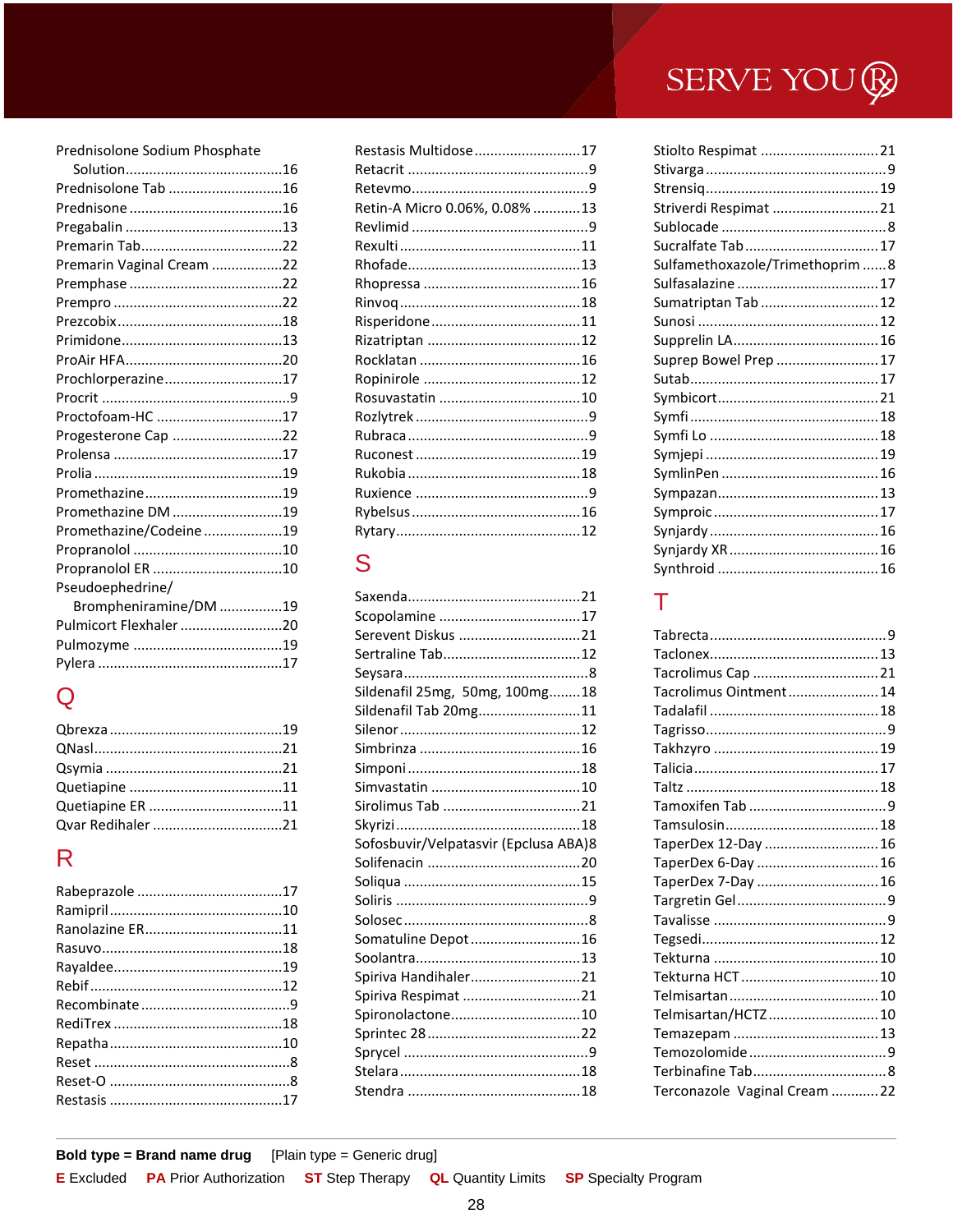#### Prednisolone Sodium Phosphate

| Prednisolone Tab 16       |
|---------------------------|
|                           |
|                           |
|                           |
| Premarin Vaginal Cream 22 |
|                           |
|                           |
|                           |
|                           |
|                           |
| Prochlorperazine17        |
|                           |
| Proctofoam-HC 17          |
| Progesterone Cap 22       |
|                           |
|                           |
|                           |
| Promethazine DM 19        |
| Promethazine/Codeine19    |
|                           |
| Propranolol ER 10         |
| Pseudoephedrine/          |
| Brompheniramine/DM 19     |
| Pulmicort Flexhaler 20    |
|                           |
|                           |

## $\mathsf Q$

| Ovar Redibaler<br>$\sim$ 21 |  |
|-----------------------------|--|

### $\overline{\mathsf{R}}$

| Restasis Multidose 17         |  |
|-------------------------------|--|
|                               |  |
|                               |  |
| Retin-A Micro 0.06%, 0.08% 13 |  |
|                               |  |
|                               |  |
|                               |  |
|                               |  |
|                               |  |
|                               |  |
|                               |  |
|                               |  |
|                               |  |
|                               |  |
|                               |  |
|                               |  |
|                               |  |
|                               |  |
|                               |  |
|                               |  |
|                               |  |

## S

| Serevent Diskus 21                    |  |
|---------------------------------------|--|
| Sertraline Tab12                      |  |
|                                       |  |
| Sildenafil 25mg, 50mg, 100mg18        |  |
| Sildenafil Tab 20mg11                 |  |
|                                       |  |
|                                       |  |
|                                       |  |
|                                       |  |
|                                       |  |
|                                       |  |
| Sofosbuvir/Velpatasvir (Epclusa ABA)8 |  |
|                                       |  |
|                                       |  |
|                                       |  |
|                                       |  |
| Somatuline Depot 16                   |  |
|                                       |  |
| Spiriva Handihaler21                  |  |
| Spiriva Respimat 21                   |  |
| Spironolactone10                      |  |
|                                       |  |
|                                       |  |
|                                       |  |
|                                       |  |

| Stiolto Respimat 21              |  |
|----------------------------------|--|
|                                  |  |
|                                  |  |
| Striverdi Respimat  21           |  |
|                                  |  |
| Sucralfate Tab 17                |  |
| Sulfamethoxazole/Trimethoprim  8 |  |
|                                  |  |
| Sumatriptan Tab  12              |  |
|                                  |  |
|                                  |  |
| Suprep Bowel Prep  17            |  |
|                                  |  |
|                                  |  |
|                                  |  |
|                                  |  |
|                                  |  |
|                                  |  |
|                                  |  |
|                                  |  |
|                                  |  |
|                                  |  |
|                                  |  |
|                                  |  |

## T

| Tacrolimus Cap 21             |  |
|-------------------------------|--|
| Tacrolimus Ointment 14        |  |
|                               |  |
|                               |  |
|                               |  |
|                               |  |
|                               |  |
|                               |  |
|                               |  |
| TaperDex 12-Day  16           |  |
| TaperDex 6-Day  16            |  |
| TaperDex 7-Day  16            |  |
|                               |  |
|                               |  |
|                               |  |
|                               |  |
|                               |  |
|                               |  |
| Telmisartan/HCTZ 10           |  |
|                               |  |
|                               |  |
|                               |  |
| Terconazole Vaginal Cream  22 |  |

#### Bold type = Brand name drug [Plain type = Generic drug]

**E** Excluded **PA** Prior Authorization

**QL** Quantity Limits **ST** Step Therapy **SP** Specialty Program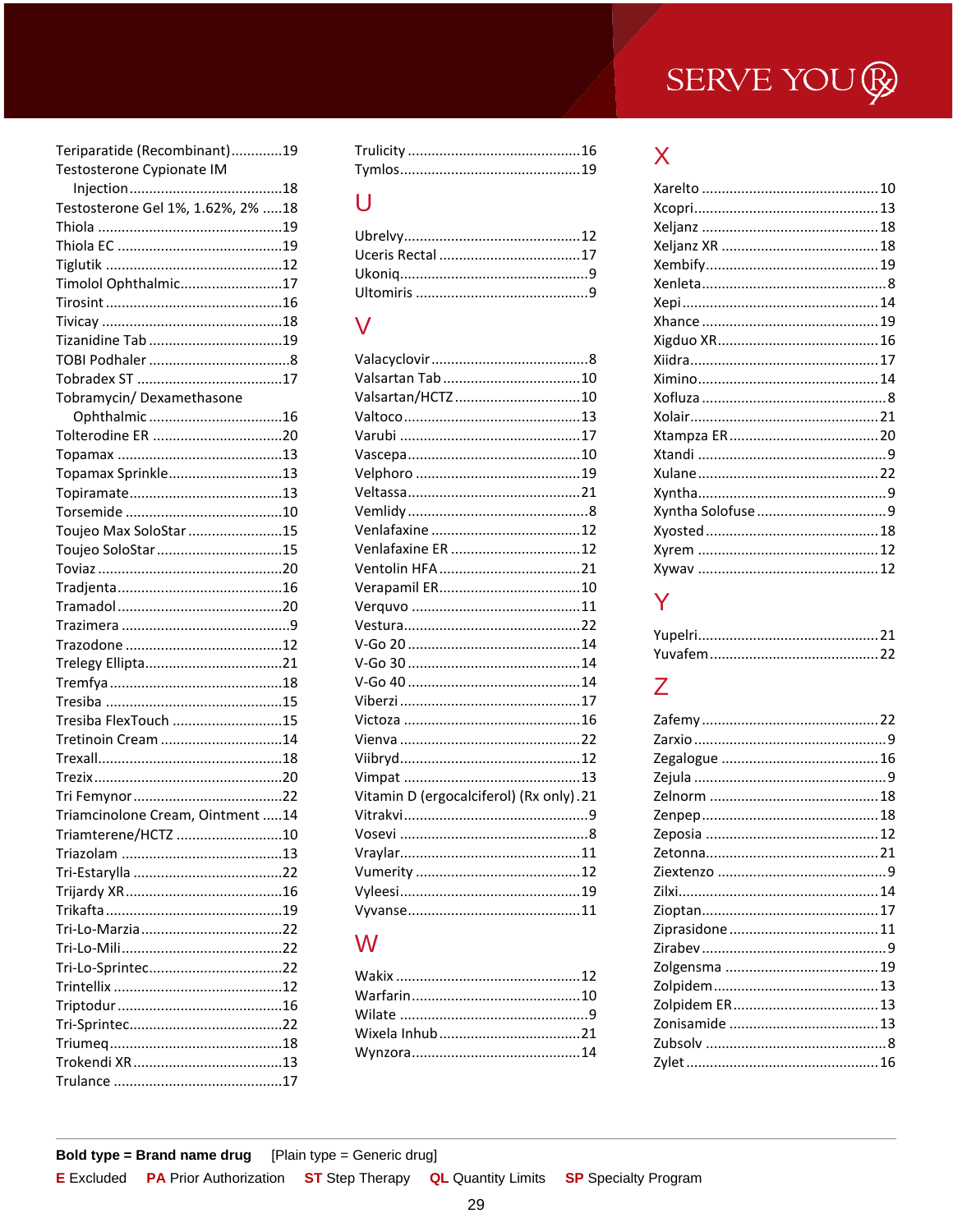| Teriparatide (Recombinant)19      |
|-----------------------------------|
| Testosterone Cypionate IM         |
|                                   |
| Testosterone Gel 1%, 1.62%, 2% 18 |
|                                   |
|                                   |
|                                   |
| Timolol Ophthalmic17              |
|                                   |
|                                   |
|                                   |
|                                   |
|                                   |
| Tobramycin/ Dexamethasone         |
| Ophthalmic16                      |
|                                   |
|                                   |
| Topamax Sprinkle13                |
|                                   |
|                                   |
| Toujeo Max SoloStar 15            |
| Toujeo SoloStar 15                |
|                                   |
|                                   |
|                                   |
|                                   |
|                                   |
|                                   |
|                                   |
|                                   |
| Tresiba FlexTouch 15              |
| Tretinoin Cream 14                |
|                                   |
|                                   |
|                                   |
| Triamcinolone Cream, Ointment 14  |
| Triamterene/HCTZ                  |
|                                   |
|                                   |
|                                   |
|                                   |
|                                   |
|                                   |
|                                   |
|                                   |
|                                   |
|                                   |
|                                   |
|                                   |
|                                   |

## $\bigcup$

### $\overline{\mathsf{V}}$

| Valsartan/HCTZ10                        |  |
|-----------------------------------------|--|
|                                         |  |
|                                         |  |
|                                         |  |
|                                         |  |
|                                         |  |
|                                         |  |
|                                         |  |
| Venlafaxine ER 12                       |  |
|                                         |  |
|                                         |  |
|                                         |  |
|                                         |  |
|                                         |  |
|                                         |  |
|                                         |  |
|                                         |  |
|                                         |  |
|                                         |  |
|                                         |  |
|                                         |  |
| Vitamin D (ergocalciferol) (Rx only).21 |  |
|                                         |  |
|                                         |  |
|                                         |  |
|                                         |  |
|                                         |  |
|                                         |  |

### W

**ST** Step Therapy

## $\mathsf{X}$

## Y

## $\overline{Z}$

**E** Excluded **PA** Prior Authorization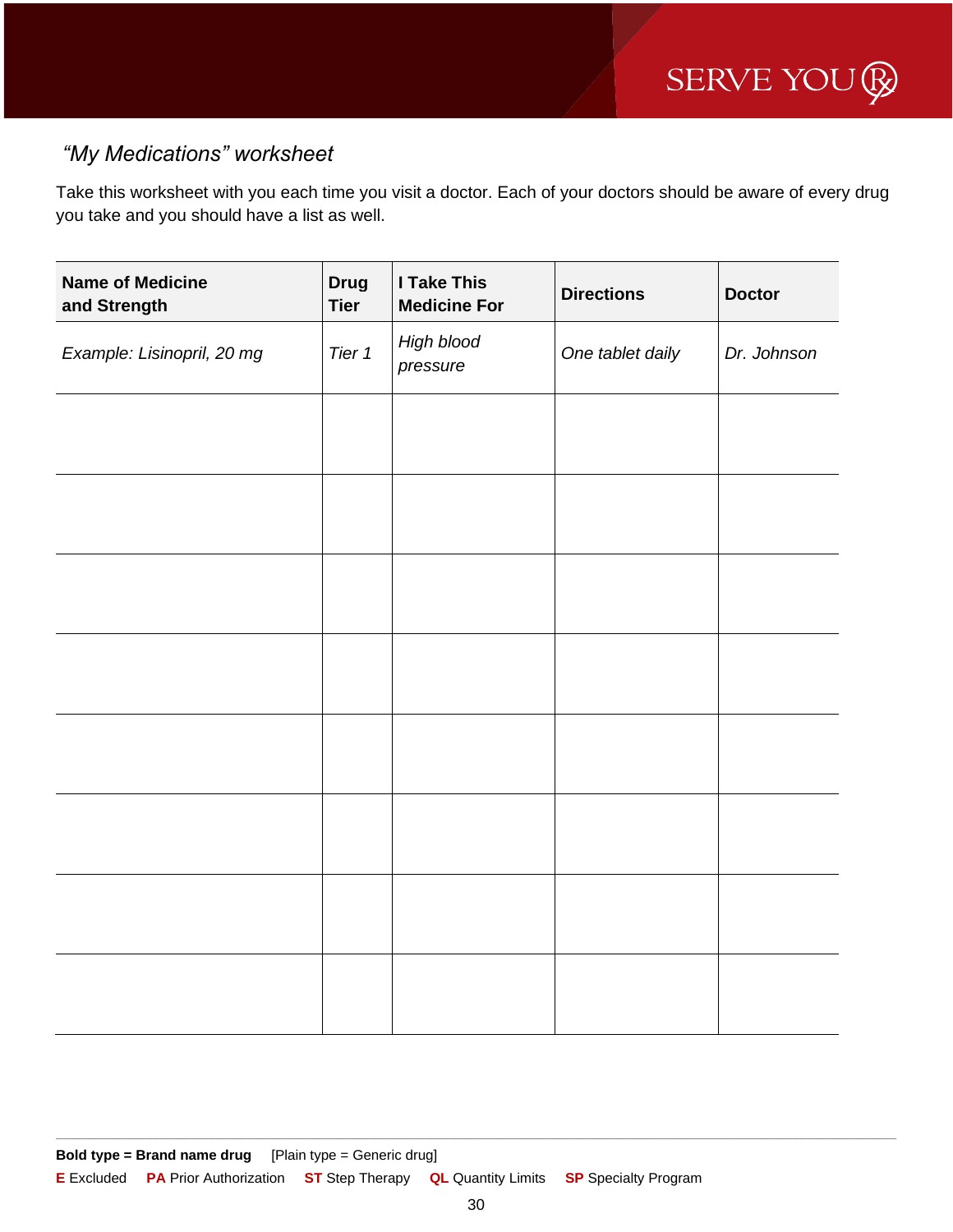### *"My Medications" worksheet*

Take this worksheet with you each time you visit a doctor. Each of your doctors should be aware of every drug you take and you should have a list as well.

| <b>Name of Medicine</b><br>and Strength | <b>Drug</b><br><b>Tier</b> | <b>I Take This</b><br><b>Medicine For</b> | <b>Directions</b> | <b>Doctor</b> |
|-----------------------------------------|----------------------------|-------------------------------------------|-------------------|---------------|
| Example: Lisinopril, 20 mg              | Tier 1                     | High blood<br>pressure                    | One tablet daily  | Dr. Johnson   |
|                                         |                            |                                           |                   |               |
|                                         |                            |                                           |                   |               |
|                                         |                            |                                           |                   |               |
|                                         |                            |                                           |                   |               |
|                                         |                            |                                           |                   |               |
|                                         |                            |                                           |                   |               |
|                                         |                            |                                           |                   |               |
|                                         |                            |                                           |                   |               |
|                                         |                            |                                           |                   |               |